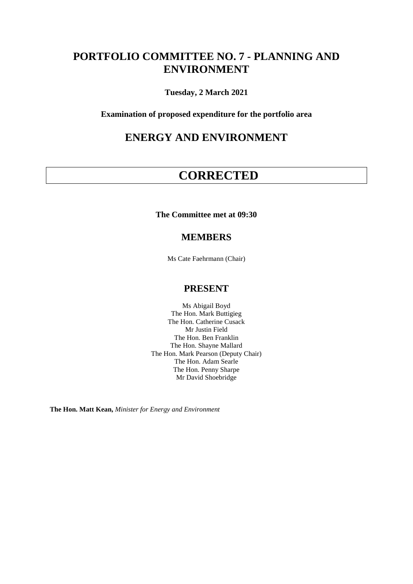# **PORTFOLIO COMMITTEE NO. 7 - PLANNING AND ENVIRONMENT**

**Tuesday, 2 March 2021**

**Examination of proposed expenditure for the portfolio area**

## **ENERGY AND ENVIRONMENT**

# **CORRECTED**

**The Committee met at 09:30**

## **MEMBERS**

Ms Cate Faehrmann (Chair)

## **PRESENT**

Ms Abigail Boyd The Hon. Mark Buttigieg The Hon. Catherine Cusack Mr Justin Field The Hon. Ben Franklin The Hon. Shayne Mallard The Hon. Mark Pearson (Deputy Chair) The Hon. Adam Searle The Hon. Penny Sharpe Mr David Shoebridge

**The Hon. Matt Kean,** *Minister for Energy and Environment*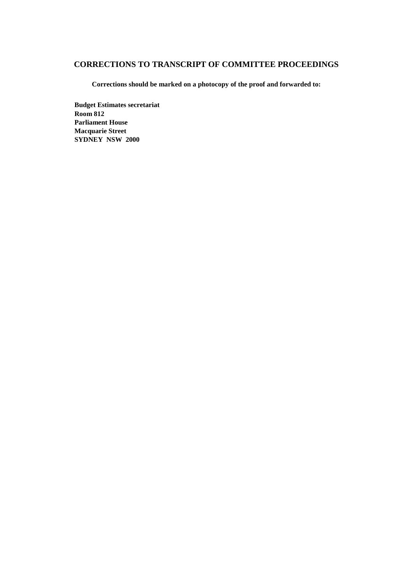## **CORRECTIONS TO TRANSCRIPT OF COMMITTEE PROCEEDINGS**

**Corrections should be marked on a photocopy of the proof and forwarded to:**

**Budget Estimates secretariat Room 812 Parliament House Macquarie Street SYDNEY NSW 2000**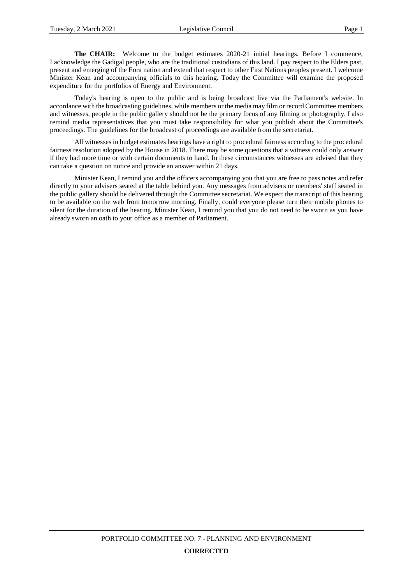**The CHAIR:** Welcome to the budget estimates 2020-21 initial hearings. Before I commence, I acknowledge the Gadigal people, who are the traditional custodians of this land. I pay respect to the Elders past, present and emerging of the Eora nation and extend that respect to other First Nations peoples present. I welcome Minister Kean and accompanying officials to this hearing. Today the Committee will examine the proposed expenditure for the portfolios of Energy and Environment.

Today's hearing is open to the public and is being broadcast live via the Parliament's website. In accordance with the broadcasting guidelines, while members or the media may film or record Committee members and witnesses, people in the public gallery should not be the primary focus of any filming or photography. I also remind media representatives that you must take responsibility for what you publish about the Committee's proceedings. The guidelines for the broadcast of proceedings are available from the secretariat.

All witnesses in budget estimates hearings have a right to procedural fairness according to the procedural fairness resolution adopted by the House in 2018. There may be some questions that a witness could only answer if they had more time or with certain documents to hand. In these circumstances witnesses are advised that they can take a question on notice and provide an answer within 21 days.

Minister Kean, I remind you and the officers accompanying you that you are free to pass notes and refer directly to your advisers seated at the table behind you. Any messages from advisers or members' staff seated in the public gallery should be delivered through the Committee secretariat. We expect the transcript of this hearing to be available on the web from tomorrow morning. Finally, could everyone please turn their mobile phones to silent for the duration of the hearing. Minister Kean, I remind you that you do not need to be sworn as you have already sworn an oath to your office as a member of Parliament.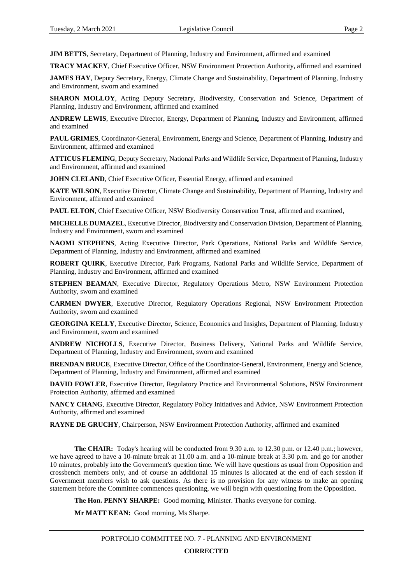**JIM BETTS**, Secretary, Department of Planning, Industry and Environment, affirmed and examined

**TRACY MACKEY**, Chief Executive Officer, NSW Environment Protection Authority, affirmed and examined

**JAMES HAY**, Deputy Secretary, Energy, Climate Change and Sustainability, Department of Planning, Industry and Environment, sworn and examined

**SHARON MOLLOY**, Acting Deputy Secretary, Biodiversity, Conservation and Science, Department of Planning, Industry and Environment, affirmed and examined

**ANDREW LEWIS**, Executive Director, Energy, Department of Planning, Industry and Environment, affirmed and examined

**PAUL GRIMES**, Coordinator-General, Environment, Energy and Science, Department of Planning, Industry and Environment, affirmed and examined

**ATTICUS FLEMING**, Deputy Secretary, National Parks and Wildlife Service, Department of Planning, Industry and Environment, affirmed and examined

**JOHN CLELAND**, Chief Executive Officer, Essential Energy, affirmed and examined

**KATE WILSON**, Executive Director, Climate Change and Sustainability, Department of Planning, Industry and Environment, affirmed and examined

**PAUL ELTON**, Chief Executive Officer, NSW Biodiversity Conservation Trust, affirmed and examined,

**MICHELLE DUMAZEL**, Executive Director, Biodiversity and Conservation Division, Department of Planning, Industry and Environment, sworn and examined

**NAOMI STEPHENS**, Acting Executive Director, Park Operations, National Parks and Wildlife Service, Department of Planning, Industry and Environment, affirmed and examined

**ROBERT QUIRK**, Executive Director, Park Programs, National Parks and Wildlife Service, Department of Planning, Industry and Environment, affirmed and examined

**STEPHEN BEAMAN**, Executive Director, Regulatory Operations Metro, NSW Environment Protection Authority, sworn and examined

**CARMEN DWYER**, Executive Director, Regulatory Operations Regional, NSW Environment Protection Authority, sworn and examined

**GEORGINA KELLY**, Executive Director, Science, Economics and Insights, Department of Planning, Industry and Environment, sworn and examined

**ANDREW NICHOLLS**, Executive Director, Business Delivery, National Parks and Wildlife Service, Department of Planning, Industry and Environment, sworn and examined

**BRENDAN BRUCE**, Executive Director, Office of the Coordinator-General, Environment, Energy and Science, Department of Planning, Industry and Environment, affirmed and examined

**DAVID FOWLER**, Executive Director, Regulatory Practice and Environmental Solutions, NSW Environment Protection Authority, affirmed and examined

**NANCY CHANG**, Executive Director, Regulatory Policy Initiatives and Advice, NSW Environment Protection Authority, affirmed and examined

**RAYNE DE GRUCHY**, Chairperson, NSW Environment Protection Authority, affirmed and examined

**The CHAIR:** Today's hearing will be conducted from 9.30 a.m. to 12.30 p.m. or 12.40 p.m.; however, we have agreed to have a 10-minute break at 11.00 a.m. and a 10-minute break at 3.30 p.m. and go for another 10 minutes, probably into the Government's question time. We will have questions as usual from Opposition and crossbench members only, and of course an additional 15 minutes is allocated at the end of each session if Government members wish to ask questions. As there is no provision for any witness to make an opening statement before the Committee commences questioning, we will begin with questioning from the Opposition.

**The Hon. PENNY SHARPE:** Good morning, Minister. Thanks everyone for coming.

**Mr MATT KEAN:** Good morning, Ms Sharpe.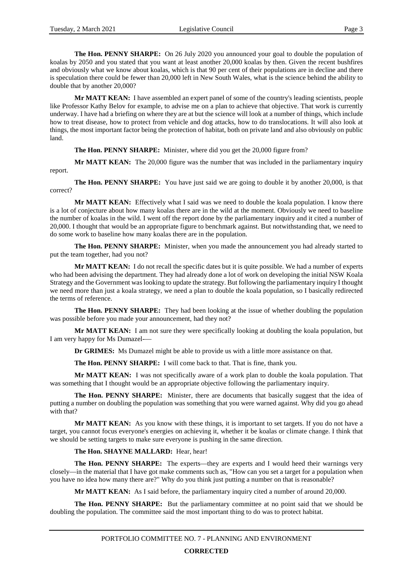**The Hon. PENNY SHARPE:** On 26 July 2020 you announced your goal to double the population of koalas by 2050 and you stated that you want at least another 20,000 koalas by then. Given the recent bushfires and obviously what we know about koalas, which is that 90 per cent of their populations are in decline and there is speculation there could be fewer than 20,000 left in New South Wales, what is the science behind the ability to double that by another 20,000?

**Mr MATT KEAN:** I have assembled an expert panel of some of the country's leading scientists, people like Professor Kathy Belov for example, to advise me on a plan to achieve that objective. That work is currently underway. I have had a briefing on where they are at but the science will look at a number of things, which include how to treat disease, how to protect from vehicle and dog attacks, how to do translocations. It will also look at things, the most important factor being the protection of habitat, both on private land and also obviously on public land.

**The Hon. PENNY SHARPE:** Minister, where did you get the 20,000 figure from?

**Mr MATT KEAN:** The 20,000 figure was the number that was included in the parliamentary inquiry report.

**The Hon. PENNY SHARPE:** You have just said we are going to double it by another 20,000, is that correct?

**Mr MATT KEAN:** Effectively what I said was we need to double the koala population. I know there is a lot of conjecture about how many koalas there are in the wild at the moment. Obviously we need to baseline the number of koalas in the wild. I went off the report done by the parliamentary inquiry and it cited a number of 20,000. I thought that would be an appropriate figure to benchmark against. But notwithstanding that, we need to do some work to baseline how many koalas there are in the population.

**The Hon. PENNY SHARPE:** Minister, when you made the announcement you had already started to put the team together, had you not?

**Mr MATT KEAN:** I do not recall the specific dates but it is quite possible. We had a number of experts who had been advising the department. They had already done a lot of work on developing the initial NSW Koala Strategy and the Government was looking to update the strategy. But following the parliamentary inquiry I thought we need more than just a koala strategy, we need a plan to double the koala population, so I basically redirected the terms of reference.

**The Hon. PENNY SHARPE:** They had been looking at the issue of whether doubling the population was possible before you made your announcement, had they not?

**Mr MATT KEAN:** I am not sure they were specifically looking at doubling the koala population, but I am very happy for Ms Dumazel-—

**Dr GRIMES:** Ms Dumazel might be able to provide us with a little more assistance on that.

**The Hon. PENNY SHARPE:** I will come back to that. That is fine, thank you.

**Mr MATT KEAN:** I was not specifically aware of a work plan to double the koala population. That was something that I thought would be an appropriate objective following the parliamentary inquiry.

**The Hon. PENNY SHARPE:** Minister, there are documents that basically suggest that the idea of putting a number on doubling the population was something that you were warned against. Why did you go ahead with that?

**Mr MATT KEAN:** As you know with these things, it is important to set targets. If you do not have a target, you cannot focus everyone's energies on achieving it, whether it be koalas or climate change. I think that we should be setting targets to make sure everyone is pushing in the same direction.

#### **The Hon. SHAYNE MALLARD:** Hear, hear!

**The Hon. PENNY SHARPE:** The experts—they are experts and I would heed their warnings very closely—in the material that I have got make comments such as, "How can you set a target for a population when you have no idea how many there are?" Why do you think just putting a number on that is reasonable?

**Mr MATT KEAN:** As I said before, the parliamentary inquiry cited a number of around 20,000.

**The Hon. PENNY SHARPE:** But the parliamentary committee at no point said that we should be doubling the population. The committee said the most important thing to do was to protect habitat.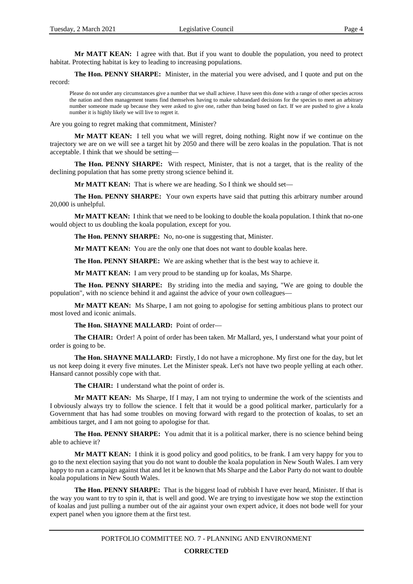**Mr MATT KEAN:** I agree with that. But if you want to double the population, you need to protect habitat. Protecting habitat is key to leading to increasing populations.

**The Hon. PENNY SHARPE:** Minister, in the material you were advised, and I quote and put on the record:

Please do not under any circumstances give a number that we shall achieve. I have seen this done with a range of other species across the nation and then management teams find themselves having to make substandard decisions for the species to meet an arbitrary number someone made up because they were asked to give one, rather than being based on fact. If we are pushed to give a koala number it is highly likely we will live to regret it.

Are you going to regret making that commitment, Minister?

**Mr MATT KEAN:** I tell you what we will regret, doing nothing. Right now if we continue on the trajectory we are on we will see a target hit by 2050 and there will be zero koalas in the population. That is not acceptable. I think that we should be setting—

**The Hon. PENNY SHARPE:** With respect, Minister, that is not a target, that is the reality of the declining population that has some pretty strong science behind it.

**Mr MATT KEAN:** That is where we are heading. So I think we should set—

**The Hon. PENNY SHARPE:** Your own experts have said that putting this arbitrary number around 20,000 is unhelpful.

**Mr MATT KEAN:** I think that we need to be looking to double the koala population. I think that no-one would object to us doubling the koala population, except for you.

**The Hon. PENNY SHARPE:** No, no-one is suggesting that, Minister.

**Mr MATT KEAN:** You are the only one that does not want to double koalas here.

**The Hon. PENNY SHARPE:** We are asking whether that is the best way to achieve it.

**Mr MATT KEAN:** I am very proud to be standing up for koalas, Ms Sharpe.

**The Hon. PENNY SHARPE:** By striding into the media and saying, "We are going to double the population", with no science behind it and against the advice of your own colleagues—

**Mr MATT KEAN:** Ms Sharpe, I am not going to apologise for setting ambitious plans to protect our most loved and iconic animals.

**The Hon. SHAYNE MALLARD:** Point of order—

**The CHAIR:** Order! A point of order has been taken. Mr Mallard, yes, I understand what your point of order is going to be.

**The Hon. SHAYNE MALLARD:** Firstly, I do not have a microphone. My first one for the day, but let us not keep doing it every five minutes. Let the Minister speak. Let's not have two people yelling at each other. Hansard cannot possibly cope with that.

**The CHAIR:** I understand what the point of order is.

**Mr MATT KEAN:** Ms Sharpe, If I may, I am not trying to undermine the work of the scientists and I obviously always try to follow the science. I felt that it would be a good political marker, particularly for a Government that has had some troubles on moving forward with regard to the protection of koalas, to set an ambitious target, and I am not going to apologise for that.

**The Hon. PENNY SHARPE:** You admit that it is a political marker, there is no science behind being able to achieve it?

**Mr MATT KEAN:** I think it is good policy and good politics, to be frank. I am very happy for you to go to the next election saying that you do not want to double the koala population in New South Wales. I am very happy to run a campaign against that and let it be known that Ms Sharpe and the Labor Party do not want to double koala populations in New South Wales.

**The Hon. PENNY SHARPE:** That is the biggest load of rubbish I have ever heard, Minister. If that is the way you want to try to spin it, that is well and good. We are trying to investigate how we stop the extinction of koalas and just pulling a number out of the air against your own expert advice, it does not bode well for your expert panel when you ignore them at the first test.

> PORTFOLIO COMMITTEE NO. 7 - PLANNING AND ENVIRONMENT **CORRECTED**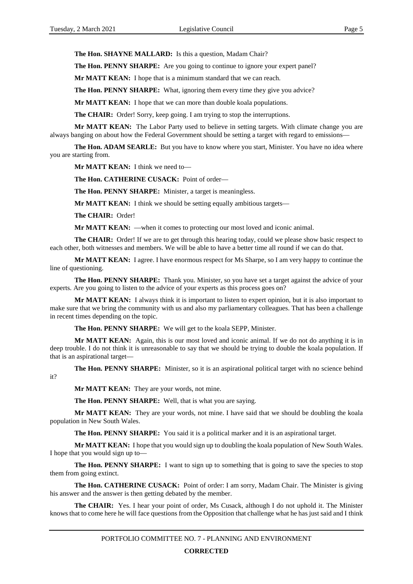**The Hon. SHAYNE MALLARD:** Is this a question, Madam Chair?

**The Hon. PENNY SHARPE:** Are you going to continue to ignore your expert panel?

**Mr MATT KEAN:** I hope that is a minimum standard that we can reach.

**The Hon. PENNY SHARPE:** What, ignoring them every time they give you advice?

**Mr MATT KEAN:** I hope that we can more than double koala populations.

**The CHAIR:** Order! Sorry, keep going. I am trying to stop the interruptions.

**Mr MATT KEAN:** The Labor Party used to believe in setting targets. With climate change you are always banging on about how the Federal Government should be setting a target with regard to emissions—

**The Hon. ADAM SEARLE:** But you have to know where you start, Minister. You have no idea where you are starting from.

**Mr MATT KEAN:** I think we need to—

**The Hon. CATHERINE CUSACK:** Point of order—

**The Hon. PENNY SHARPE:** Minister, a target is meaningless.

**Mr MATT KEAN:** I think we should be setting equally ambitious targets—

**The CHAIR:** Order!

**Mr MATT KEAN:** —when it comes to protecting our most loved and iconic animal.

**The CHAIR:** Order! If we are to get through this hearing today, could we please show basic respect to each other, both witnesses and members. We will be able to have a better time all round if we can do that.

**Mr MATT KEAN:** I agree. I have enormous respect for Ms Sharpe, so I am very happy to continue the line of questioning.

**The Hon. PENNY SHARPE:** Thank you. Minister, so you have set a target against the advice of your experts. Are you going to listen to the advice of your experts as this process goes on?

**Mr MATT KEAN:** I always think it is important to listen to expert opinion, but it is also important to make sure that we bring the community with us and also my parliamentary colleagues. That has been a challenge in recent times depending on the topic.

**The Hon. PENNY SHARPE:** We will get to the koala SEPP, Minister.

**Mr MATT KEAN:** Again, this is our most loved and iconic animal. If we do not do anything it is in deep trouble. I do not think it is unreasonable to say that we should be trying to double the koala population. If that is an aspirational target—

**The Hon. PENNY SHARPE:** Minister, so it is an aspirational political target with no science behind it?

**Mr MATT KEAN:** They are your words, not mine.

**The Hon. PENNY SHARPE:** Well, that is what you are saying.

Mr MATT KEAN: They are your words, not mine. I have said that we should be doubling the koala population in New South Wales.

**The Hon. PENNY SHARPE:** You said it is a political marker and it is an aspirational target.

**Mr MATT KEAN:** I hope that you would sign up to doubling the koala population of New South Wales. I hope that you would sign up to—

**The Hon. PENNY SHARPE:** I want to sign up to something that is going to save the species to stop them from going extinct.

**The Hon. CATHERINE CUSACK:** Point of order: I am sorry, Madam Chair. The Minister is giving his answer and the answer is then getting debated by the member.

**The CHAIR:** Yes. I hear your point of order, Ms Cusack, although I do not uphold it. The Minister knows that to come here he will face questions from the Opposition that challenge what he has just said and I think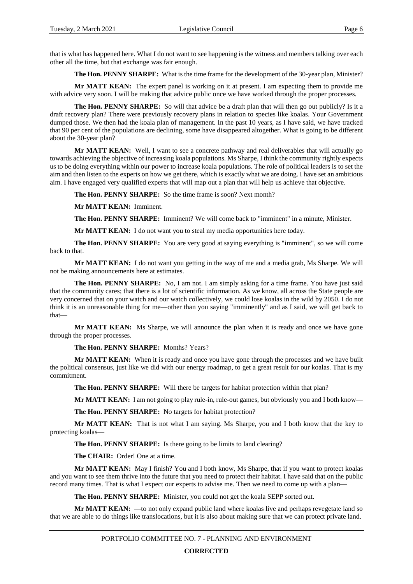that is what has happened here. What I do not want to see happening is the witness and members talking over each other all the time, but that exchange was fair enough.

**The Hon. PENNY SHARPE:** What is the time frame for the development of the 30-year plan, Minister?

**Mr MATT KEAN:** The expert panel is working on it at present. I am expecting them to provide me with advice very soon. I will be making that advice public once we have worked through the proper processes.

**The Hon. PENNY SHARPE:** So will that advice be a draft plan that will then go out publicly? Is it a draft recovery plan? There were previously recovery plans in relation to species like koalas. Your Government dumped those. We then had the koala plan of management. In the past 10 years, as I have said, we have tracked that 90 per cent of the populations are declining, some have disappeared altogether. What is going to be different about the 30-year plan?

**Mr MATT KEAN:** Well, I want to see a concrete pathway and real deliverables that will actually go towards achieving the objective of increasing koala populations. Ms Sharpe, I think the community rightly expects us to be doing everything within our power to increase koala populations. The role of political leaders is to set the aim and then listen to the experts on how we get there, which is exactly what we are doing. I have set an ambitious aim. I have engaged very qualified experts that will map out a plan that will help us achieve that objective.

**The Hon. PENNY SHARPE:** So the time frame is soon? Next month?

**Mr MATT KEAN:** Imminent.

**The Hon. PENNY SHARPE:** Imminent? We will come back to "imminent" in a minute, Minister.

**Mr MATT KEAN:** I do not want you to steal my media opportunities here today.

**The Hon. PENNY SHARPE:** You are very good at saying everything is "imminent", so we will come back to that.

**Mr MATT KEAN:** I do not want you getting in the way of me and a media grab, Ms Sharpe. We will not be making announcements here at estimates.

**The Hon. PENNY SHARPE:** No, I am not. I am simply asking for a time frame. You have just said that the community cares; that there is a lot of scientific information. As we know, all across the State people are very concerned that on your watch and our watch collectively, we could lose koalas in the wild by 2050. I do not think it is an unreasonable thing for me—other than you saying "imminently" and as I said, we will get back to that—

**Mr MATT KEAN:** Ms Sharpe, we will announce the plan when it is ready and once we have gone through the proper processes.

**The Hon. PENNY SHARPE:** Months? Years?

**Mr MATT KEAN:** When it is ready and once you have gone through the processes and we have built the political consensus, just like we did with our energy roadmap, to get a great result for our koalas. That is my commitment.

**The Hon. PENNY SHARPE:** Will there be targets for habitat protection within that plan?

**Mr MATT KEAN:** I am not going to play rule-in, rule-out games, but obviously you and I both know—

**The Hon. PENNY SHARPE:** No targets for habitat protection?

**Mr MATT KEAN:** That is not what I am saying. Ms Sharpe, you and I both know that the key to protecting koalas—

**The Hon. PENNY SHARPE:** Is there going to be limits to land clearing?

**The CHAIR:** Order! One at a time.

**Mr MATT KEAN:** May I finish? You and I both know, Ms Sharpe, that if you want to protect koalas and you want to see them thrive into the future that you need to protect their habitat. I have said that on the public record many times. That is what I expect our experts to advise me. Then we need to come up with a plan—

**The Hon. PENNY SHARPE:** Minister, you could not get the koala SEPP sorted out.

**Mr MATT KEAN:** —to not only expand public land where koalas live and perhaps revegetate land so that we are able to do things like translocations, but it is also about making sure that we can protect private land.

PORTFOLIO COMMITTEE NO. 7 - PLANNING AND ENVIRONMENT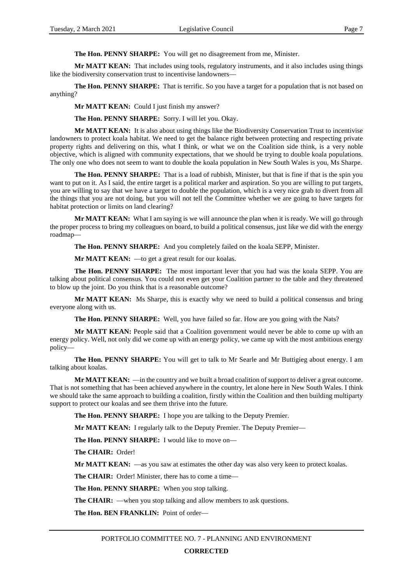**The Hon. PENNY SHARPE:** You will get no disagreement from me, Minister.

**Mr MATT KEAN:** That includes using tools, regulatory instruments, and it also includes using things like the biodiversity conservation trust to incentivise landowners—

**The Hon. PENNY SHARPE:** That is terrific. So you have a target for a population that is not based on anything?

**Mr MATT KEAN:** Could I just finish my answer?

**The Hon. PENNY SHARPE:** Sorry. I will let you. Okay.

**Mr MATT KEAN:** It is also about using things like the Biodiversity Conservation Trust to incentivise landowners to protect koala habitat. We need to get the balance right between protecting and respecting private property rights and delivering on this, what I think, or what we on the Coalition side think, is a very noble objective, which is aligned with community expectations, that we should be trying to double koala populations. The only one who does not seem to want to double the koala population in New South Wales is you, Ms Sharpe.

**The Hon. PENNY SHARPE:** That is a load of rubbish, Minister, but that is fine if that is the spin you want to put on it. As I said, the entire target is a political marker and aspiration. So you are willing to put targets, you are willing to say that we have a target to double the population, which is a very nice grab to divert from all the things that you are not doing, but you will not tell the Committee whether we are going to have targets for habitat protection or limits on land clearing?

**Mr MATT KEAN:** What I am saying is we will announce the plan when it is ready. We will go through the proper process to bring my colleagues on board, to build a political consensus, just like we did with the energy roadmap—

**The Hon. PENNY SHARPE:** And you completely failed on the koala SEPP, Minister.

**Mr MATT KEAN:** —to get a great result for our koalas.

**The Hon. PENNY SHARPE:** The most important lever that you had was the koala SEPP. You are talking about political consensus. You could not even get your Coalition partner to the table and they threatened to blow up the joint. Do you think that is a reasonable outcome?

**Mr MATT KEAN:** Ms Sharpe, this is exactly why we need to build a political consensus and bring everyone along with us.

**The Hon. PENNY SHARPE:** Well, you have failed so far. How are you going with the Nats?

Mr MATT KEAN: People said that a Coalition government would never be able to come up with an energy policy. Well, not only did we come up with an energy policy, we came up with the most ambitious energy policy—

**The Hon. PENNY SHARPE:** You will get to talk to Mr Searle and Mr Buttigieg about energy. I am talking about koalas.

**Mr MATT KEAN:** —in the country and we built a broad coalition of support to deliver a great outcome. That is not something that has been achieved anywhere in the country, let alone here in New South Wales. I think we should take the same approach to building a coalition, firstly within the Coalition and then building multiparty support to protect our koalas and see them thrive into the future.

**The Hon. PENNY SHARPE:** I hope you are talking to the Deputy Premier.

**Mr MATT KEAN:** I regularly talk to the Deputy Premier. The Deputy Premier—

**The Hon. PENNY SHARPE:** I would like to move on—

**The CHAIR:** Order!

**Mr MATT KEAN:** —as you saw at estimates the other day was also very keen to protect koalas.

**The CHAIR:** Order! Minister, there has to come a time—

**The Hon. PENNY SHARPE:** When you stop talking.

**The CHAIR:** —when you stop talking and allow members to ask questions.

**The Hon. BEN FRANKLIN:** Point of order—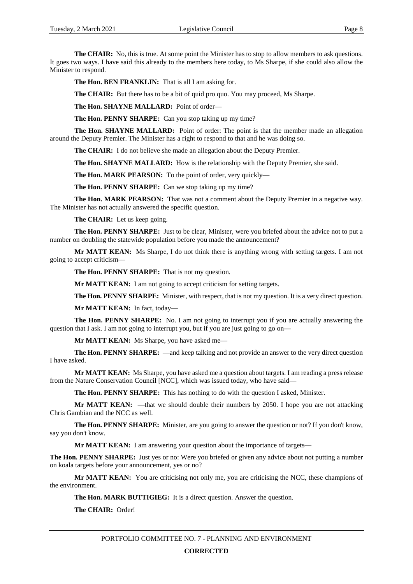**The CHAIR:** No, this is true. At some point the Minister has to stop to allow members to ask questions. It goes two ways. I have said this already to the members here today, to Ms Sharpe, if she could also allow the Minister to respond.

**The Hon. BEN FRANKLIN:** That is all I am asking for.

**The CHAIR:** But there has to be a bit of quid pro quo. You may proceed, Ms Sharpe.

**The Hon. SHAYNE MALLARD:** Point of order—

**The Hon. PENNY SHARPE:** Can you stop taking up my time?

**The Hon. SHAYNE MALLARD:** Point of order: The point is that the member made an allegation around the Deputy Premier. The Minister has a right to respond to that and he was doing so.

**The CHAIR:** I do not believe she made an allegation about the Deputy Premier.

**The Hon. SHAYNE MALLARD:** How is the relationship with the Deputy Premier, she said.

**The Hon. MARK PEARSON:** To the point of order, very quickly—

**The Hon. PENNY SHARPE:** Can we stop taking up my time?

**The Hon. MARK PEARSON:** That was not a comment about the Deputy Premier in a negative way. The Minister has not actually answered the specific question.

**The CHAIR:** Let us keep going.

**The Hon. PENNY SHARPE:** Just to be clear, Minister, were you briefed about the advice not to put a number on doubling the statewide population before you made the announcement?

**Mr MATT KEAN:** Ms Sharpe, I do not think there is anything wrong with setting targets. I am not going to accept criticism—

**The Hon. PENNY SHARPE:** That is not my question.

**Mr MATT KEAN:** I am not going to accept criticism for setting targets.

**The Hon. PENNY SHARPE:** Minister, with respect, that is not my question. It is a very direct question.

**Mr MATT KEAN:** In fact, today—

**The Hon. PENNY SHARPE:** No. I am not going to interrupt you if you are actually answering the question that I ask. I am not going to interrupt you, but if you are just going to go on—

**Mr MATT KEAN:** Ms Sharpe, you have asked me—

**The Hon. PENNY SHARPE:** —and keep talking and not provide an answer to the very direct question I have asked.

**Mr MATT KEAN:** Ms Sharpe, you have asked me a question about targets. I am reading a press release from the Nature Conservation Council [NCC], which was issued today, who have said—

**The Hon. PENNY SHARPE:** This has nothing to do with the question I asked, Minister.

**Mr MATT KEAN:** —that we should double their numbers by 2050. I hope you are not attacking Chris Gambian and the NCC as well.

**The Hon. PENNY SHARPE:** Minister, are you going to answer the question or not? If you don't know, say you don't know.

**Mr MATT KEAN:** I am answering your question about the importance of targets—

**The Hon. PENNY SHARPE:** Just yes or no: Were you briefed or given any advice about not putting a number on koala targets before your announcement, yes or no?

Mr MATT KEAN: You are criticising not only me, you are criticising the NCC, these champions of the environment.

**The Hon. MARK BUTTIGIEG:** It is a direct question. Answer the question.

**The CHAIR:** Order!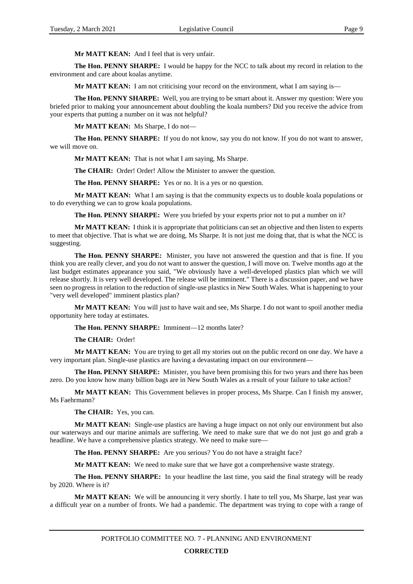**Mr MATT KEAN:** And I feel that is very unfair.

**The Hon. PENNY SHARPE:** I would be happy for the NCC to talk about my record in relation to the environment and care about koalas anytime.

**Mr MATT KEAN:** I am not criticising your record on the environment, what I am saying is—

**The Hon. PENNY SHARPE:** Well, you are trying to be smart about it. Answer my question: Were you briefed prior to making your announcement about doubling the koala numbers? Did you receive the advice from your experts that putting a number on it was not helpful?

**Mr MATT KEAN:** Ms Sharpe, I do not—

**The Hon. PENNY SHARPE:** If you do not know, say you do not know. If you do not want to answer, we will move on.

**Mr MATT KEAN:** That is not what I am saying, Ms Sharpe.

**The CHAIR:** Order! Order! Allow the Minister to answer the question.

**The Hon. PENNY SHARPE:** Yes or no. It is a yes or no question.

**Mr MATT KEAN:** What I am saying is that the community expects us to double koala populations or to do everything we can to grow koala populations.

**The Hon. PENNY SHARPE:** Were you briefed by your experts prior not to put a number on it?

**Mr MATT KEAN:** I think it is appropriate that politicians can set an objective and then listen to experts to meet that objective. That is what we are doing, Ms Sharpe. It is not just me doing that, that is what the NCC is suggesting.

**The Hon. PENNY SHARPE:** Minister, you have not answered the question and that is fine. If you think you are really clever, and you do not want to answer the question, I will move on. Twelve months ago at the last budget estimates appearance you said, "We obviously have a well-developed plastics plan which we will release shortly. It is very well developed. The release will be imminent." There is a discussion paper, and we have seen no progress in relation to the reduction of single-use plastics in New South Wales. What is happening to your "very well developed" imminent plastics plan?

**Mr MATT KEAN:** You will just to have wait and see, Ms Sharpe. I do not want to spoil another media opportunity here today at estimates.

**The Hon. PENNY SHARPE:** Imminent—12 months later?

**The CHAIR:** Order!

**Mr MATT KEAN:** You are trying to get all my stories out on the public record on one day. We have a very important plan. Single-use plastics are having a devastating impact on our environment—

**The Hon. PENNY SHARPE:** Minister, you have been promising this for two years and there has been zero. Do you know how many billion bags are in New South Wales as a result of your failure to take action?

**Mr MATT KEAN:** This Government believes in proper process, Ms Sharpe. Can I finish my answer, Ms Faehrmann?

**The CHAIR:** Yes, you can.

**Mr MATT KEAN:** Single-use plastics are having a huge impact on not only our environment but also our waterways and our marine animals are suffering. We need to make sure that we do not just go and grab a headline. We have a comprehensive plastics strategy. We need to make sure—

**The Hon. PENNY SHARPE:** Are you serious? You do not have a straight face?

**Mr MATT KEAN:** We need to make sure that we have got a comprehensive waste strategy.

**The Hon. PENNY SHARPE:** In your headline the last time, you said the final strategy will be ready by 2020. Where is it?

Mr MATT KEAN: We will be announcing it very shortly. I hate to tell you, Ms Sharpe, last year was a difficult year on a number of fronts. We had a pandemic. The department was trying to cope with a range of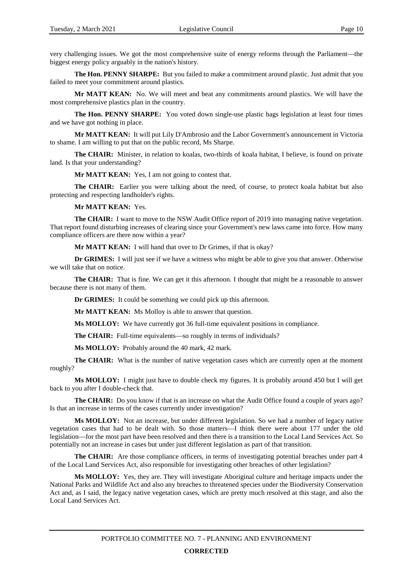very challenging issues. We got the most comprehensive suite of energy reforms through the Parliament—the biggest energy policy arguably in the nation's history.

**The Hon. PENNY SHARPE:** But you failed to make a commitment around plastic. Just admit that you failed to meet your commitment around plastics.

**Mr MATT KEAN:** No. We will meet and beat any commitments around plastics. We will have the most comprehensive plastics plan in the country.

**The Hon. PENNY SHARPE:** You voted down single-use plastic bags legislation at least four times and we have got nothing in place.

**Mr MATT KEAN:** It will put Lily D'Ambrosio and the Labor Government's announcement in Victoria to shame. I am willing to put that on the public record, Ms Sharpe.

**The CHAIR:** Minister, in relation to koalas, two-thirds of koala habitat, I believe, is found on private land. Is that your understanding?

Mr MATT KEAN: Yes, I am not going to contest that.

**The CHAIR:** Earlier you were talking about the need, of course, to protect koala habitat but also protecting and respecting landholder's rights.

**Mr MATT KEAN:** Yes.

**The CHAIR:** I want to move to the NSW Audit Office report of 2019 into managing native vegetation. That report found disturbing increases of clearing since your Government's new laws came into force. How many compliance officers are there now within a year?

**Mr MATT KEAN:** I will hand that over to Dr Grimes, if that is okay?

**Dr GRIMES:** I will just see if we have a witness who might be able to give you that answer. Otherwise we will take that on notice.

**The CHAIR:** That is fine. We can get it this afternoon. I thought that might be a reasonable to answer because there is not many of them.

**Dr GRIMES:** It could be something we could pick up this afternoon.

**Mr MATT KEAN:** Ms Molloy is able to answer that question.

**Ms MOLLOY:** We have currently got 36 full-time equivalent positions in compliance.

**The CHAIR:** Full-time equivalents—so roughly in terms of individuals?

**Ms MOLLOY:** Probably around the 40 mark, 42 mark.

**The CHAIR:** What is the number of native vegetation cases which are currently open at the moment roughly?

**Ms MOLLOY:** I might just have to double check my figures. It is probably around 450 but I will get back to you after I double-check that.

**The CHAIR:** Do you know if that is an increase on what the Audit Office found a couple of years ago? Is that an increase in terms of the cases currently under investigation?

**Ms MOLLOY:** Not an increase, but under different legislation. So we had a number of legacy native vegetation cases that had to be dealt with. So those matters—I think there were about 177 under the old legislation—for the most part have been resolved and then there is a transition to the Local Land Services Act. So potentially not an increase in cases but under just different legislation as part of that transition.

**The CHAIR:** Are those compliance officers, in terms of investigating potential breaches under part 4 of the Local Land Services Act, also responsible for investigating other breaches of other legislation?

**Ms MOLLOY:** Yes, they are. They will investigate Aboriginal culture and heritage impacts under the National Parks and Wildlife Act and also any breaches to threatened species under the Biodiversity Conservation Act and, as I said, the legacy native vegetation cases, which are pretty much resolved at this stage, and also the Local Land Services Act.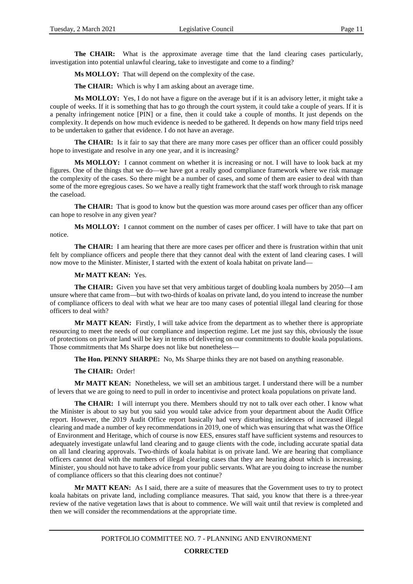**The CHAIR:** What is the approximate average time that the land clearing cases particularly, investigation into potential unlawful clearing, take to investigate and come to a finding?

**Ms MOLLOY:** That will depend on the complexity of the case.

**The CHAIR:** Which is why I am asking about an average time.

**Ms MOLLOY:** Yes, I do not have a figure on the average but if it is an advisory letter, it might take a couple of weeks. If it is something that has to go through the court system, it could take a couple of years. If it is a penalty infringement notice [PIN] or a fine, then it could take a couple of months. It just depends on the complexity. It depends on how much evidence is needed to be gathered. It depends on how many field trips need to be undertaken to gather that evidence. I do not have an average.

**The CHAIR:** Is it fair to say that there are many more cases per officer than an officer could possibly hope to investigate and resolve in any one year, and it is increasing?

**Ms MOLLOY:** I cannot comment on whether it is increasing or not. I will have to look back at my figures. One of the things that we do—we have got a really good compliance framework where we risk manage the complexity of the cases. So there might be a number of cases, and some of them are easier to deal with than some of the more egregious cases. So we have a really tight framework that the staff work through to risk manage the caseload.

**The CHAIR:** That is good to know but the question was more around cases per officer than any officer can hope to resolve in any given year?

**Ms MOLLOY:** I cannot comment on the number of cases per officer. I will have to take that part on notice.

**The CHAIR:** I am hearing that there are more cases per officer and there is frustration within that unit felt by compliance officers and people there that they cannot deal with the extent of land clearing cases. I will now move to the Minister. Minister, I started with the extent of koala habitat on private land—

#### **Mr MATT KEAN:** Yes.

**The CHAIR:** Given you have set that very ambitious target of doubling koala numbers by 2050—I am unsure where that came from—but with two-thirds of koalas on private land, do you intend to increase the number of compliance officers to deal with what we hear are too many cases of potential illegal land clearing for those officers to deal with?

**Mr MATT KEAN:** Firstly, I will take advice from the department as to whether there is appropriate resourcing to meet the needs of our compliance and inspection regime. Let me just say this, obviously the issue of protections on private land will be key in terms of delivering on our commitments to double koala populations. Those commitments that Ms Sharpe does not like but nonetheless—

**The Hon. PENNY SHARPE:** No, Ms Sharpe thinks they are not based on anything reasonable.

#### **The CHAIR:** Order!

**Mr MATT KEAN:** Nonetheless, we will set an ambitious target. I understand there will be a number of levers that we are going to need to pull in order to incentivise and protect koala populations on private land.

**The CHAIR:** I will interrupt you there. Members should try not to talk over each other. I know what the Minister is about to say but you said you would take advice from your department about the Audit Office report. However, the 2019 Audit Office report basically had very disturbing incidences of increased illegal clearing and made a number of key recommendations in 2019, one of which was ensuring that what was the Office of Environment and Heritage, which of course is now EES, ensures staff have sufficient systems and resources to adequately investigate unlawful land clearing and to gauge clients with the code, including accurate spatial data on all land clearing approvals. Two-thirds of koala habitat is on private land. We are hearing that compliance officers cannot deal with the numbers of illegal clearing cases that they are hearing about which is increasing. Minister, you should not have to take advice from your public servants. What are you doing to increase the number of compliance officers so that this clearing does not continue?

**Mr MATT KEAN:** As I said, there are a suite of measures that the Government uses to try to protect koala habitats on private land, including compliance measures. That said, you know that there is a three-year review of the native vegetation laws that is about to commence. We will wait until that review is completed and then we will consider the recommendations at the appropriate time.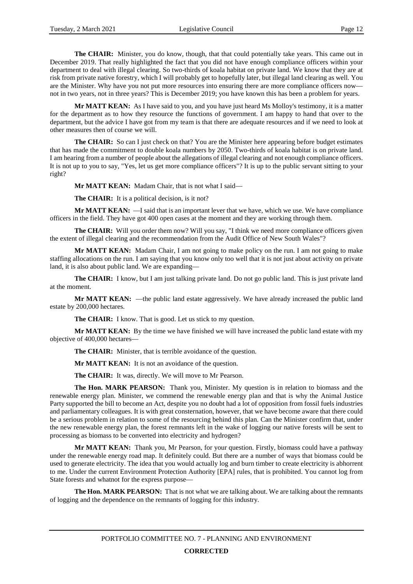**The CHAIR:** Minister, you do know, though, that that could potentially take years. This came out in December 2019. That really highlighted the fact that you did not have enough compliance officers within your department to deal with illegal clearing. So two-thirds of koala habitat on private land. We know that they are at risk from private native forestry, which I will probably get to hopefully later, but illegal land clearing as well. You are the Minister. Why have you not put more resources into ensuring there are more compliance officers now not in two years, not in three years? This is December 2019; you have known this has been a problem for years.

**Mr MATT KEAN:** As I have said to you, and you have just heard Ms Molloy's testimony, it is a matter for the department as to how they resource the functions of government. I am happy to hand that over to the department, but the advice I have got from my team is that there are adequate resources and if we need to look at other measures then of course we will.

**The CHAIR:** So can I just check on that? You are the Minister here appearing before budget estimates that has made the commitment to double koala numbers by 2050. Two-thirds of koala habitat is on private land. I am hearing from a number of people about the allegations of illegal clearing and not enough compliance officers. It is not up to you to say, "Yes, let us get more compliance officers"? It is up to the public servant sitting to your right?

**Mr MATT KEAN:** Madam Chair, that is not what I said—

**The CHAIR:** It is a political decision, is it not?

**Mr MATT KEAN:** —I said that is an important lever that we have, which we use. We have compliance officers in the field. They have got 400 open cases at the moment and they are working through them.

**The CHAIR:** Will you order them now? Will you say, "I think we need more compliance officers given the extent of illegal clearing and the recommendation from the Audit Office of New South Wales"?

**Mr MATT KEAN:** Madam Chair, I am not going to make policy on the run. I am not going to make staffing allocations on the run. I am saying that you know only too well that it is not just about activity on private land, it is also about public land. We are expanding—

**The CHAIR:** I know, but I am just talking private land. Do not go public land. This is just private land at the moment.

**Mr MATT KEAN:** —the public land estate aggressively. We have already increased the public land estate by 200,000 hectares.

**The CHAIR:** I know. That is good. Let us stick to my question.

**Mr MATT KEAN:** By the time we have finished we will have increased the public land estate with my objective of 400,000 hectares—

**The CHAIR:** Minister, that is terrible avoidance of the question.

**Mr MATT KEAN:** It is not an avoidance of the question.

**The CHAIR:** It was, directly. We will move to Mr Pearson.

**The Hon. MARK PEARSON:** Thank you, Minister. My question is in relation to biomass and the renewable energy plan. Minister, we commend the renewable energy plan and that is why the Animal Justice Party supported the bill to become an Act, despite you no doubt had a lot of opposition from fossil fuels industries and parliamentary colleagues. It is with great consternation, however, that we have become aware that there could be a serious problem in relation to some of the resourcing behind this plan. Can the Minister confirm that, under the new renewable energy plan, the forest remnants left in the wake of logging our native forests will be sent to processing as biomass to be converted into electricity and hydrogen?

**Mr MATT KEAN:** Thank you, Mr Pearson, for your question. Firstly, biomass could have a pathway under the renewable energy road map. It definitely could. But there are a number of ways that biomass could be used to generate electricity. The idea that you would actually log and burn timber to create electricity is abhorrent to me. Under the current Environment Protection Authority [EPA] rules, that is prohibited. You cannot log from State forests and whatnot for the express purpose—

**The Hon. MARK PEARSON:** That is not what we are talking about. We are talking about the remnants of logging and the dependence on the remnants of logging for this industry.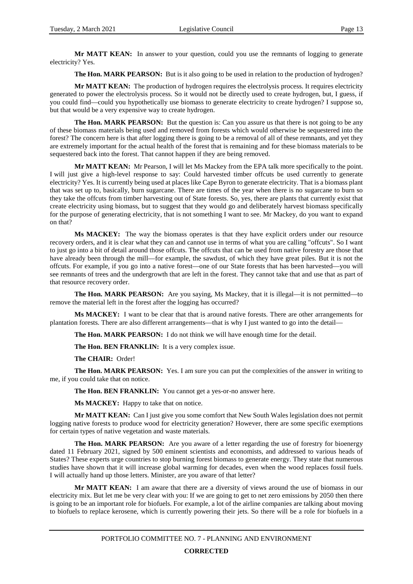Mr MATT KEAN: In answer to your question, could you use the remnants of logging to generate electricity? Yes.

**The Hon. MARK PEARSON:** But is it also going to be used in relation to the production of hydrogen?

**Mr MATT KEAN:** The production of hydrogen requires the electrolysis process. It requires electricity generated to power the electrolysis process. So it would not be directly used to create hydrogen, but, I guess, if you could find—could you hypothetically use biomass to generate electricity to create hydrogen? I suppose so, but that would be a very expensive way to create hydrogen.

**The Hon. MARK PEARSON:** But the question is: Can you assure us that there is not going to be any of these biomass materials being used and removed from forests which would otherwise be sequestered into the forest? The concern here is that after logging there is going to be a removal of all of these remnants, and yet they are extremely important for the actual health of the forest that is remaining and for these biomass materials to be sequestered back into the forest. That cannot happen if they are being removed.

**Mr MATT KEAN:** Mr Pearson, I will let Ms Mackey from the EPA talk more specifically to the point. I will just give a high-level response to say: Could harvested timber offcuts be used currently to generate electricity? Yes. It is currently being used at places like Cape Byron to generate electricity. That is a biomass plant that was set up to, basically, burn sugarcane. There are times of the year when there is no sugarcane to burn so they take the offcuts from timber harvesting out of State forests. So, yes, there are plants that currently exist that create electricity using biomass, but to suggest that they would go and deliberately harvest biomass specifically for the purpose of generating electricity, that is not something I want to see. Mr Mackey, do you want to expand on that?

**Ms MACKEY:** The way the biomass operates is that they have explicit orders under our resource recovery orders, and it is clear what they can and cannot use in terms of what you are calling "offcuts". So I want to just go into a bit of detail around those offcuts. The offcuts that can be used from native forestry are those that have already been through the mill—for example, the sawdust, of which they have great piles. But it is not the offcuts. For example, if you go into a native forest—one of our State forests that has been harvested—you will see remnants of trees and the undergrowth that are left in the forest. They cannot take that and use that as part of that resource recovery order.

**The Hon. MARK PEARSON:** Are you saying, Ms Mackey, that it is illegal—it is not permitted—to remove the material left in the forest after the logging has occurred?

**Ms MACKEY:** I want to be clear that that is around native forests. There are other arrangements for plantation forests. There are also different arrangements—that is why I just wanted to go into the detail—

**The Hon. MARK PEARSON:** I do not think we will have enough time for the detail.

**The Hon. BEN FRANKLIN:** It is a very complex issue.

**The CHAIR:** Order!

**The Hon. MARK PEARSON:** Yes. I am sure you can put the complexities of the answer in writing to me, if you could take that on notice.

**The Hon. BEN FRANKLIN:** You cannot get a yes-or-no answer here.

**Ms MACKEY:** Happy to take that on notice.

**Mr MATT KEAN:** Can I just give you some comfort that New South Wales legislation does not permit logging native forests to produce wood for electricity generation? However, there are some specific exemptions for certain types of native vegetation and waste materials.

**The Hon. MARK PEARSON:** Are you aware of a letter regarding the use of forestry for bioenergy dated 11 February 2021, signed by 500 eminent scientists and economists, and addressed to various heads of States? These experts urge countries to stop burning forest biomass to generate energy. They state that numerous studies have shown that it will increase global warming for decades, even when the wood replaces fossil fuels. I will actually hand up those letters. Minister, are you aware of that letter?

**Mr MATT KEAN:** I am aware that there are a diversity of views around the use of biomass in our electricity mix. But let me be very clear with you: If we are going to get to net zero emissions by 2050 then there is going to be an important role for biofuels. For example, a lot of the airline companies are talking about moving to biofuels to replace kerosene, which is currently powering their jets. So there will be a role for biofuels in a

### **CORRECTED**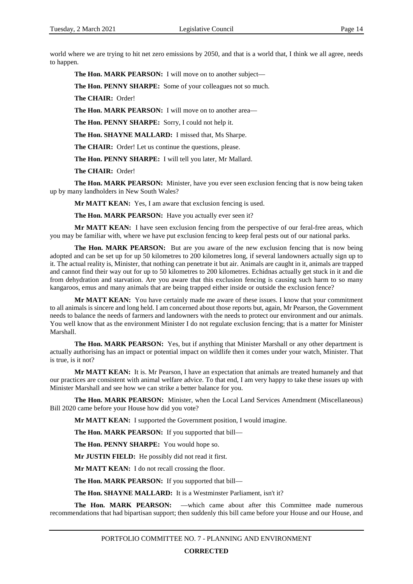world where we are trying to hit net zero emissions by 2050, and that is a world that, I think we all agree, needs to happen.

**The Hon. MARK PEARSON:** I will move on to another subject—

**The Hon. PENNY SHARPE:** Some of your colleagues not so much.

**The CHAIR:** Order!

**The Hon. MARK PEARSON:** I will move on to another area—

**The Hon. PENNY SHARPE:** Sorry, I could not help it.

**The Hon. SHAYNE MALLARD:** I missed that, Ms Sharpe.

**The CHAIR:** Order! Let us continue the questions, please.

**The Hon. PENNY SHARPE:** I will tell you later, Mr Mallard.

**The CHAIR:** Order!

**The Hon. MARK PEARSON:** Minister, have you ever seen exclusion fencing that is now being taken up by many landholders in New South Wales?

**Mr MATT KEAN:** Yes, I am aware that exclusion fencing is used.

**The Hon. MARK PEARSON:** Have you actually ever seen it?

**Mr MATT KEAN:** I have seen exclusion fencing from the perspective of our feral-free areas, which you may be familiar with, where we have put exclusion fencing to keep feral pests out of our national parks.

**The Hon. MARK PEARSON:** But are you aware of the new exclusion fencing that is now being adopted and can be set up for up 50 kilometres to 200 kilometres long, if several landowners actually sign up to it. The actual reality is, Minister, that nothing can penetrate it but air. Animals are caught in it, animals are trapped and cannot find their way out for up to 50 kilometres to 200 kilometres. Echidnas actually get stuck in it and die from dehydration and starvation. Are you aware that this exclusion fencing is causing such harm to so many kangaroos, emus and many animals that are being trapped either inside or outside the exclusion fence?

**Mr MATT KEAN:** You have certainly made me aware of these issues. I know that your commitment to all animals is sincere and long held. I am concerned about those reports but, again, Mr Pearson, the Government needs to balance the needs of farmers and landowners with the needs to protect our environment and our animals. You well know that as the environment Minister I do not regulate exclusion fencing; that is a matter for Minister Marshall.

**The Hon. MARK PEARSON:** Yes, but if anything that Minister Marshall or any other department is actually authorising has an impact or potential impact on wildlife then it comes under your watch, Minister. That is true, is it not?

**Mr MATT KEAN:** It is. Mr Pearson, I have an expectation that animals are treated humanely and that our practices are consistent with animal welfare advice. To that end, I am very happy to take these issues up with Minister Marshall and see how we can strike a better balance for you.

**The Hon. MARK PEARSON:** Minister, when the Local Land Services Amendment (Miscellaneous) Bill 2020 came before your House how did you vote?

**Mr MATT KEAN:** I supported the Government position, I would imagine.

**The Hon. MARK PEARSON:** If you supported that bill—

**The Hon. PENNY SHARPE:** You would hope so.

**Mr JUSTIN FIELD:** He possibly did not read it first.

**Mr MATT KEAN:** I do not recall crossing the floor.

**The Hon. MARK PEARSON:** If you supported that bill—

**The Hon. SHAYNE MALLARD:** It is a Westminster Parliament, isn't it?

**The Hon. MARK PEARSON:** —which came about after this Committee made numerous recommendations that had bipartisan support; then suddenly this bill came before your House and our House, and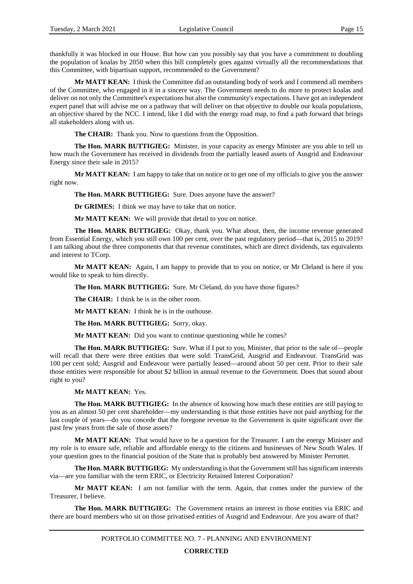thankfully it was blocked in our House. But how can you possibly say that you have a commitment to doubling the population of koalas by 2050 when this bill completely goes against virtually all the recommendations that this Committee, with bipartisan support, recommended to the Government?

**Mr MATT KEAN:** I think the Committee did an outstanding body of work and I commend all members of the Committee, who engaged in it in a sincere way. The Government needs to do more to protect koalas and deliver on not only the Committee's expectations but also the community's expectations. I have got an independent expert panel that will advise me on a pathway that will deliver on that objective to double our koala populations, an objective shared by the NCC. I intend, like I did with the energy road map, to find a path forward that brings all stakeholders along with us.

**The CHAIR:** Thank you. Now to questions from the Opposition.

**The Hon. MARK BUTTIGIEG:** Minister, in your capacity as energy Minister are you able to tell us how much the Government has received in dividends from the partially leased assets of Ausgrid and Endeavour Energy since their sale in 2015?

**Mr MATT KEAN:** I am happy to take that on notice or to get one of my officials to give you the answer right now.

**The Hon. MARK BUTTIGIEG:** Sure. Does anyone have the answer?

**Dr GRIMES:** I think we may have to take that on notice.

**Mr MATT KEAN:** We will provide that detail to you on notice.

**The Hon. MARK BUTTIGIEG:** Okay, thank you. What about, then, the income revenue generated from Essential Energy, which you still own 100 per cent, over the past regulatory period—that is, 2015 to 2019? I am talking about the three components that that revenue constitutes, which are direct dividends, tax equivalents and interest to TCorp.

**Mr MATT KEAN:** Again, I am happy to provide that to you on notice, or Mr Cleland is here if you would like to speak to him directly.

**The Hon. MARK BUTTIGIEG:** Sure. Mr Cleland, do you have those figures?

**The CHAIR:** I think he is in the other room.

**Mr MATT KEAN:** I think he is in the outhouse.

**The Hon. MARK BUTTIGIEG:** Sorry, okay.

**Mr MATT KEAN:** Did you want to continue questioning while he comes?

**The Hon. MARK BUTTIGIEG:** Sure. What if I put to you, Minister, that prior to the sale of—people will recall that there were three entities that were sold: TransGrid, Ausgrid and Endeavour. TransGrid was 100 per cent sold; Ausgrid and Endeavour were partially leased—around about 50 per cent. Prior to their sale those entities were responsible for about \$2 billion in annual revenue to the Government. Does that sound about right to you?

#### **Mr MATT KEAN:** Yes.

**The Hon. MARK BUTTIGIEG:** In the absence of knowing how much these entities are still paying to you as an almost 50 per cent shareholder—my understanding is that those entities have not paid anything for the last couple of years—do you concede that the foregone revenue to the Government is quite significant over the past few years from the sale of those assets?

**Mr MATT KEAN:** That would have to be a question for the Treasurer. I am the energy Minister and my role is to ensure safe, reliable and affordable energy to the citizens and businesses of New South Wales. If your question goes to the financial position of the State that is probably best answered by Minister Perrottet.

**The Hon. MARK BUTTIGIEG:** My understanding is that the Government still has significant interests via—are you familiar with the term ERIC, or Electricity Retained Interest Corporation?

**Mr MATT KEAN:** I am not familiar with the term. Again, that comes under the purview of the Treasurer, I believe.

**The Hon. MARK BUTTIGIEG:** The Government retains an interest in those entities via ERIC and there are board members who sit on those privatised entities of Ausgrid and Endeavour. Are you aware of that?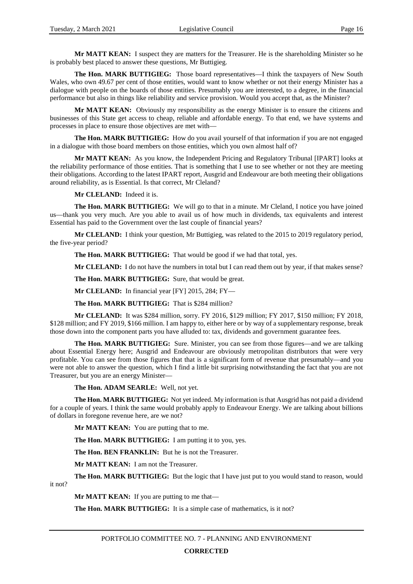**Mr MATT KEAN:** I suspect they are matters for the Treasurer. He is the shareholding Minister so he is probably best placed to answer these questions, Mr Buttigieg.

**The Hon. MARK BUTTIGIEG:** Those board representatives—I think the taxpayers of New South Wales, who own 49.67 per cent of those entities, would want to know whether or not their energy Minister has a dialogue with people on the boards of those entities. Presumably you are interested, to a degree, in the financial performance but also in things like reliability and service provision. Would you accept that, as the Minister?

**Mr MATT KEAN:** Obviously my responsibility as the energy Minister is to ensure the citizens and businesses of this State get access to cheap, reliable and affordable energy. To that end, we have systems and processes in place to ensure those objectives are met with—

**The Hon. MARK BUTTIGIEG:** How do you avail yourself of that information if you are not engaged in a dialogue with those board members on those entities, which you own almost half of?

**Mr MATT KEAN:** As you know, the Independent Pricing and Regulatory Tribunal [IPART] looks at the reliability performance of those entities. That is something that I use to see whether or not they are meeting their obligations. According to the latest IPART report, Ausgrid and Endeavour are both meeting their obligations around reliability, as is Essential. Is that correct, Mr Cleland?

**Mr CLELAND:** Indeed it is.

**The Hon. MARK BUTTIGIEG:** We will go to that in a minute. Mr Cleland, I notice you have joined us—thank you very much. Are you able to avail us of how much in dividends, tax equivalents and interest Essential has paid to the Government over the last couple of financial years?

**Mr CLELAND:** I think your question, Mr Buttigieg, was related to the 2015 to 2019 regulatory period, the five-year period?

**The Hon. MARK BUTTIGIEG:** That would be good if we had that total, yes.

**Mr CLELAND:** I do not have the numbers in total but I can read them out by year, if that makes sense?

**The Hon. MARK BUTTIGIEG:** Sure, that would be great.

**Mr CLELAND:** In financial year [FY] 2015, 284; FY—

**The Hon. MARK BUTTIGIEG:** That is \$284 million?

**Mr CLELAND:** It was \$284 million, sorry. FY 2016, \$129 million; FY 2017, \$150 million; FY 2018, \$128 million; and FY 2019, \$166 million. I am happy to, either here or by way of a supplementary response, break those down into the component parts you have alluded to: tax, dividends and government guarantee fees.

**The Hon. MARK BUTTIGIEG:** Sure. Minister, you can see from those figures—and we are talking about Essential Energy here; Ausgrid and Endeavour are obviously metropolitan distributors that were very profitable. You can see from those figures that that is a significant form of revenue that presumably—and you were not able to answer the question, which I find a little bit surprising notwithstanding the fact that you are not Treasurer, but you are an energy Minister—

**The Hon. ADAM SEARLE:** Well, not yet.

**The Hon. MARK BUTTIGIEG:** Not yet indeed. My information is that Ausgrid has not paid a dividend for a couple of years. I think the same would probably apply to Endeavour Energy. We are talking about billions of dollars in foregone revenue here, are we not?

**Mr MATT KEAN:** You are putting that to me.

**The Hon. MARK BUTTIGIEG:** I am putting it to you, yes.

**The Hon. BEN FRANKLIN:** But he is not the Treasurer.

**Mr MATT KEAN:** I am not the Treasurer.

**The Hon. MARK BUTTIGIEG:** But the logic that I have just put to you would stand to reason, would

it not?

**Mr MATT KEAN:** If you are putting to me that—

**The Hon. MARK BUTTIGIEG:** It is a simple case of mathematics, is it not?

PORTFOLIO COMMITTEE NO. 7 - PLANNING AND ENVIRONMENT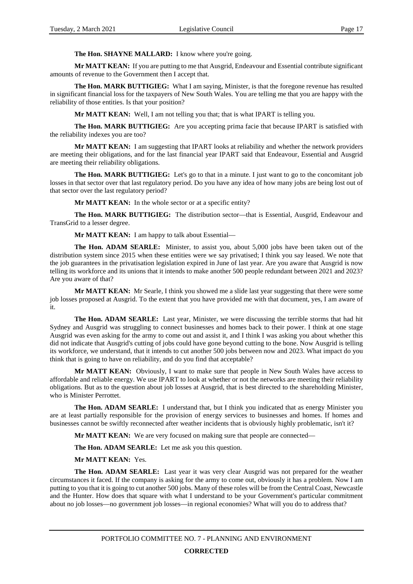#### **The Hon. SHAYNE MALLARD:** I know where you're going.

**Mr MATT KEAN:** If you are putting to me that Ausgrid, Endeavour and Essential contribute significant amounts of revenue to the Government then I accept that.

**The Hon. MARK BUTTIGIEG:** What I am saying, Minister, is that the foregone revenue has resulted in significant financial loss for the taxpayers of New South Wales. You are telling me that you are happy with the reliability of those entities. Is that your position?

**Mr MATT KEAN:** Well, I am not telling you that; that is what IPART is telling you.

**The Hon. MARK BUTTIGIEG:** Are you accepting prima facie that because IPART is satisfied with the reliability indexes you are too?

**Mr MATT KEAN:** I am suggesting that IPART looks at reliability and whether the network providers are meeting their obligations, and for the last financial year IPART said that Endeavour, Essential and Ausgrid are meeting their reliability obligations.

**The Hon. MARK BUTTIGIEG:** Let's go to that in a minute. I just want to go to the concomitant job losses in that sector over that last regulatory period. Do you have any idea of how many jobs are being lost out of that sector over the last regulatory period?

**Mr MATT KEAN:** In the whole sector or at a specific entity?

**The Hon. MARK BUTTIGIEG:** The distribution sector—that is Essential, Ausgrid, Endeavour and TransGrid to a lesser degree.

**Mr MATT KEAN:** I am happy to talk about Essential—

**The Hon. ADAM SEARLE:** Minister, to assist you, about 5,000 jobs have been taken out of the distribution system since 2015 when these entities were we say privatised; I think you say leased. We note that the job guarantees in the privatisation legislation expired in June of last year. Are you aware that Ausgrid is now telling its workforce and its unions that it intends to make another 500 people redundant between 2021 and 2023? Are you aware of that?

**Mr MATT KEAN:** Mr Searle, I think you showed me a slide last year suggesting that there were some job losses proposed at Ausgrid. To the extent that you have provided me with that document, yes, I am aware of it.

**The Hon. ADAM SEARLE:** Last year, Minister, we were discussing the terrible storms that had hit Sydney and Ausgrid was struggling to connect businesses and homes back to their power. I think at one stage Ausgrid was even asking for the army to come out and assist it, and I think I was asking you about whether this did not indicate that Ausgrid's cutting of jobs could have gone beyond cutting to the bone. Now Ausgrid is telling its workforce, we understand, that it intends to cut another 500 jobs between now and 2023. What impact do you think that is going to have on reliability, and do you find that acceptable?

**Mr MATT KEAN:** Obviously, I want to make sure that people in New South Wales have access to affordable and reliable energy. We use IPART to look at whether or not the networks are meeting their reliability obligations. But as to the question about job losses at Ausgrid, that is best directed to the shareholding Minister, who is Minister Perrottet.

**The Hon. ADAM SEARLE:** I understand that, but I think you indicated that as energy Minister you are at least partially responsible for the provision of energy services to businesses and homes. If homes and businesses cannot be swiftly reconnected after weather incidents that is obviously highly problematic, isn't it?

**Mr MATT KEAN:** We are very focused on making sure that people are connected—

**The Hon. ADAM SEARLE:** Let me ask you this question.

#### **Mr MATT KEAN:** Yes.

**The Hon. ADAM SEARLE:** Last year it was very clear Ausgrid was not prepared for the weather circumstances it faced. If the company is asking for the army to come out, obviously it has a problem. Now I am putting to you that it is going to cut another 500 jobs. Many of these roles will be from the Central Coast, Newcastle and the Hunter. How does that square with what I understand to be your Government's particular commitment about no job losses—no government job losses—in regional economies? What will you do to address that?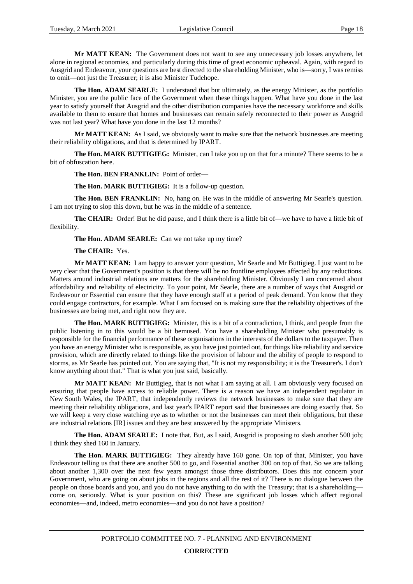**Mr MATT KEAN:** The Government does not want to see any unnecessary job losses anywhere, let alone in regional economies, and particularly during this time of great economic upheaval. Again, with regard to Ausgrid and Endeavour, your questions are best directed to the shareholding Minister, who is—sorry, I was remiss to omit—not just the Treasurer; it is also Minister Tudehope.

**The Hon. ADAM SEARLE:** I understand that but ultimately, as the energy Minister, as the portfolio Minister, you are the public face of the Government when these things happen. What have you done in the last year to satisfy yourself that Ausgrid and the other distribution companies have the necessary workforce and skills available to them to ensure that homes and businesses can remain safely reconnected to their power as Ausgrid was not last year? What have you done in the last 12 months?

**Mr MATT KEAN:** As I said, we obviously want to make sure that the network businesses are meeting their reliability obligations, and that is determined by IPART.

**The Hon. MARK BUTTIGIEG:** Minister, can I take you up on that for a minute? There seems to be a bit of obfuscation here.

**The Hon. BEN FRANKLIN:** Point of order—

**The Hon. MARK BUTTIGIEG:** It is a follow-up question.

**The Hon. BEN FRANKLIN:** No, hang on. He was in the middle of answering Mr Searle's question. I am not trying to slop this down, but he was in the middle of a sentence.

**The CHAIR:** Order! But he did pause, and I think there is a little bit of—we have to have a little bit of flexibility.

**The Hon. ADAM SEARLE:** Can we not take up my time?

#### **The CHAIR:** Yes.

**Mr MATT KEAN:** I am happy to answer your question, Mr Searle and Mr Buttigieg. I just want to be very clear that the Government's position is that there will be no frontline employees affected by any reductions. Matters around industrial relations are matters for the shareholding Minister. Obviously I am concerned about affordability and reliability of electricity. To your point, Mr Searle, there are a number of ways that Ausgrid or Endeavour or Essential can ensure that they have enough staff at a period of peak demand. You know that they could engage contractors, for example. What I am focused on is making sure that the reliability objectives of the businesses are being met, and right now they are.

**The Hon. MARK BUTTIGIEG:** Minister, this is a bit of a contradiction, I think, and people from the public listening in to this would be a bit bemused. You have a shareholding Minister who presumably is responsible for the financial performance of these organisations in the interests of the dollars to the taxpayer. Then you have an energy Minister who is responsible, as you have just pointed out, for things like reliability and service provision, which are directly related to things like the provision of labour and the ability of people to respond to storms, as Mr Searle has pointed out. You are saying that, "It is not my responsibility; it is the Treasurer's. I don't know anything about that." That is what you just said, basically.

Mr MATT KEAN: Mr Buttigieg, that is not what I am saying at all. I am obviously very focused on ensuring that people have access to reliable power. There is a reason we have an independent regulator in New South Wales, the IPART, that independently reviews the network businesses to make sure that they are meeting their reliability obligations, and last year's IPART report said that businesses are doing exactly that. So we will keep a very close watching eye as to whether or not the businesses can meet their obligations, but these are industrial relations [IR] issues and they are best answered by the appropriate Ministers.

**The Hon. ADAM SEARLE:** I note that. But, as I said, Ausgrid is proposing to slash another 500 job; I think they shed 160 in January.

**The Hon. MARK BUTTIGIEG:** They already have 160 gone. On top of that, Minister, you have Endeavour telling us that there are another 500 to go, and Essential another 300 on top of that. So we are talking about another 1,300 over the next few years amongst those three distributors. Does this not concern your Government, who are going on about jobs in the regions and all the rest of it? There is no dialogue between the people on those boards and you, and you do not have anything to do with the Treasury; that is a shareholding come on, seriously. What is your position on this? These are significant job losses which affect regional economies—and, indeed, metro economies—and you do not have a position?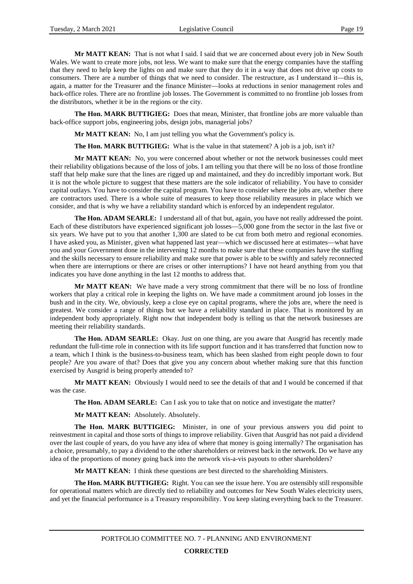**Mr MATT KEAN:** That is not what I said. I said that we are concerned about every job in New South Wales. We want to create more jobs, not less. We want to make sure that the energy companies have the staffing that they need to help keep the lights on and make sure that they do it in a way that does not drive up costs to consumers. There are a number of things that we need to consider. The restructure, as I understand it—this is, again, a matter for the Treasurer and the finance Minister—looks at reductions in senior management roles and back-office roles. There are no frontline job losses. The Government is committed to no frontline job losses from the distributors, whether it be in the regions or the city.

**The Hon. MARK BUTTIGIEG:** Does that mean, Minister, that frontline jobs are more valuable than back-office support jobs, engineering jobs, design jobs, managerial jobs?

**Mr MATT KEAN:** No, I am just telling you what the Government's policy is.

**The Hon. MARK BUTTIGIEG:** What is the value in that statement? A job is a job, isn't it?

**Mr MATT KEAN:** No, you were concerned about whether or not the network businesses could meet their reliability obligations because of the loss of jobs. I am telling you that there will be no loss of those frontline staff that help make sure that the lines are rigged up and maintained, and they do incredibly important work. But it is not the whole picture to suggest that these matters are the sole indicator of reliability. You have to consider capital outlays. You have to consider the capital program. You have to consider where the jobs are, whether there are contractors used. There is a whole suite of measures to keep those reliability measures in place which we consider, and that is why we have a reliability standard which is enforced by an independent regulator.

**The Hon. ADAM SEARLE:** I understand all of that but, again, you have not really addressed the point. Each of these distributors have experienced significant job losses—5,000 gone from the sector in the last five or six years. We have put to you that another 1,300 are slated to be cut from both metro and regional economies. I have asked you, as Minister, given what happened last year—which we discussed here at estimates—what have you and your Government done in the intervening 12 months to make sure that these companies have the staffing and the skills necessary to ensure reliability and make sure that power is able to be swiftly and safely reconnected when there are interruptions or there are crises or other interruptions? I have not heard anything from you that indicates you have done anything in the last 12 months to address that.

**Mr MATT KEAN:** We have made a very strong commitment that there will be no loss of frontline workers that play a critical role in keeping the lights on. We have made a commitment around job losses in the bush and in the city. We, obviously, keep a close eye on capital programs, where the jobs are, where the need is greatest. We consider a range of things but we have a reliability standard in place. That is monitored by an independent body appropriately. Right now that independent body is telling us that the network businesses are meeting their reliability standards.

**The Hon. ADAM SEARLE:** Okay. Just on one thing, are you aware that Ausgrid has recently made redundant the full-time role in connection with its life support function and it has transferred that function now to a team, which I think is the business-to-business team, which has been slashed from eight people down to four people? Are you aware of that? Does that give you any concern about whether making sure that this function exercised by Ausgrid is being properly attended to?

**Mr MATT KEAN:** Obviously I would need to see the details of that and I would be concerned if that was the case.

**The Hon. ADAM SEARLE:** Can I ask you to take that on notice and investigate the matter?

**Mr MATT KEAN:** Absolutely. Absolutely.

**The Hon. MARK BUTTIGIEG:** Minister, in one of your previous answers you did point to reinvestment in capital and those sorts of things to improve reliability. Given that Ausgrid has not paid a dividend over the last couple of years, do you have any idea of where that money is going internally? The organisation has a choice, presumably, to pay a dividend to the other shareholders or reinvest back in the network. Do we have any idea of the proportions of money going back into the network vis-a-vis payouts to other shareholders?

**Mr MATT KEAN:** I think these questions are best directed to the shareholding Ministers.

**The Hon. MARK BUTTIGIEG:** Right. You can see the issue here. You are ostensibly still responsible for operational matters which are directly tied to reliability and outcomes for New South Wales electricity users, and yet the financial performance is a Treasury responsibility. You keep slating everything back to the Treasurer.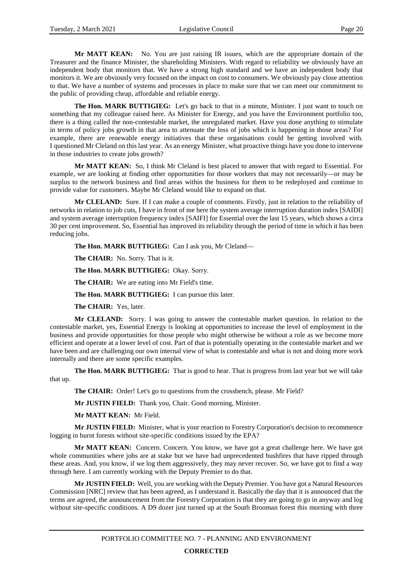**Mr MATT KEAN:** No. You are just raising IR issues, which are the appropriate domain of the Treasurer and the finance Minister, the shareholding Ministers. With regard to reliability we obviously have an independent body that monitors that. We have a strong high standard and we have an independent body that monitors it. We are obviously very focused on the impact on cost to consumers. We obviously pay close attention to that. We have a number of systems and processes in place to make sure that we can meet our commitment to the public of providing cheap, affordable and reliable energy.

**The Hon. MARK BUTTIGIEG:** Let's go back to that in a minute, Minister. I just want to touch on something that my colleague raised here. As Minister for Energy, and you have the Environment portfolio too, there is a thing called the non-contestable market, the unregulated market. Have you done anything to stimulate in terms of policy jobs growth in that area to attenuate the loss of jobs which is happening in those areas? For example, there are renewable energy initiatives that these organisations could be getting involved with. I questioned Mr Cleland on this last year. As an energy Minister, what proactive things have you done to intervene in those industries to create jobs growth?

**Mr MATT KEAN:** So, I think Mr Cleland is best placed to answer that with regard to Essential. For example, we are looking at finding other opportunities for those workers that may not necessarily—or may be surplus to the network business and find areas within the business for them to be redeployed and continue to provide value for customers. Maybe Mr Cleland would like to expand on that.

**Mr CLELAND:** Sure. If I can make a couple of comments. Firstly, just in relation to the reliability of networks in relation to job cuts, I have in front of me here the system average interruption duration index [SAIDI] and system average interruption frequency index [SAIFI] for Essential over the last 15 years, which shows a circa 30 per cent improvement. So, Essential has improved its reliability through the period of time in which it has been reducing jobs.

**The Hon. MARK BUTTIGIEG:** Can I ask you, Mr Cleland—

**The CHAIR:** No. Sorry. That is it.

**The Hon. MARK BUTTIGIEG:** Okay. Sorry.

**The CHAIR:** We are eating into Mr Field's time.

**The Hon. MARK BUTTIGIEG:** I can pursue this later.

**The CHAIR:** Yes, later.

**Mr CLELAND:** Sorry. I was going to answer the contestable market question. In relation to the contestable market, yes, Essential Energy is looking at opportunities to increase the level of employment in the business and provide opportunities for those people who might otherwise be without a role as we become more efficient and operate at a lower level of cost. Part of that is potentially operating in the contestable market and we have been and are challenging our own internal view of what is contestable and what is not and doing more work internally and there are some specific examples.

**The Hon. MARK BUTTIGIEG:** That is good to hear. That is progress from last year but we will take that up.

**The CHAIR:** Order! Let's go to questions from the crossbench, please. Mr Field?

**Mr JUSTIN FIELD:** Thank you, Chair. Good morning, Minister.

**Mr MATT KEAN:** Mr Field.

**Mr JUSTIN FIELD:** Minister, what is your reaction to Forestry Corporation's decision to recommence logging in burnt forests without site-specific conditions issued by the EPA?

**Mr MATT KEAN:** Concern. Concern. You know, we have got a great challenge here. We have got whole communities where jobs are at stake but we have had unprecedented bushfires that have ripped through these areas. And, you know, if we log them aggressively, they may never recover. So, we have got to find a way through here. I am currently working with the Deputy Premier to do that.

**Mr JUSTIN FIELD:** Well, you are working with the Deputy Premier. You have got a Natural Resources Commission [NRC] review that has been agreed, as I understand it. Basically the day that it is announced that the terms are agreed, the announcement from the Forestry Corporation is that they are going to go in anyway and log without site-specific conditions. A D9 dozer just turned up at the South Brooman forest this morning with three

#### **CORRECTED**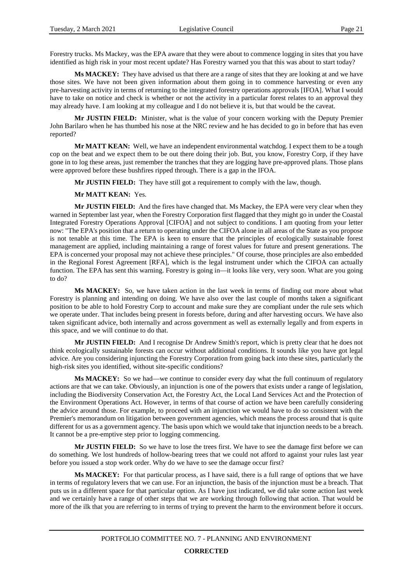Forestry trucks. Ms Mackey, was the EPA aware that they were about to commence logging in sites that you have identified as high risk in your most recent update? Has Forestry warned you that this was about to start today?

**Ms MACKEY:** They have advised us that there are a range of sites that they are looking at and we have those sites. We have not been given information about them going in to commence harvesting or even any pre-harvesting activity in terms of returning to the integrated forestry operations approvals [IFOA]. What I would have to take on notice and check is whether or not the activity in a particular forest relates to an approval they may already have. I am looking at my colleague and I do not believe it is, but that would be the caveat.

**Mr JUSTIN FIELD:** Minister, what is the value of your concern working with the Deputy Premier John Barilaro when he has thumbed his nose at the NRC review and he has decided to go in before that has even reported?

**Mr MATT KEAN:** Well, we have an independent environmental watchdog. I expect them to be a tough cop on the beat and we expect them to be out there doing their job. But, you know, Forestry Corp, if they have gone in to log these areas, just remember the tranches that they are logging have pre-approved plans. Those plans were approved before these bushfires ripped through. There is a gap in the IFOA.

**Mr JUSTIN FIELD:** They have still got a requirement to comply with the law, though.

**Mr MATT KEAN:** Yes.

**Mr JUSTIN FIELD:** And the fires have changed that. Ms Mackey, the EPA were very clear when they warned in September last year, when the Forestry Corporation first flagged that they might go in under the Coastal Integrated Forestry Operations Approval [CIFOA] and not subject to conditions. I am quoting from your letter now: "The EPA's position that a return to operating under the CIFOA alone in all areas of the State as you propose is not tenable at this time. The EPA is keen to ensure that the principles of ecologically sustainable forest management are applied, including maintaining a range of forest values for future and present generations. The EPA is concerned your proposal may not achieve these principles." Of course, those principles are also embedded in the Regional Forest Agreement [RFA], which is the legal instrument under which the CIFOA can actually function. The EPA has sent this warning. Forestry is going in—it looks like very, very soon. What are you going to do?

**Ms MACKEY:** So, we have taken action in the last week in terms of finding out more about what Forestry is planning and intending on doing. We have also over the last couple of months taken a significant position to be able to hold Forestry Corp to account and make sure they are compliant under the rule sets which we operate under. That includes being present in forests before, during and after harvesting occurs. We have also taken significant advice, both internally and across government as well as externally legally and from experts in this space, and we will continue to do that.

**Mr JUSTIN FIELD:** And I recognise Dr Andrew Smith's report, which is pretty clear that he does not think ecologically sustainable forests can occur without additional conditions. It sounds like you have got legal advice. Are you considering injuncting the Forestry Corporation from going back into these sites, particularly the high-risk sites you identified, without site-specific conditions?

**Ms MACKEY:** So we had—we continue to consider every day what the full continuum of regulatory actions are that we can take. Obviously, an injunction is one of the powers that exists under a range of legislation, including the Biodiversity Conservation Act, the Forestry Act, the Local Land Services Act and the Protection of the Environment Operations Act. However, in terms of that course of action we have been carefully considering the advice around those. For example, to proceed with an injunction we would have to do so consistent with the Premier's memorandum on litigation between government agencies, which means the process around that is quite different for us as a government agency. The basis upon which we would take that injunction needs to be a breach. It cannot be a pre-emptive step prior to logging commencing.

**Mr JUSTIN FIELD:** So we have to lose the trees first. We have to see the damage first before we can do something. We lost hundreds of hollow-bearing trees that we could not afford to against your rules last year before you issued a stop work order. Why do we have to see the damage occur first?

**Ms MACKEY:** For that particular process, as I have said, there is a full range of options that we have in terms of regulatory levers that we can use. For an injunction, the basis of the injunction must be a breach. That puts us in a different space for that particular option. As I have just indicated, we did take some action last week and we certainly have a range of other steps that we are working through following that action. That would be more of the ilk that you are referring to in terms of trying to prevent the harm to the environment before it occurs.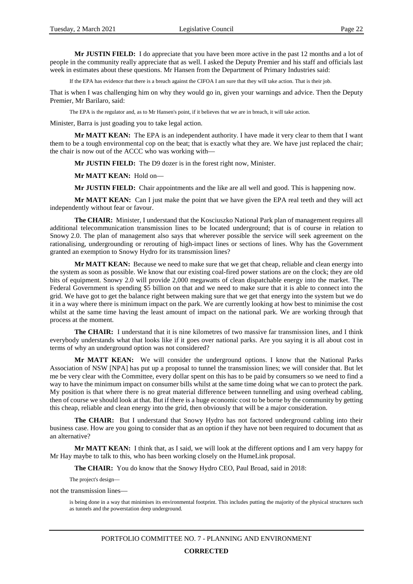**Mr JUSTIN FIELD:** I do appreciate that you have been more active in the past 12 months and a lot of people in the community really appreciate that as well. I asked the Deputy Premier and his staff and officials last week in estimates about these questions. Mr Hansen from the Department of Primary Industries said:

If the EPA has evidence that there is a breach against the CIFOA I am sure that they will take action. That is their job.

That is when I was challenging him on why they would go in, given your warnings and advice. Then the Deputy Premier, Mr Barilaro, said:

The EPA is the regulator and, as to Mr Hansen's point, if it believes that we are in breach, it will take action.

Minister, Barra is just goading you to take legal action.

**Mr MATT KEAN:** The EPA is an independent authority. I have made it very clear to them that I want them to be a tough environmental cop on the beat; that is exactly what they are. We have just replaced the chair; the chair is now out of the ACCC who was working with—

**Mr JUSTIN FIELD:** The D9 dozer is in the forest right now, Minister.

**Mr MATT KEAN:** Hold on—

**Mr JUSTIN FIELD:** Chair appointments and the like are all well and good. This is happening now.

**Mr MATT KEAN:** Can I just make the point that we have given the EPA real teeth and they will act independently without fear or favour.

**The CHAIR:** Minister, I understand that the Kosciuszko National Park plan of management requires all additional telecommunication transmission lines to be located underground; that is of course in relation to Snowy 2.0. The plan of management also says that wherever possible the service will seek agreement on the rationalising, undergrounding or rerouting of high-impact lines or sections of lines. Why has the Government granted an exemption to Snowy Hydro for its transmission lines?

**Mr MATT KEAN:** Because we need to make sure that we get that cheap, reliable and clean energy into the system as soon as possible. We know that our existing coal-fired power stations are on the clock; they are old bits of equipment. Snowy 2.0 will provide 2,000 megawatts of clean dispatchable energy into the market. The Federal Government is spending \$5 billion on that and we need to make sure that it is able to connect into the grid. We have got to get the balance right between making sure that we get that energy into the system but we do it in a way where there is minimum impact on the park. We are currently looking at how best to minimise the cost whilst at the same time having the least amount of impact on the national park. We are working through that process at the moment.

**The CHAIR:** I understand that it is nine kilometres of two massive far transmission lines, and I think everybody understands what that looks like if it goes over national parks. Are you saying it is all about cost in terms of why an underground option was not considered?

**Mr MATT KEAN:** We will consider the underground options. I know that the National Parks Association of NSW [NPA] has put up a proposal to tunnel the transmission lines; we will consider that. But let me be very clear with the Committee, every dollar spent on this has to be paid by consumers so we need to find a way to have the minimum impact on consumer bills whilst at the same time doing what we can to protect the park. My position is that where there is no great material difference between tunnelling and using overhead cabling, then of course we should look at that. But if there is a huge economic cost to be borne by the community by getting this cheap, reliable and clean energy into the grid, then obviously that will be a major consideration.

**The CHAIR:** But I understand that Snowy Hydro has not factored underground cabling into their business case. How are you going to consider that as an option if they have not been required to document that as an alternative?

**Mr MATT KEAN:** I think that, as I said, we will look at the different options and I am very happy for Mr Hay maybe to talk to this, who has been working closely on the HumeLink proposal.

**The CHAIR:** You do know that the Snowy Hydro CEO, Paul Broad, said in 2018:

The project's design—

not the transmission lines—

is being done in a way that minimises its environmental footprint. This includes putting the majority of the physical structures such as tunnels and the powerstation deep underground.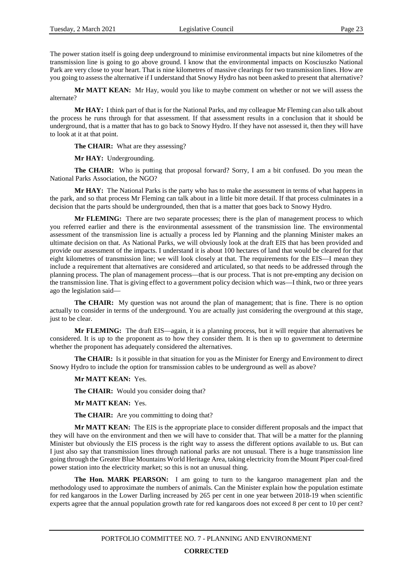The power station itself is going deep underground to minimise environmental impacts but nine kilometres of the transmission line is going to go above ground. I know that the environmental impacts on Kosciuszko National Park are very close to your heart. That is nine kilometres of massive clearings for two transmission lines. How are you going to assess the alternative if I understand that Snowy Hydro has not been asked to present that alternative?

**Mr MATT KEAN:** Mr Hay, would you like to maybe comment on whether or not we will assess the alternate?

**Mr HAY:** I think part of that is for the National Parks, and my colleague Mr Fleming can also talk about the process he runs through for that assessment. If that assessment results in a conclusion that it should be underground, that is a matter that has to go back to Snowy Hydro. If they have not assessed it, then they will have to look at it at that point.

**The CHAIR:** What are they assessing?

**Mr HAY:** Undergrounding.

**The CHAIR:** Who is putting that proposal forward? Sorry, I am a bit confused. Do you mean the National Parks Association, the NGO?

**Mr HAY:** The National Parks is the party who has to make the assessment in terms of what happens in the park, and so that process Mr Fleming can talk about in a little bit more detail. If that process culminates in a decision that the parts should be undergrounded, then that is a matter that goes back to Snowy Hydro.

**Mr FLEMING:** There are two separate processes; there is the plan of management process to which you referred earlier and there is the environmental assessment of the transmission line. The environmental assessment of the transmission line is actually a process led by Planning and the planning Minister makes an ultimate decision on that. As National Parks, we will obviously look at the draft EIS that has been provided and provide our assessment of the impacts. I understand it is about 100 hectares of land that would be cleared for that eight kilometres of transmission line; we will look closely at that. The requirements for the EIS—I mean they include a requirement that alternatives are considered and articulated, so that needs to be addressed through the planning process. The plan of management process—that is our process. That is not pre-empting any decision on the transmission line. That is giving effect to a government policy decision which was—I think, two or three years ago the legislation said—

**The CHAIR:** My question was not around the plan of management; that is fine. There is no option actually to consider in terms of the underground. You are actually just considering the overground at this stage, just to be clear.

**Mr FLEMING:** The draft EIS—again, it is a planning process, but it will require that alternatives be considered. It is up to the proponent as to how they consider them. It is then up to government to determine whether the proponent has adequately considered the alternatives.

**The CHAIR:** Is it possible in that situation for you as the Minister for Energy and Environment to direct Snowy Hydro to include the option for transmission cables to be underground as well as above?

**Mr MATT KEAN:** Yes.

**The CHAIR:** Would you consider doing that?

**Mr MATT KEAN:** Yes.

**The CHAIR:** Are you committing to doing that?

**Mr MATT KEAN:** The EIS is the appropriate place to consider different proposals and the impact that they will have on the environment and then we will have to consider that. That will be a matter for the planning Minister but obviously the EIS process is the right way to assess the different options available to us. But can I just also say that transmission lines through national parks are not unusual. There is a huge transmission line going through the Greater Blue Mountains World Heritage Area, taking electricity from the Mount Piper coal-fired power station into the electricity market; so this is not an unusual thing.

**The Hon. MARK PEARSON:** I am going to turn to the kangaroo management plan and the methodology used to approximate the numbers of animals. Can the Minister explain how the population estimate for red kangaroos in the Lower Darling increased by 265 per cent in one year between 2018-19 when scientific experts agree that the annual population growth rate for red kangaroos does not exceed 8 per cent to 10 per cent?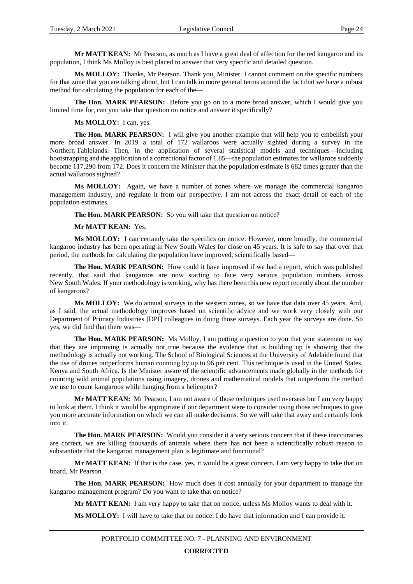**Mr MATT KEAN:** Mr Pearson, as much as I have a great deal of affection for the red kangaroo and its population, I think Ms Molloy is best placed to answer that very specific and detailed question.

**Ms MOLLOY:** Thanks, Mr Pearson. Thank you, Minister. I cannot comment on the specific numbers for that zone that you are talking about, but I can talk in more general terms around the fact that we have a robust method for calculating the population for each of the—

The Hon. MARK PEARSON: Before you go on to a more broad answer, which I would give you limited time for, can you take that question on notice and answer it specifically?

#### **Ms MOLLOY:** I can, yes.

**The Hon. MARK PEARSON:** I will give you another example that will help you to embellish your more broad answer. In 2019 a total of 172 wallaroos were actually sighted during a survey in the Northern Tablelands. Then, in the application of several statistical models and techniques—including bootstrapping and the application of a correctional factor of 1.85—the population estimates for wallaroos suddenly become 117,290 from 172. Does it concern the Minister that the population estimate is 682 times greater than the actual wallaroos sighted?

**Ms MOLLOY:** Again, we have a number of zones where we manage the commercial kangaroo management industry, and regulate it from our perspective. I am not across the exact detail of each of the population estimates.

**The Hon. MARK PEARSON:** So you will take that question on notice?

#### **Mr MATT KEAN:** Yes.

**Ms MOLLOY:** I can certainly take the specifics on notice. However, more broadly, the commercial kangaroo industry has been operating in New South Wales for close on 45 years. It is safe to say that over that period, the methods for calculating the population have improved, scientifically based—

**The Hon. MARK PEARSON:** How could it have improved if we had a report, which was published recently, that said that kangaroos are now starting to face very serious population numbers across New South Wales. If your methodology is working, why has there been this new report recently about the number of kangaroos?

**Ms MOLLOY:** We do annual surveys in the western zones, so we have that data over 45 years. And, as I said, the actual methodology improves based on scientific advice and we work very closely with our Department of Primary Industries [DPI] colleagues in doing those surveys. Each year the surveys are done. So yes, we did find that there was—

**The Hon. MARK PEARSON:** Ms Molloy, I am putting a question to you that your statement to say that they are improving is actually not true because the evidence that is building up is showing that the methodology is actually not working. The School of Biological Sciences at the University of Adelaide found that the use of drones outperforms human counting by up to 96 per cent. This technique is used in the United States, Kenya and South Africa. Is the Minister aware of the scientific advancements made globally in the methods for counting wild animal populations using imagery, drones and mathematical models that outperform the method we use to count kangaroos while hanging from a helicopter?

**Mr MATT KEAN:** Mr Pearson, I am not aware of those techniques used overseas but I am very happy to look at them. I think it would be appropriate if our department were to consider using those techniques to give you more accurate information on which we can all make decisions. So we will take that away and certainly look into it.

**The Hon. MARK PEARSON:** Would you consider it a very serious concern that if these inaccuracies are correct, we are killing thousands of animals where there has not been a scientifically robust reason to substantiate that the kangaroo management plan is legitimate and functional?

**Mr MATT KEAN:** If that is the case, yes, it would be a great concern. I am very happy to take that on board, Mr Pearson.

The Hon. MARK PEARSON: How much does it cost annually for your department to manage the kangaroo management program? Do you want to take that on notice?

**Mr MATT KEAN:** I am very happy to take that on notice, unless Ms Molloy wants to deal with it.

**Ms MOLLOY:** I will have to take that on notice. I do have that information and I can provide it.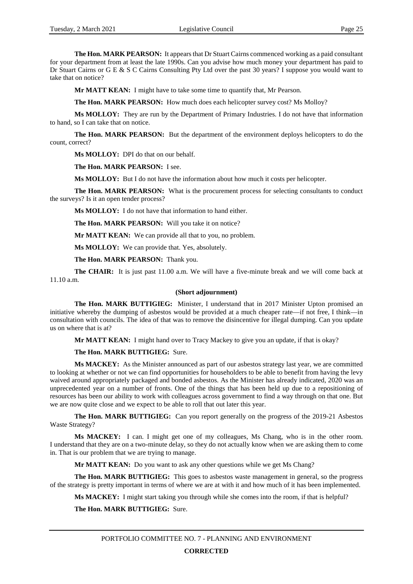**The Hon. MARK PEARSON:** It appears that Dr Stuart Cairns commenced working as a paid consultant for your department from at least the late 1990s. Can you advise how much money your department has paid to Dr Stuart Cairns or G E & S C Cairns Consulting Pty Ltd over the past 30 years? I suppose you would want to take that on notice?

**Mr MATT KEAN:** I might have to take some time to quantify that, Mr Pearson.

**The Hon. MARK PEARSON:** How much does each helicopter survey cost? Ms Molloy?

**Ms MOLLOY:** They are run by the Department of Primary Industries. I do not have that information to hand, so I can take that on notice.

**The Hon. MARK PEARSON:** But the department of the environment deploys helicopters to do the count, correct?

**Ms MOLLOY:** DPI do that on our behalf.

**The Hon. MARK PEARSON:** I see.

**Ms MOLLOY:** But I do not have the information about how much it costs per helicopter.

**The Hon. MARK PEARSON:** What is the procurement process for selecting consultants to conduct the surveys? Is it an open tender process?

**Ms MOLLOY:** I do not have that information to hand either.

**The Hon. MARK PEARSON:** Will you take it on notice?

**Mr MATT KEAN:** We can provide all that to you, no problem.

**Ms MOLLOY:** We can provide that. Yes, absolutely.

**The Hon. MARK PEARSON:** Thank you.

**The CHAIR:** It is just past 11.00 a.m. We will have a five-minute break and we will come back at 11.10 a.m.

#### **(Short adjournment)**

**The Hon. MARK BUTTIGIEG:** Minister, I understand that in 2017 Minister Upton promised an initiative whereby the dumping of asbestos would be provided at a much cheaper rate—if not free, I think—in consultation with councils. The idea of that was to remove the disincentive for illegal dumping. Can you update us on where that is at?

**Mr MATT KEAN:** I might hand over to Tracy Mackey to give you an update, if that is okay?

**The Hon. MARK BUTTIGIEG:** Sure.

**Ms MACKEY:** As the Minister announced as part of our asbestos strategy last year, we are committed to looking at whether or not we can find opportunities for householders to be able to benefit from having the levy waived around appropriately packaged and bonded asbestos. As the Minister has already indicated, 2020 was an unprecedented year on a number of fronts. One of the things that has been held up due to a repositioning of resources has been our ability to work with colleagues across government to find a way through on that one. But we are now quite close and we expect to be able to roll that out later this year.

**The Hon. MARK BUTTIGIEG:** Can you report generally on the progress of the 2019-21 Asbestos Waste Strategy?

**Ms MACKEY:** I can. I might get one of my colleagues, Ms Chang, who is in the other room. I understand that they are on a two-minute delay, so they do not actually know when we are asking them to come in. That is our problem that we are trying to manage.

**Mr MATT KEAN:** Do you want to ask any other questions while we get Ms Chang?

**The Hon. MARK BUTTIGIEG:** This goes to asbestos waste management in general, so the progress of the strategy is pretty important in terms of where we are at with it and how much of it has been implemented.

**Ms MACKEY:** I might start taking you through while she comes into the room, if that is helpful?

**The Hon. MARK BUTTIGIEG:** Sure.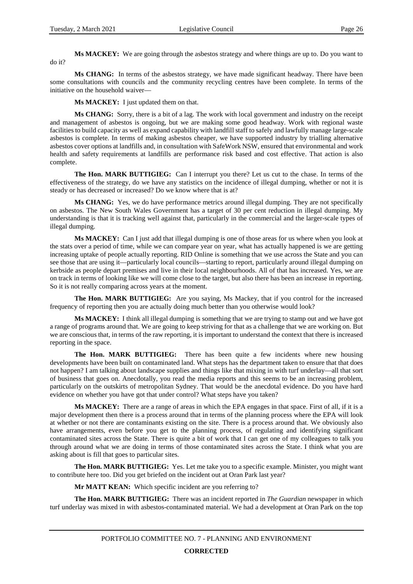**Ms MACKEY:** We are going through the asbestos strategy and where things are up to. Do you want to do it?

**Ms CHANG:** In terms of the asbestos strategy, we have made significant headway. There have been some consultations with councils and the community recycling centres have been complete. In terms of the initiative on the household waiver—

**Ms MACKEY:** I just updated them on that.

**Ms CHANG:** Sorry, there is a bit of a lag. The work with local government and industry on the receipt and management of asbestos is ongoing, but we are making some good headway. Work with regional waste facilities to build capacity as well as expand capability with landfill staff to safely and lawfully manage large-scale asbestos is complete. In terms of making asbestos cheaper, we have supported industry by trialling alternative asbestos cover options at landfills and, in consultation with SafeWork NSW, ensured that environmental and work health and safety requirements at landfills are performance risk based and cost effective. That action is also complete.

**The Hon. MARK BUTTIGIEG:** Can I interrupt you there? Let us cut to the chase. In terms of the effectiveness of the strategy, do we have any statistics on the incidence of illegal dumping, whether or not it is steady or has decreased or increased? Do we know where that is at?

**Ms CHANG:** Yes, we do have performance metrics around illegal dumping. They are not specifically on asbestos. The New South Wales Government has a target of 30 per cent reduction in illegal dumping. My understanding is that it is tracking well against that, particularly in the commercial and the larger-scale types of illegal dumping.

**Ms MACKEY:** Can I just add that illegal dumping is one of those areas for us where when you look at the stats over a period of time, while we can compare year on year, what has actually happened is we are getting increasing uptake of people actually reporting. RID Online is something that we use across the State and you can see those that are using it—particularly local councils—starting to report, particularly around illegal dumping on kerbside as people depart premises and live in their local neighbourhoods. All of that has increased. Yes, we are on track in terms of looking like we will come close to the target, but also there has been an increase in reporting. So it is not really comparing across years at the moment.

**The Hon. MARK BUTTIGIEG:** Are you saying, Ms Mackey, that if you control for the increased frequency of reporting then you are actually doing much better than you otherwise would look?

**Ms MACKEY:** I think all illegal dumping is something that we are trying to stamp out and we have got a range of programs around that. We are going to keep striving for that as a challenge that we are working on. But we are conscious that, in terms of the raw reporting, it is important to understand the context that there is increased reporting in the space.

**The Hon. MARK BUTTIGIEG:** There has been quite a few incidents where new housing developments have been built on contaminated land. What steps has the department taken to ensure that that does not happen? I am talking about landscape supplies and things like that mixing in with turf underlay—all that sort of business that goes on. Anecdotally, you read the media reports and this seems to be an increasing problem, particularly on the outskirts of metropolitan Sydney. That would be the anecdotal evidence. Do you have hard evidence on whether you have got that under control? What steps have you taken?

**Ms MACKEY:** There are a range of areas in which the EPA engages in that space. First of all, if it is a major development then there is a process around that in terms of the planning process where the EPA will look at whether or not there are contaminants existing on the site. There is a process around that. We obviously also have arrangements, even before you get to the planning process, of regulating and identifying significant contaminated sites across the State. There is quite a bit of work that I can get one of my colleagues to talk you through around what we are doing in terms of those contaminated sites across the State. I think what you are asking about is fill that goes to particular sites.

**The Hon. MARK BUTTIGIEG:** Yes. Let me take you to a specific example. Minister, you might want to contribute here too. Did you get briefed on the incident out at Oran Park last year?

**Mr MATT KEAN:** Which specific incident are you referring to?

**The Hon. MARK BUTTIGIEG:** There was an incident reported in *The Guardian* newspaper in which turf underlay was mixed in with asbestos-contaminated material. We had a development at Oran Park on the top

**CORRECTED**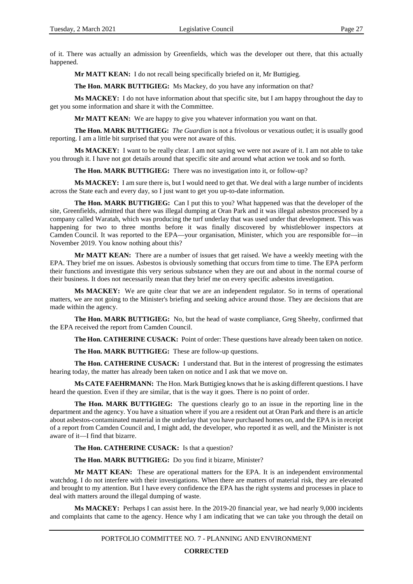of it. There was actually an admission by Greenfields, which was the developer out there, that this actually happened.

**Mr MATT KEAN:** I do not recall being specifically briefed on it, Mr Buttigieg.

**The Hon. MARK BUTTIGIEG:** Ms Mackey, do you have any information on that?

**Ms MACKEY:** I do not have information about that specific site, but I am happy throughout the day to get you some information and share it with the Committee.

**Mr MATT KEAN:** We are happy to give you whatever information you want on that.

**The Hon. MARK BUTTIGIEG:** *The Guardian* is not a frivolous or vexatious outlet; it is usually good reporting. I am a little bit surprised that you were not aware of this.

**Ms MACKEY:** I want to be really clear. I am not saying we were not aware of it. I am not able to take you through it. I have not got details around that specific site and around what action we took and so forth.

**The Hon. MARK BUTTIGIEG:** There was no investigation into it, or follow-up?

**Ms MACKEY:** I am sure there is, but I would need to get that. We deal with a large number of incidents across the State each and every day, so I just want to get you up-to-date information.

**The Hon. MARK BUTTIGIEG:** Can I put this to you? What happened was that the developer of the site, Greenfields, admitted that there was illegal dumping at Oran Park and it was illegal asbestos processed by a company called Waratah, which was producing the turf underlay that was used under that development. This was happening for two to three months before it was finally discovered by whistleblower inspectors at Camden Council. It was reported to the EPA—your organisation, Minister, which you are responsible for—in November 2019. You know nothing about this?

**Mr MATT KEAN:** There are a number of issues that get raised. We have a weekly meeting with the EPA. They brief me on issues. Asbestos is obviously something that occurs from time to time. The EPA perform their functions and investigate this very serious substance when they are out and about in the normal course of their business. It does not necessarily mean that they brief me on every specific asbestos investigation.

**Ms MACKEY:** We are quite clear that we are an independent regulator. So in terms of operational matters, we are not going to the Minister's briefing and seeking advice around those. They are decisions that are made within the agency.

**The Hon. MARK BUTTIGIEG:** No, but the head of waste compliance, Greg Sheehy, confirmed that the EPA received the report from Camden Council.

**The Hon. CATHERINE CUSACK:** Point of order: These questions have already been taken on notice.

**The Hon. MARK BUTTIGIEG:** These are follow-up questions.

**The Hon. CATHERINE CUSACK:** I understand that. But in the interest of progressing the estimates hearing today, the matter has already been taken on notice and I ask that we move on.

**Ms CATE FAEHRMANN:** The Hon. Mark Buttigieg knows that he is asking different questions. I have heard the question. Even if they are similar, that is the way it goes. There is no point of order.

**The Hon. MARK BUTTIGIEG:** The questions clearly go to an issue in the reporting line in the department and the agency. You have a situation where if you are a resident out at Oran Park and there is an article about asbestos-contaminated material in the underlay that you have purchased homes on, and the EPA is in receipt of a report from Camden Council and, I might add, the developer, who reported it as well, and the Minister is not aware of it—I find that bizarre.

**The Hon. CATHERINE CUSACK:** Is that a question?

**The Hon. MARK BUTTIGIEG:** Do you find it bizarre, Minister?

**Mr MATT KEAN:** These are operational matters for the EPA. It is an independent environmental watchdog. I do not interfere with their investigations. When there are matters of material risk, they are elevated and brought to my attention. But I have every confidence the EPA has the right systems and processes in place to deal with matters around the illegal dumping of waste.

**Ms MACKEY:** Perhaps I can assist here. In the 2019-20 financial year, we had nearly 9,000 incidents and complaints that came to the agency. Hence why I am indicating that we can take you through the detail on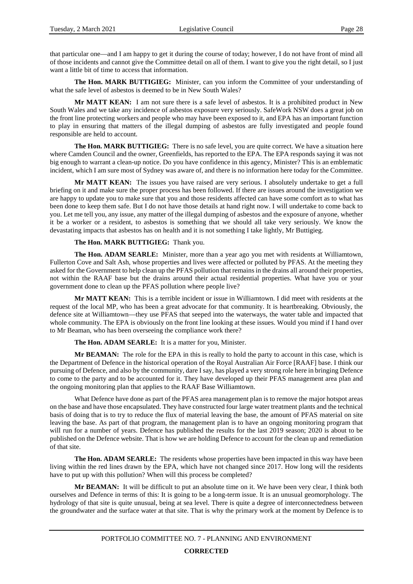that particular one—and I am happy to get it during the course of today; however, I do not have front of mind all of those incidents and cannot give the Committee detail on all of them. I want to give you the right detail, so I just want a little bit of time to access that information.

**The Hon. MARK BUTTIGIEG:** Minister, can you inform the Committee of your understanding of what the safe level of asbestos is deemed to be in New South Wales?

**Mr MATT KEAN:** I am not sure there is a safe level of asbestos. It is a prohibited product in New South Wales and we take any incidence of asbestos exposure very seriously. SafeWork NSW does a great job on the front line protecting workers and people who may have been exposed to it, and EPA has an important function to play in ensuring that matters of the illegal dumping of asbestos are fully investigated and people found responsible are held to account.

**The Hon. MARK BUTTIGIEG:** There is no safe level, you are quite correct. We have a situation here where Camden Council and the owner, Greenfields, has reported to the EPA. The EPA responds saying it was not big enough to warrant a clean-up notice. Do you have confidence in this agency, Minister? This is an emblematic incident, which I am sure most of Sydney was aware of, and there is no information here today for the Committee.

**Mr MATT KEAN:** The issues you have raised are very serious. I absolutely undertake to get a full briefing on it and make sure the proper process has been followed. If there are issues around the investigation we are happy to update you to make sure that you and those residents affected can have some comfort as to what has been done to keep them safe. But I do not have those details at hand right now. I will undertake to come back to you. Let me tell you, any issue, any matter of the illegal dumping of asbestos and the exposure of anyone, whether it be a worker or a resident, to asbestos is something that we should all take very seriously. We know the devastating impacts that asbestos has on health and it is not something I take lightly, Mr Buttigieg.

#### **The Hon. MARK BUTTIGIEG:** Thank you.

**The Hon. ADAM SEARLE:** Minister, more than a year ago you met with residents at Williamtown, Fullerton Cove and Salt Ash, whose properties and lives were affected or polluted by PFAS. At the meeting they asked for the Government to help clean up the PFAS pollution that remains in the drains all around their properties, not within the RAAF base but the drains around their actual residential properties. What have you or your government done to clean up the PFAS pollution where people live?

**Mr MATT KEAN:** This is a terrible incident or issue in Williamtown. I did meet with residents at the request of the local MP, who has been a great advocate for that community. It is heartbreaking. Obviously, the defence site at Williamtown—they use PFAS that seeped into the waterways, the water table and impacted that whole community. The EPA is obviously on the front line looking at these issues. Would you mind if I hand over to Mr Beaman, who has been overseeing the compliance work there?

#### **The Hon. ADAM SEARLE:** It is a matter for you, Minister.

**Mr BEAMAN:** The role for the EPA in this is really to hold the party to account in this case, which is the Department of Defence in the historical operation of the Royal Australian Air Force [RAAF] base. I think our pursuing of Defence, and also by the community, dare I say, has played a very strong role here in bringing Defence to come to the party and to be accounted for it. They have developed up their PFAS management area plan and the ongoing monitoring plan that applies to the RAAF Base Williamtown.

What Defence have done as part of the PFAS area management plan is to remove the major hotspot areas on the base and have those encapsulated. They have constructed four large water treatment plants and the technical basis of doing that is to try to reduce the flux of material leaving the base, the amount of PFAS material on site leaving the base. As part of that program, the management plan is to have an ongoing monitoring program that will run for a number of years. Defence has published the results for the last 2019 season; 2020 is about to be published on the Defence website. That is how we are holding Defence to account for the clean up and remediation of that site.

**The Hon. ADAM SEARLE:** The residents whose properties have been impacted in this way have been living within the red lines drawn by the EPA, which have not changed since 2017. How long will the residents have to put up with this pollution? When will this process be completed?

**Mr BEAMAN:** It will be difficult to put an absolute time on it. We have been very clear, I think both ourselves and Defence in terms of this: It is going to be a long-term issue. It is an unusual geomorphology. The hydrology of that site is quite unusual, being at sea level. There is quite a degree of interconnectedness between the groundwater and the surface water at that site. That is why the primary work at the moment by Defence is to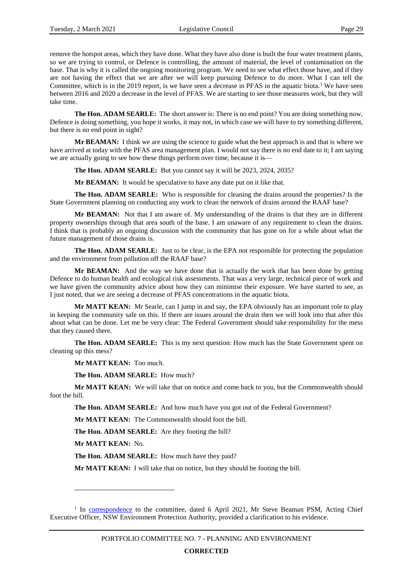remove the hotspot areas, which they have done. What they have also done is built the four water treatment plants, so we are trying to control, or Defence is controlling, the amount of material, the level of contamination on the base. That is why it is called the ongoing monitoring program. We need to see what effect those have, and if they are not having the effect that we are after we will keep pursuing Defence to do more. What I can tell the Committee, which is in the 20[1](#page-31-0)9 report, is we have seen a decrease in PFAS in the aquatic biota.<sup>1</sup> We have seen between 2016 and 2020 a decrease in the level of PFAS. We are starting to see those measures work, but they will take time.

**The Hon. ADAM SEARLE:** The short answer is: There is no end point? You are doing something now, Defence is doing something, you hope it works, it may not, in which case we will have to try something different, but there is no end point in sight?

**Mr BEAMAN:** I think we are using the science to guide what the best approach is and that is where we have arrived at today with the PFAS area management plan. I would not say there is no end date to it; I am saying we are actually going to see how these things perform over time, because it is—

**The Hon. ADAM SEARLE:** But you cannot say it will be 2023, 2024, 2035?

**Mr BEAMAN:** It would be speculative to have any date put on it like that.

**The Hon. ADAM SEARLE:** Who is responsible for cleaning the drains around the properties? Is the State Government planning on conducting any work to clean the network of drains around the RAAF base?

**Mr BEAMAN:** Not that I am aware of. My understanding of the drains is that they are in different property ownerships through that area south of the base. I am unaware of any requirement to clean the drains. I think that is probably an ongoing discussion with the community that has gone on for a while about what the future management of those drains is.

**The Hon. ADAM SEARLE:** Just to be clear, is the EPA not responsible for protecting the population and the environment from pollution off the RAAF base?

**Mr BEAMAN:** And the way we have done that is actually the work that has been done by getting Defence to do human health and ecological risk assessments. That was a very large, technical piece of work and we have given the community advice about how they can minimise their exposure. We have started to see, as I just noted, that we are seeing a decrease of PFAS concentrations in the aquatic biota.

**Mr MATT KEAN:** Mr Searle, can I jump in and say, the EPA obviously has an important role to play in keeping the community safe on this. If there are issues around the drain then we will look into that after this about what can be done. Let me be very clear: The Federal Government should take responsibility for the mess that they caused there.

**The Hon. ADAM SEARLE:** This is my next question: How much has the State Government spent on cleaning up this mess?

**Mr MATT KEAN:** Too much.

**The Hon. ADAM SEARLE:** How much?

**Mr MATT KEAN:** We will take that on notice and come back to you, but the Commonwealth should foot the bill.

**The Hon. ADAM SEARLE:** And how much have you got out of the Federal Government?

**Mr MATT KEAN:** The Commonwealth should foot the bill.

**The Hon. ADAM SEARLE:** Are they footing the bill?

**Mr MATT KEAN:** No.

 $\overline{a}$ 

**The Hon. ADAM SEARLE:** How much have they paid?

**Mr MATT KEAN:** I will take that on notice, but they should be footing the bill.

<span id="page-31-0"></span><sup>&</sup>lt;sup>1</sup> In [correspondence](https://www.parliament.nsw.gov.au/lcdocs/other/15509/From%20Mr%20Steve%20Beaman%20PSM,%20Acting%20Chief%20Executive%20Officer,%20NSW%20Environment%20Protection%20Authority%20clarification%20of%20evidence.pdf) to the committee, dated 6 April 2021, Mr Steve Beaman PSM, Acting Chief Executive Officer, NSW Environment Protection Authority, provided a clarification to his evidence.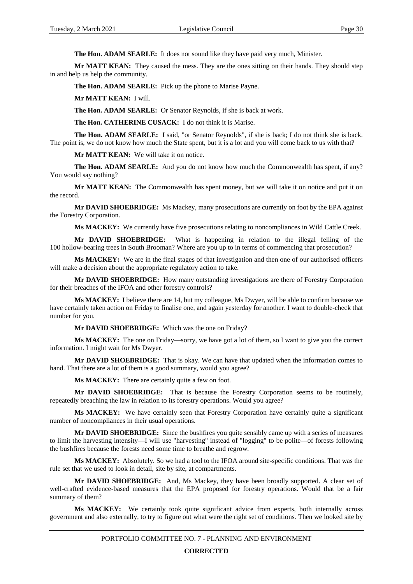**The Hon. ADAM SEARLE:** It does not sound like they have paid very much, Minister.

**Mr MATT KEAN:** They caused the mess. They are the ones sitting on their hands. They should step in and help us help the community.

**The Hon. ADAM SEARLE:** Pick up the phone to Marise Payne.

**Mr MATT KEAN:** I will.

**The Hon. ADAM SEARLE:** Or Senator Reynolds, if she is back at work.

**The Hon. CATHERINE CUSACK:** I do not think it is Marise.

**The Hon. ADAM SEARLE:** I said, "or Senator Reynolds", if she is back; I do not think she is back. The point is, we do not know how much the State spent, but it is a lot and you will come back to us with that?

**Mr MATT KEAN:** We will take it on notice.

**The Hon. ADAM SEARLE:** And you do not know how much the Commonwealth has spent, if any? You would say nothing?

**Mr MATT KEAN:** The Commonwealth has spent money, but we will take it on notice and put it on the record.

**Mr DAVID SHOEBRIDGE:** Ms Mackey, many prosecutions are currently on foot by the EPA against the Forestry Corporation.

**Ms MACKEY:** We currently have five prosecutions relating to noncompliances in Wild Cattle Creek.

**Mr DAVID SHOEBRIDGE:** What is happening in relation to the illegal felling of the 100 hollow-bearing trees in South Brooman? Where are you up to in terms of commencing that prosecution?

**Ms MACKEY:** We are in the final stages of that investigation and then one of our authorised officers will make a decision about the appropriate regulatory action to take.

**Mr DAVID SHOEBRIDGE:** How many outstanding investigations are there of Forestry Corporation for their breaches of the IFOA and other forestry controls?

**Ms MACKEY:** I believe there are 14, but my colleague, Ms Dwyer, will be able to confirm because we have certainly taken action on Friday to finalise one, and again yesterday for another. I want to double-check that number for you.

**Mr DAVID SHOEBRIDGE:** Which was the one on Friday?

**Ms MACKEY:** The one on Friday—sorry, we have got a lot of them, so I want to give you the correct information. I might wait for Ms Dwyer.

**Mr DAVID SHOEBRIDGE:** That is okay. We can have that updated when the information comes to hand. That there are a lot of them is a good summary, would you agree?

**Ms MACKEY:** There are certainly quite a few on foot.

**Mr DAVID SHOEBRIDGE:** That is because the Forestry Corporation seems to be routinely, repeatedly breaching the law in relation to its forestry operations. Would you agree?

**Ms MACKEY:** We have certainly seen that Forestry Corporation have certainly quite a significant number of noncompliances in their usual operations.

**Mr DAVID SHOEBRIDGE:** Since the bushfires you quite sensibly came up with a series of measures to limit the harvesting intensity—I will use "harvesting" instead of "logging" to be polite—of forests following the bushfires because the forests need some time to breathe and regrow.

**Ms MACKEY:** Absolutely. So we had a tool to the IFOA around site-specific conditions. That was the rule set that we used to look in detail, site by site, at compartments.

**Mr DAVID SHOEBRIDGE:** And, Ms Mackey, they have been broadly supported. A clear set of well-crafted evidence-based measures that the EPA proposed for forestry operations. Would that be a fair summary of them?

**Ms MACKEY:** We certainly took quite significant advice from experts, both internally across government and also externally, to try to figure out what were the right set of conditions. Then we looked site by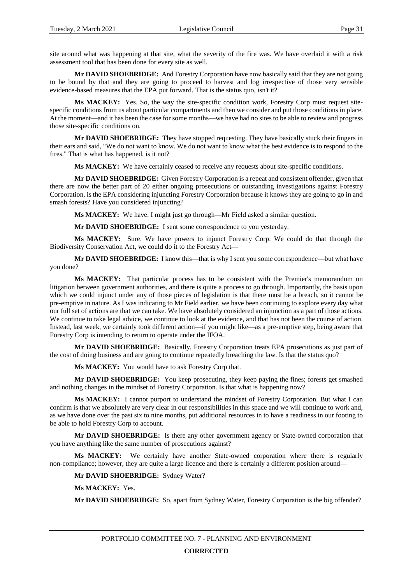site around what was happening at that site, what the severity of the fire was. We have overlaid it with a risk assessment tool that has been done for every site as well.

**Mr DAVID SHOEBRIDGE:** And Forestry Corporation have now basically said that they are not going to be bound by that and they are going to proceed to harvest and log irrespective of those very sensible evidence-based measures that the EPA put forward. That is the status quo, isn't it?

**Ms MACKEY:** Yes. So, the way the site-specific condition work, Forestry Corp must request sitespecific conditions from us about particular compartments and then we consider and put those conditions in place. At the moment—and it has been the case for some months—we have had no sites to be able to review and progress those site-specific conditions on.

**Mr DAVID SHOEBRIDGE:** They have stopped requesting. They have basically stuck their fingers in their ears and said, "We do not want to know. We do not want to know what the best evidence is to respond to the fires." That is what has happened, is it not?

**Ms MACKEY:** We have certainly ceased to receive any requests about site-specific conditions.

**Mr DAVID SHOEBRIDGE:** Given Forestry Corporation is a repeat and consistent offender, given that there are now the better part of 20 either ongoing prosecutions or outstanding investigations against Forestry Corporation, is the EPA considering injuncting Forestry Corporation because it knows they are going to go in and smash forests? Have you considered injuncting?

**Ms MACKEY:** We have. I might just go through—Mr Field asked a similar question.

**Mr DAVID SHOEBRIDGE:** I sent some correspondence to you yesterday.

**Ms MACKEY:** Sure. We have powers to injunct Forestry Corp. We could do that through the Biodiversity Conservation Act, we could do it to the Forestry Act—

**Mr DAVID SHOEBRIDGE:** I know this—that is why I sent you some correspondence—but what have you done?

**Ms MACKEY:** That particular process has to be consistent with the Premier's memorandum on litigation between government authorities, and there is quite a process to go through. Importantly, the basis upon which we could injunct under any of those pieces of legislation is that there must be a breach, so it cannot be pre-emptive in nature. As I was indicating to Mr Field earlier, we have been continuing to explore every day what our full set of actions are that we can take. We have absolutely considered an injunction as a part of those actions. We continue to take legal advice, we continue to look at the evidence, and that has not been the course of action. Instead, last week, we certainly took different action—if you might like—as a pre-emptive step, being aware that Forestry Corp is intending to return to operate under the IFOA.

**Mr DAVID SHOEBRIDGE:** Basically, Forestry Corporation treats EPA prosecutions as just part of the cost of doing business and are going to continue repeatedly breaching the law. Is that the status quo?

**Ms MACKEY:** You would have to ask Forestry Corp that.

**Mr DAVID SHOEBRIDGE:** You keep prosecuting, they keep paying the fines; forests get smashed and nothing changes in the mindset of Forestry Corporation. Is that what is happening now?

**Ms MACKEY:** I cannot purport to understand the mindset of Forestry Corporation. But what I can confirm is that we absolutely are very clear in our responsibilities in this space and we will continue to work and, as we have done over the past six to nine months, put additional resources in to have a readiness in our footing to be able to hold Forestry Corp to account.

**Mr DAVID SHOEBRIDGE:** Is there any other government agency or State-owned corporation that you have anything like the same number of prosecutions against?

**Ms MACKEY:** We certainly have another State-owned corporation where there is regularly non-compliance; however, they are quite a large licence and there is certainly a different position around—

**Mr DAVID SHOEBRIDGE:** Sydney Water?

**Ms MACKEY:** Yes.

**Mr DAVID SHOEBRIDGE:** So, apart from Sydney Water, Forestry Corporation is the big offender?

#### **CORRECTED**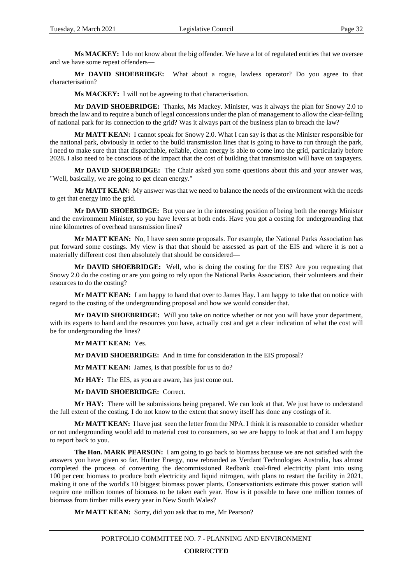**Ms MACKEY:** I do not know about the big offender. We have a lot of regulated entities that we oversee and we have some repeat offenders—

**Mr DAVID SHOEBRIDGE:** What about a rogue, lawless operator? Do you agree to that characterisation?

**Ms MACKEY:** I will not be agreeing to that characterisation.

**Mr DAVID SHOEBRIDGE:** Thanks, Ms Mackey. Minister, was it always the plan for Snowy 2.0 to breach the law and to require a bunch of legal concessions under the plan of management to allow the clear-felling of national park for its connection to the grid? Was it always part of the business plan to breach the law?

**Mr MATT KEAN:** I cannot speak for Snowy 2.0. What I can say is that as the Minister responsible for the national park, obviously in order to the build transmission lines that is going to have to run through the park, I need to make sure that that dispatchable, reliable, clean energy is able to come into the grid, particularly before 2028**.** I also need to be conscious of the impact that the cost of building that transmission will have on taxpayers.

**Mr DAVID SHOEBRIDGE:** The Chair asked you some questions about this and your answer was, "Well, basically, we are going to get clean energy."

**Mr MATT KEAN:** My answer was that we need to balance the needs of the environment with the needs to get that energy into the grid.

**Mr DAVID SHOEBRIDGE:** But you are in the interesting position of being both the energy Minister and the environment Minister, so you have levers at both ends. Have you got a costing for undergrounding that nine kilometres of overhead transmission lines?

**Mr MATT KEAN:** No, I have seen some proposals. For example, the National Parks Association has put forward some costings. My view is that that should be assessed as part of the EIS and where it is not a materially different cost then absolutely that should be considered—

**Mr DAVID SHOEBRIDGE:** Well, who is doing the costing for the EIS? Are you requesting that Snowy 2.0 do the costing or are you going to rely upon the National Parks Association, their volunteers and their resources to do the costing?

**Mr MATT KEAN:** I am happy to hand that over to James Hay. I am happy to take that on notice with regard to the costing of the undergrounding proposal and how we would consider that.

**Mr DAVID SHOEBRIDGE:** Will you take on notice whether or not you will have your department, with its experts to hand and the resources you have, actually cost and get a clear indication of what the cost will be for undergrounding the lines?

**Mr MATT KEAN:** Yes.

**Mr DAVID SHOEBRIDGE:** And in time for consideration in the EIS proposal?

**Mr MATT KEAN:** James, is that possible for us to do?

**Mr HAY:** The EIS, as you are aware, has just come out.

**Mr DAVID SHOEBRIDGE:** Correct.

**Mr HAY:** There will be submissions being prepared. We can look at that. We just have to understand the full extent of the costing. I do not know to the extent that snowy itself has done any costings of it.

**Mr MATT KEAN:** I have just seen the letter from the NPA. I think it is reasonable to consider whether or not undergrounding would add to material cost to consumers, so we are happy to look at that and I am happy to report back to you.

**The Hon. MARK PEARSON:** I am going to go back to biomass because we are not satisfied with the answers you have given so far. Hunter Energy, now rebranded as Verdant Technologies Australia, has almost completed the process of converting the decommissioned Redbank coal-fired electricity plant into using 100 per cent biomass to produce both electricity and liquid nitrogen, with plans to restart the facility in 2021, making it one of the world's 10 biggest biomass power plants. Conservationists estimate this power station will require one million tonnes of biomass to be taken each year. How is it possible to have one million tonnes of biomass from timber mills every year in New South Wales?

**Mr MATT KEAN:** Sorry, did you ask that to me, Mr Pearson?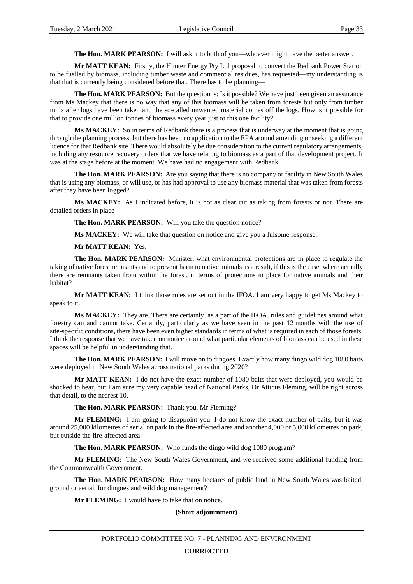**The Hon. MARK PEARSON:** I will ask it to both of you—whoever might have the better answer.

**Mr MATT KEAN:** Firstly, the Hunter Energy Pty Ltd proposal to convert the Redbank Power Station to be fuelled by biomass, including timber waste and commercial residues, has requested—my understanding is that that is currently being considered before that. There has to be planning—

**The Hon. MARK PEARSON:** But the question is: Is it possible? We have just been given an assurance from Ms Mackey that there is no way that any of this biomass will be taken from forests but only from timber mills after logs have been taken and the so-called unwanted material comes off the logs. How is it possible for that to provide one million tonnes of biomass every year just to this one facility?

**Ms MACKEY:** So in terms of Redbank there is a process that is underway at the moment that is going through the planning process, but there has been no application to the EPA around amending or seeking a different licence for that Redbank site. There would absolutely be due consideration to the current regulatory arrangements, including any resource recovery orders that we have relating to biomass as a part of that development project. It was at the stage before at the moment. We have had no engagement with Redbank.

**The Hon. MARK PEARSON:** Are you saying that there is no company or facility in New South Wales that is using any biomass, or will use, or has had approval to use any biomass material that was taken from forests after they have been logged?

**Ms MACKEY:** As I indicated before, it is not as clear cut as taking from forests or not. There are detailed orders in place—

**The Hon. MARK PEARSON:** Will you take the question notice?

**Ms MACKEY:** We will take that question on notice and give you a fulsome response.

**Mr MATT KEAN:** Yes.

**The Hon. MARK PEARSON:** Minister, what environmental protections are in place to regulate the taking of native forest remnants and to prevent harm to native animals as a result, if this is the case, where actually there are remnants taken from within the forest, in terms of protections in place for native animals and their habitat?

**Mr MATT KEAN:** I think those rules are set out in the IFOA. I am very happy to get Ms Mackey to speak to it.

**Ms MACKEY:** They are. There are certainly, as a part of the IFOA, rules and guidelines around what forestry can and cannot take. Certainly, particularly as we have seen in the past 12 months with the use of site-specific conditions, there have been even higher standards in terms of what is required in each of those forests. I think the response that we have taken on notice around what particular elements of biomass can be used in these spaces will be helpful in understanding that.

**The Hon. MARK PEARSON:** I will move on to dingoes. Exactly how many dingo wild dog 1080 baits were deployed in New South Wales across national parks during 2020?

**Mr MATT KEAN:** I do not have the exact number of 1080 baits that were deployed, you would be shocked to hear, but I am sure my very capable head of National Parks, Dr Atticus Fleming, will be right across that detail, to the nearest 10.

**The Hon. MARK PEARSON:** Thank you. Mr Fleming?

**Mr FLEMING:** I am going to disappoint you: I do not know the exact number of baits, but it was around 25,000 kilometres of aerial on park in the fire-affected area and another 4,000 or 5,000 kilometres on park, but outside the fire-affected area.

**The Hon. MARK PEARSON:** Who funds the dingo wild dog 1080 program?

**Mr FLEMING:** The New South Wales Government, and we received some additional funding from the Commonwealth Government.

**The Hon. MARK PEARSON:** How many hectares of public land in New South Wales was baited, ground or aerial, for dingoes and wild dog management?

**Mr FLEMING:** I would have to take that on notice.

#### **(Short adjournment)**

PORTFOLIO COMMITTEE NO. 7 - PLANNING AND ENVIRONMENT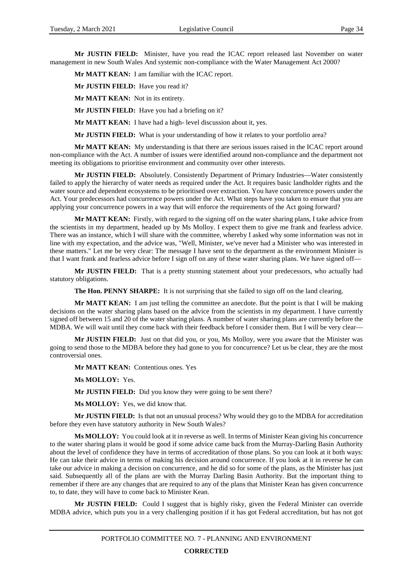**Mr JUSTIN FIELD:** Minister, have you read the ICAC report released last November on water management in new South Wales And systemic non-compliance with the Water Management Act 2000?

**Mr MATT KEAN:** I am familiar with the ICAC report.

**Mr JUSTIN FIELD:** Have you read it?

**Mr MATT KEAN:** Not in its entirety.

**Mr JUSTIN FIELD:** Have you had a briefing on it?

**Mr MATT KEAN:** I have had a high- level discussion about it, yes.

**Mr JUSTIN FIELD:** What is your understanding of how it relates to your portfolio area?

**Mr MATT KEAN:** My understanding is that there are serious issues raised in the ICAC report around non-compliance with the Act. A number of issues were identified around non-compliance and the department not meeting its obligations to prioritise environment and community over other interests.

**Mr JUSTIN FIELD:** Absolutely. Consistently Department of Primary Industries—Water consistently failed to apply the hierarchy of water needs as required under the Act. It requires basic landholder rights and the water source and dependent ecosystems to be prioritised over extraction. You have concurrence powers under the Act. Your predecessors had concurrence powers under the Act. What steps have you taken to ensure that you are applying your concurrence powers in a way that will enforce the requirements of the Act going forward?

**Mr MATT KEAN:** Firstly, with regard to the signing off on the water sharing plans, I take advice from the scientists in my department, headed up by Ms Molloy. I expect them to give me frank and fearless advice. There was an instance, which I will share with the committee, whereby I asked why some information was not in line with my expectation, and the advice was, "Well, Minister, we've never had a Minister who was interested in these matters." Let me be very clear: The message I have sent to the department as the environment Minister is that I want frank and fearless advice before I sign off on any of these water sharing plans. We have signed off—

**Mr JUSTIN FIELD:** That is a pretty stunning statement about your predecessors, who actually had statutory obligations.

**The Hon. PENNY SHARPE:** It is not surprising that she failed to sign off on the land clearing.

**Mr MATT KEAN:** I am just telling the committee an anecdote. But the point is that I will be making decisions on the water sharing plans based on the advice from the scientists in my department. I have currently signed off between 15 and 20 of the water sharing plans. A number of water sharing plans are currently before the MDBA. We will wait until they come back with their feedback before I consider them. But I will be very clear—

**Mr JUSTIN FIELD:** Just on that did you, or you, Ms Molloy, were you aware that the Minister was going to send those to the MDBA before they had gone to you for concurrence? Let us be clear, they are the most controversial ones.

**Mr MATT KEAN:** Contentious ones. Yes

**Ms MOLLOY:** Yes.

**Mr JUSTIN FIELD:** Did you know they were going to be sent there?

**Ms MOLLOY:** Yes, we did know that.

**Mr JUSTIN FIELD:** Is that not an unusual process? Why would they go to the MDBA for accreditation before they even have statutory authority in New South Wales?

**Ms MOLLOY:** You could look at it in reverse as well. In terms of Minister Kean giving his concurrence to the water sharing plans it would be good if some advice came back from the Murray-Darling Basin Authority about the level of confidence they have in terms of accreditation of those plans. So you can look at it both ways: He can take their advice in terms of making his decision around concurrence. If you look at it in reverse he can take our advice in making a decision on concurrence, and he did so for some of the plans, as the Minister has just said. Subsequently all of the plans are with the Murray Darling Basin Authority. But the important thing to remember if there are any changes that are required to any of the plans that Minister Kean has given concurrence to, to date, they will have to come back to Minister Kean.

**Mr JUSTIN FIELD:** Could I suggest that is highly risky, given the Federal Minister can override MDBA advice, which puts you in a very challenging position if it has got Federal accreditation, but has not got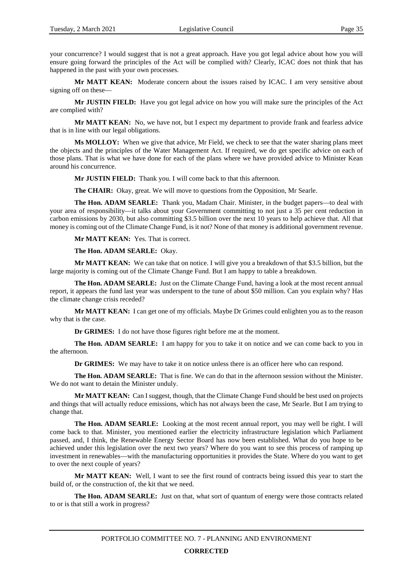your concurrence? I would suggest that is not a great approach. Have you got legal advice about how you will ensure going forward the principles of the Act will be complied with? Clearly, ICAC does not think that has happened in the past with your own processes.

**Mr MATT KEAN:** Moderate concern about the issues raised by ICAC. I am very sensitive about signing off on these—

**Mr JUSTIN FIELD:** Have you got legal advice on how you will make sure the principles of the Act are complied with?

**Mr MATT KEAN:** No, we have not, but I expect my department to provide frank and fearless advice that is in line with our legal obligations.

**Ms MOLLOY:** When we give that advice, Mr Field, we check to see that the water sharing plans meet the objects and the principles of the Water Management Act. If required, we do get specific advice on each of those plans. That is what we have done for each of the plans where we have provided advice to Minister Kean around his concurrence.

**Mr JUSTIN FIELD:** Thank you. I will come back to that this afternoon.

**The CHAIR:** Okay, great. We will move to questions from the Opposition, Mr Searle.

**The Hon. ADAM SEARLE:** Thank you, Madam Chair. Minister, in the budget papers—to deal with your area of responsibility—it talks about your Government committing to not just a 35 per cent reduction in carbon emissions by 2030, but also committing \$3.5 billion over the next 10 years to help achieve that. All that money is coming out of the Climate Change Fund, is it not? None of that money is additional government revenue.

**Mr MATT KEAN:** Yes. That is correct.

#### **The Hon. ADAM SEARLE:** Okay.

**Mr MATT KEAN:** We can take that on notice. I will give you a breakdown of that \$3.5 billion, but the large majority is coming out of the Climate Change Fund. But I am happy to table a breakdown.

**The Hon. ADAM SEARLE:** Just on the Climate Change Fund, having a look at the most recent annual report, it appears the fund last year was underspent to the tune of about \$50 million. Can you explain why? Has the climate change crisis receded?

**Mr MATT KEAN:** I can get one of my officials. Maybe Dr Grimes could enlighten you as to the reason why that is the case.

**Dr GRIMES:** I do not have those figures right before me at the moment.

**The Hon. ADAM SEARLE:** I am happy for you to take it on notice and we can come back to you in the afternoon.

**Dr GRIMES:** We may have to take it on notice unless there is an officer here who can respond.

**The Hon. ADAM SEARLE:** That is fine. We can do that in the afternoon session without the Minister. We do not want to detain the Minister unduly.

**Mr MATT KEAN:** Can I suggest, though, that the Climate Change Fund should be best used on projects and things that will actually reduce emissions, which has not always been the case, Mr Searle. But I am trying to change that.

**The Hon. ADAM SEARLE:** Looking at the most recent annual report, you may well be right. I will come back to that. Minister, you mentioned earlier the electricity infrastructure legislation which Parliament passed, and, I think, the Renewable Energy Sector Board has now been established. What do you hope to be achieved under this legislation over the next two years? Where do you want to see this process of ramping up investment in renewables—with the manufacturing opportunities it provides the State. Where do you want to get to over the next couple of years?

**Mr MATT KEAN:** Well, I want to see the first round of contracts being issued this year to start the build of, or the construction of, the kit that we need.

**The Hon. ADAM SEARLE:** Just on that, what sort of quantum of energy were those contracts related to or is that still a work in progress?

# **CORRECTED**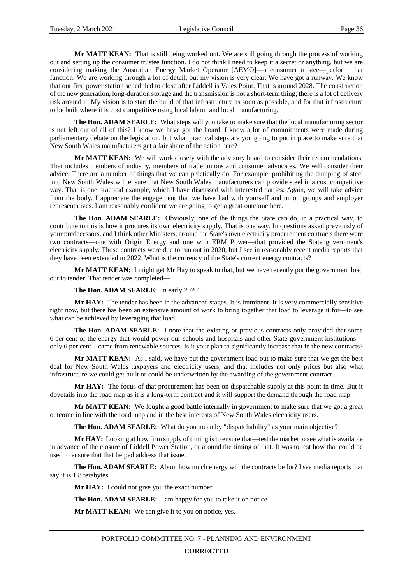**Mr MATT KEAN:** That is still being worked out. We are still going through the process of working out and setting up the consumer trustee function. I do not think I need to keep it a secret or anything, but we are considering making the Australian Energy Market Operator [AEMO]—a consumer trustee—perform that function. We are working through a lot of detail, but my vision is very clear. We have got a runway. We know that our first power station scheduled to close after Liddell is Vales Point. That is around 2028. The construction of the new generation, long-duration storage and the transmission is not a short-term thing; there is a lot of delivery risk around it. My vision is to start the build of that infrastructure as soon as possible, and for that infrastructure to be built where it is cost competitive using local labour and local manufacturing.

**The Hon. ADAM SEARLE:** What steps will you take to make sure that the local manufacturing sector is not left out of all of this? I know we have got the board. I know a lot of commitments were made during parliamentary debate on the legislation, but what practical steps are you going to put in place to make sure that New South Wales manufacturers get a fair share of the action here?

**Mr MATT KEAN:** We will work closely with the advisory board to consider their recommendations. That includes members of industry, members of trade unions and consumer advocates. We will consider their advice. There are a number of things that we can practically do. For example, prohibiting the dumping of steel into New South Wales will ensure that New South Wales manufacturers can provide steel in a cost competitive way. That is one practical example, which I have discussed with interested parties. Again, we will take advice from the body. I appreciate the engagement that we have had with yourself and union groups and employer representatives. I am reasonably confident we are going to get a great outcome here.

**The Hon. ADAM SEARLE:** Obviously, one of the things the State can do, in a practical way, to contribute to this is how it procures its own electricity supply. That is one way. In questions asked previously of your predecessors, and I think other Ministers, around the State's own electricity procurement contracts there were two contracts—one with Origin Energy and one with ERM Power—that provided the State government's electricity supply. Those contracts were due to run out in 2020, but I see in reasonably recent media reports that they have been extended to 2022. What is the currency of the State's current energy contracts?

**Mr MATT KEAN:** I might get Mr Hay to speak to that, but we have recently put the government load out to tender. That tender was completed—

#### **The Hon. ADAM SEARLE:** In early 2020?

**Mr HAY:** The tender has been in the advanced stages. It is imminent. It is very commercially sensitive right now, but there has been an extensive amount of work to bring together that load to leverage it for—to see what can be achieved by leveraging that load.

**The Hon. ADAM SEARLE:** I note that the existing or previous contracts only provided that some 6 per cent of the energy that would power our schools and hospitals and other State government institutions only 6 per cent—came from renewable sources. Is it your plan to significantly increase that in the new contracts?

**Mr MATT KEAN:** As I said, we have put the government load out to make sure that we get the best deal for New South Wales taxpayers and electricity users, and that includes not only prices but also what infrastructure we could get built or could be underwritten by the awarding of the government contract.

**Mr HAY:** The focus of that procurement has been on dispatchable supply at this point in time. But it dovetails into the road map as it is a long-term contract and it will support the demand through the road map.

**Mr MATT KEAN:** We fought a good battle internally in government to make sure that we got a great outcome in line with the road map and in the best interests of New South Wales electricity users.

**The Hon. ADAM SEARLE:** What do you mean by "dispatchability" as your main objective?

**Mr HAY:** Looking at how firm supply of timing is to ensure that—test the market to see what is available in advance of the closure of Liddell Power Station, or around the timing of that. It was to test how that could be used to ensure that that helped address that issue.

**The Hon. ADAM SEARLE:** About how much energy will the contracts be for? I see media reports that say it is 1.8 terabytes.

**Mr HAY:** I could not give you the exact number.

**The Hon. ADAM SEARLE:** I am happy for you to take it on notice.

**Mr MATT KEAN:** We can give it to you on notice, yes.

# **CORRECTED**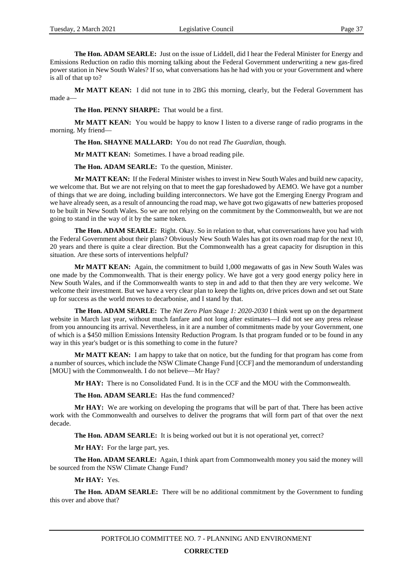**The Hon. ADAM SEARLE:** Just on the issue of Liddell, did I hear the Federal Minister for Energy and Emissions Reduction on radio this morning talking about the Federal Government underwriting a new gas-fired power station in New South Wales? If so, what conversations has he had with you or your Government and where is all of that up to?

Mr MATT KEAN: I did not tune in to 2BG this morning, clearly, but the Federal Government has made a—

**The Hon. PENNY SHARPE:** That would be a first.

**Mr MATT KEAN:** You would be happy to know I listen to a diverse range of radio programs in the morning. My friend—

**The Hon. SHAYNE MALLARD:** You do not read *The Guardian*, though.

**Mr MATT KEAN:** Sometimes. I have a broad reading pile.

**The Hon. ADAM SEARLE:** To the question, Minister.

**Mr MATT KEAN:** If the Federal Minister wishes to invest in New South Wales and build new capacity, we welcome that. But we are not relying on that to meet the gap foreshadowed by AEMO. We have got a number of things that we are doing, including building interconnectors. We have got the Emerging Energy Program and we have already seen, as a result of announcing the road map, we have got two gigawatts of new batteries proposed to be built in New South Wales. So we are not relying on the commitment by the Commonwealth, but we are not going to stand in the way of it by the same token.

**The Hon. ADAM SEARLE:** Right. Okay. So in relation to that, what conversations have you had with the Federal Government about their plans? Obviously New South Wales has got its own road map for the next 10, 20 years and there is quite a clear direction. But the Commonwealth has a great capacity for disruption in this situation. Are these sorts of interventions helpful?

**Mr MATT KEAN:** Again, the commitment to build 1,000 megawatts of gas in New South Wales was one made by the Commonwealth. That is their energy policy. We have got a very good energy policy here in New South Wales, and if the Commonwealth wants to step in and add to that then they are very welcome. We welcome their investment. But we have a very clear plan to keep the lights on, drive prices down and set out State up for success as the world moves to decarbonise, and I stand by that.

**The Hon. ADAM SEARLE:** The *Net Zero Plan Stage 1: 2020-2030* I think went up on the department website in March last year, without much fanfare and not long after estimates—I did not see any press release from you announcing its arrival. Nevertheless, in it are a number of commitments made by your Government, one of which is a \$450 million Emissions Intensity Reduction Program. Is that program funded or to be found in any way in this year's budget or is this something to come in the future?

**Mr MATT KEAN:** I am happy to take that on notice, but the funding for that program has come from a number of sources, which include the NSW Climate Change Fund [CCF] and the memorandum of understanding [MOU] with the Commonwealth. I do not believe—Mr Hay?

**Mr HAY:** There is no Consolidated Fund. It is in the CCF and the MOU with the Commonwealth.

**The Hon. ADAM SEARLE:** Has the fund commenced?

**Mr HAY:** We are working on developing the programs that will be part of that. There has been active work with the Commonwealth and ourselves to deliver the programs that will form part of that over the next decade.

**The Hon. ADAM SEARLE:** It is being worked out but it is not operational yet, correct?

**Mr HAY:** For the large part, yes.

**The Hon. ADAM SEARLE:** Again, I think apart from Commonwealth money you said the money will be sourced from the NSW Climate Change Fund?

**Mr HAY:** Yes.

**The Hon. ADAM SEARLE:** There will be no additional commitment by the Government to funding this over and above that?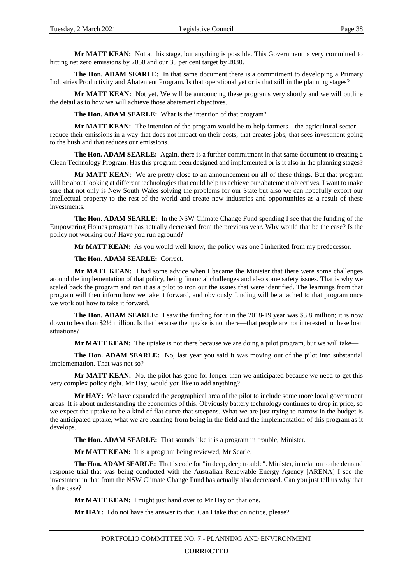**Mr MATT KEAN:** Not at this stage, but anything is possible. This Government is very committed to hitting net zero emissions by 2050 and our 35 per cent target by 2030.

**The Hon. ADAM SEARLE:** In that same document there is a commitment to developing a Primary Industries Productivity and Abatement Program. Is that operational yet or is that still in the planning stages?

**Mr MATT KEAN:** Not yet. We will be announcing these programs very shortly and we will outline the detail as to how we will achieve those abatement objectives.

**The Hon. ADAM SEARLE:** What is the intention of that program?

**Mr MATT KEAN:** The intention of the program would be to help farmers—the agricultural sector reduce their emissions in a way that does not impact on their costs, that creates jobs, that sees investment going to the bush and that reduces our emissions.

**The Hon. ADAM SEARLE:** Again, there is a further commitment in that same document to creating a Clean Technology Program. Has this program been designed and implemented or is it also in the planning stages?

**Mr MATT KEAN:** We are pretty close to an announcement on all of these things. But that program will be about looking at different technologies that could help us achieve our abatement objectives. I want to make sure that not only is New South Wales solving the problems for our State but also we can hopefully export our intellectual property to the rest of the world and create new industries and opportunities as a result of these investments.

**The Hon. ADAM SEARLE:** In the NSW Climate Change Fund spending I see that the funding of the Empowering Homes program has actually decreased from the previous year. Why would that be the case? Is the policy not working out? Have you run aground?

**Mr MATT KEAN:** As you would well know, the policy was one I inherited from my predecessor.

**The Hon. ADAM SEARLE:** Correct.

**Mr MATT KEAN:** I had some advice when I became the Minister that there were some challenges around the implementation of that policy, being financial challenges and also some safety issues. That is why we scaled back the program and ran it as a pilot to iron out the issues that were identified. The learnings from that program will then inform how we take it forward, and obviously funding will be attached to that program once we work out how to take it forward.

**The Hon. ADAM SEARLE:** I saw the funding for it in the 2018-19 year was \$3.8 million; it is now down to less than \$2½ million. Is that because the uptake is not there—that people are not interested in these loan situations?

**Mr MATT KEAN:** The uptake is not there because we are doing a pilot program, but we will take—

**The Hon. ADAM SEARLE:** No, last year you said it was moving out of the pilot into substantial implementation. That was not so?

**Mr MATT KEAN:** No, the pilot has gone for longer than we anticipated because we need to get this very complex policy right. Mr Hay, would you like to add anything?

**Mr HAY:** We have expanded the geographical area of the pilot to include some more local government areas. It is about understanding the economics of this. Obviously battery technology continues to drop in price, so we expect the uptake to be a kind of flat curve that steepens. What we are just trying to narrow in the budget is the anticipated uptake, what we are learning from being in the field and the implementation of this program as it develops.

**The Hon. ADAM SEARLE:** That sounds like it is a program in trouble, Minister.

**Mr MATT KEAN:** It is a program being reviewed, Mr Searle.

**The Hon. ADAM SEARLE:** That is code for "in deep, deep trouble". Minister, in relation to the demand response trial that was being conducted with the Australian Renewable Energy Agency [ARENA] I see the investment in that from the NSW Climate Change Fund has actually also decreased. Can you just tell us why that is the case?

**Mr MATT KEAN:** I might just hand over to Mr Hay on that one.

**Mr HAY:** I do not have the answer to that. Can I take that on notice, please?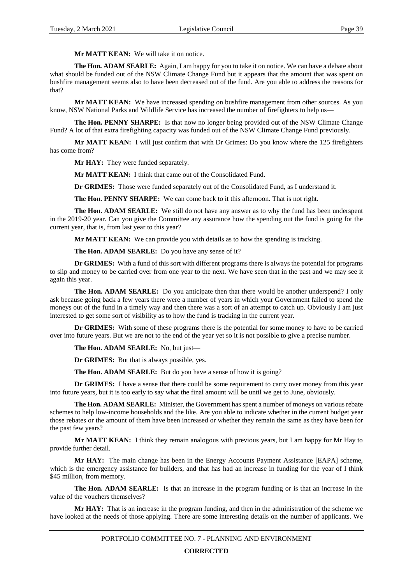**Mr MATT KEAN:** We will take it on notice.

**The Hon. ADAM SEARLE:** Again, I am happy for you to take it on notice. We can have a debate about what should be funded out of the NSW Climate Change Fund but it appears that the amount that was spent on bushfire management seems also to have been decreased out of the fund. Are you able to address the reasons for that?

**Mr MATT KEAN:** We have increased spending on bushfire management from other sources. As you know, NSW National Parks and Wildlife Service has increased the number of firefighters to help us—

**The Hon. PENNY SHARPE:** Is that now no longer being provided out of the NSW Climate Change Fund? A lot of that extra firefighting capacity was funded out of the NSW Climate Change Fund previously.

**Mr MATT KEAN:** I will just confirm that with Dr Grimes: Do you know where the 125 firefighters has come from?

**Mr HAY:** They were funded separately.

**Mr MATT KEAN:** I think that came out of the Consolidated Fund.

**Dr GRIMES:** Those were funded separately out of the Consolidated Fund, as I understand it.

**The Hon. PENNY SHARPE:** We can come back to it this afternoon. That is not right.

**The Hon. ADAM SEARLE:** We still do not have any answer as to why the fund has been underspent in the 2019-20 year. Can you give the Committee any assurance how the spending out the fund is going for the current year, that is, from last year to this year?

**Mr MATT KEAN:** We can provide you with details as to how the spending is tracking.

**The Hon. ADAM SEARLE:** Do you have any sense of it?

**Dr GRIMES:** With a fund of this sort with different programs there is always the potential for programs to slip and money to be carried over from one year to the next. We have seen that in the past and we may see it again this year.

**The Hon. ADAM SEARLE:** Do you anticipate then that there would be another underspend? I only ask because going back a few years there were a number of years in which your Government failed to spend the moneys out of the fund in a timely way and then there was a sort of an attempt to catch up. Obviously I am just interested to get some sort of visibility as to how the fund is tracking in the current year.

**Dr GRIMES:** With some of these programs there is the potential for some money to have to be carried over into future years. But we are not to the end of the year yet so it is not possible to give a precise number.

**The Hon. ADAM SEARLE:** No, but just—

**Dr GRIMES:** But that is always possible, yes.

**The Hon. ADAM SEARLE:** But do you have a sense of how it is going?

**Dr GRIMES:** I have a sense that there could be some requirement to carry over money from this year into future years, but it is too early to say what the final amount will be until we get to June, obviously.

**The Hon. ADAM SEARLE:** Minister, the Government has spent a number of moneys on various rebate schemes to help low-income households and the like. Are you able to indicate whether in the current budget year those rebates or the amount of them have been increased or whether they remain the same as they have been for the past few years?

**Mr MATT KEAN:** I think they remain analogous with previous years, but I am happy for Mr Hay to provide further detail.

**Mr HAY:** The main change has been in the Energy Accounts Payment Assistance [EAPA] scheme, which is the emergency assistance for builders, and that has had an increase in funding for the year of I think \$45 million, from memory.

**The Hon. ADAM SEARLE:** Is that an increase in the program funding or is that an increase in the value of the vouchers themselves?

**Mr HAY:** That is an increase in the program funding, and then in the administration of the scheme we have looked at the needs of those applying. There are some interesting details on the number of applicants. We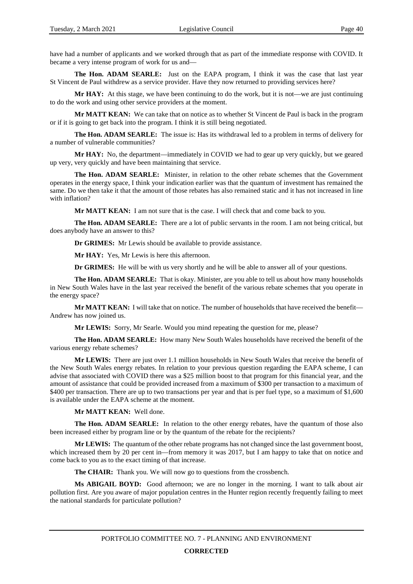have had a number of applicants and we worked through that as part of the immediate response with COVID. It became a very intense program of work for us and—

**The Hon. ADAM SEARLE:** Just on the EAPA program, I think it was the case that last year St Vincent de Paul withdrew as a service provider. Have they now returned to providing services here?

**Mr HAY:** At this stage, we have been continuing to do the work, but it is not—we are just continuing to do the work and using other service providers at the moment.

**Mr MATT KEAN:** We can take that on notice as to whether St Vincent de Paul is back in the program or if it is going to get back into the program. I think it is still being negotiated.

**The Hon. ADAM SEARLE:** The issue is: Has its withdrawal led to a problem in terms of delivery for a number of vulnerable communities?

**Mr HAY:** No, the department—immediately in COVID we had to gear up very quickly, but we geared up very, very quickly and have been maintaining that service.

**The Hon. ADAM SEARLE:** Minister, in relation to the other rebate schemes that the Government operates in the energy space, I think your indication earlier was that the quantum of investment has remained the same. Do we then take it that the amount of those rebates has also remained static and it has not increased in line with inflation?

**Mr MATT KEAN:** I am not sure that is the case. I will check that and come back to you.

**The Hon. ADAM SEARLE:** There are a lot of public servants in the room. I am not being critical, but does anybody have an answer to this?

**Dr GRIMES:** Mr Lewis should be available to provide assistance.

**Mr HAY:** Yes, Mr Lewis is here this afternoon.

**Dr GRIMES:** He will be with us very shortly and he will be able to answer all of your questions.

**The Hon. ADAM SEARLE:** That is okay. Minister, are you able to tell us about how many households in New South Wales have in the last year received the benefit of the various rebate schemes that you operate in the energy space?

**Mr MATT KEAN:** I will take that on notice. The number of households that have received the benefit— Andrew has now joined us.

**Mr LEWIS:** Sorry, Mr Searle. Would you mind repeating the question for me, please?

**The Hon. ADAM SEARLE:** How many New South Wales households have received the benefit of the various energy rebate schemes?

**Mr LEWIS:** There are just over 1.1 million households in New South Wales that receive the benefit of the New South Wales energy rebates. In relation to your previous question regarding the EAPA scheme, I can advise that associated with COVID there was a \$25 million boost to that program for this financial year, and the amount of assistance that could be provided increased from a maximum of \$300 per transaction to a maximum of \$400 per transaction. There are up to two transactions per year and that is per fuel type, so a maximum of \$1,600 is available under the EAPA scheme at the moment.

**Mr MATT KEAN:** Well done.

**The Hon. ADAM SEARLE:** In relation to the other energy rebates, have the quantum of those also been increased either by program line or by the quantum of the rebate for the recipients?

**Mr LEWIS:** The quantum of the other rebate programs has not changed since the last government boost, which increased them by 20 per cent in—from memory it was 2017, but I am happy to take that on notice and come back to you as to the exact timing of that increase.

**The CHAIR:** Thank you. We will now go to questions from the crossbench.

**Ms ABIGAIL BOYD:** Good afternoon; we are no longer in the morning. I want to talk about air pollution first. Are you aware of major population centres in the Hunter region recently frequently failing to meet the national standards for particulate pollution?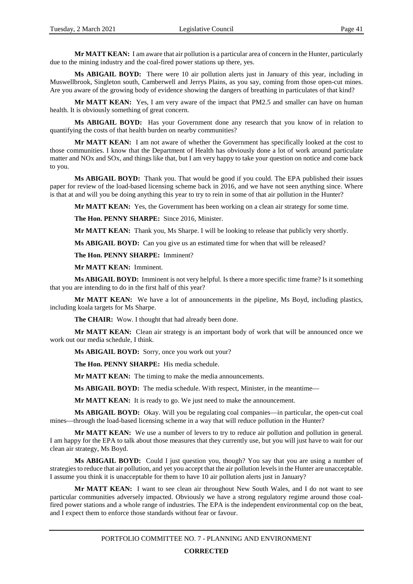**Mr MATT KEAN:** I am aware that air pollution is a particular area of concern in the Hunter, particularly due to the mining industry and the coal-fired power stations up there, yes.

**Ms ABIGAIL BOYD:** There were 10 air pollution alerts just in January of this year, including in Muswellbrook, Singleton south, Camberwell and Jerrys Plains, as you say, coming from those open-cut mines. Are you aware of the growing body of evidence showing the dangers of breathing in particulates of that kind?

**Mr MATT KEAN:** Yes, I am very aware of the impact that PM2.5 and smaller can have on human health. It is obviously something of great concern.

**Ms ABIGAIL BOYD:** Has your Government done any research that you know of in relation to quantifying the costs of that health burden on nearby communities?

**Mr MATT KEAN:** I am not aware of whether the Government has specifically looked at the cost to those communities. I know that the Department of Health has obviously done a lot of work around particulate matter and NOx and SOx, and things like that, but I am very happy to take your question on notice and come back to you.

**Ms ABIGAIL BOYD:** Thank you. That would be good if you could. The EPA published their issues paper for review of the load-based licensing scheme back in 2016, and we have not seen anything since. Where is that at and will you be doing anything this year to try to rein in some of that air pollution in the Hunter?

**Mr MATT KEAN:** Yes, the Government has been working on a clean air strategy for some time.

**The Hon. PENNY SHARPE:** Since 2016, Minister.

**Mr MATT KEAN:** Thank you, Ms Sharpe. I will be looking to release that publicly very shortly.

**Ms ABIGAIL BOYD:** Can you give us an estimated time for when that will be released?

**The Hon. PENNY SHARPE:** Imminent?

**Mr MATT KEAN:** Imminent.

**Ms ABIGAIL BOYD:** Imminent is not very helpful. Is there a more specific time frame? Is it something that you are intending to do in the first half of this year?

**Mr MATT KEAN:** We have a lot of announcements in the pipeline, Ms Boyd, including plastics, including koala targets for Ms Sharpe.

**The CHAIR:** Wow. I thought that had already been done.

**Mr MATT KEAN:** Clean air strategy is an important body of work that will be announced once we work out our media schedule, I think.

**Ms ABIGAIL BOYD:** Sorry, once you work out your?

**The Hon. PENNY SHARPE:** His media schedule.

**Mr MATT KEAN:** The timing to make the media announcements.

**Ms ABIGAIL BOYD:** The media schedule. With respect, Minister, in the meantime—

**Mr MATT KEAN:** It is ready to go. We just need to make the announcement.

**Ms ABIGAIL BOYD:** Okay. Will you be regulating coal companies—in particular, the open-cut coal mines—through the load-based licensing scheme in a way that will reduce pollution in the Hunter?

**Mr MATT KEAN:** We use a number of levers to try to reduce air pollution and pollution in general. I am happy for the EPA to talk about those measures that they currently use, but you will just have to wait for our clean air strategy, Ms Boyd.

**Ms ABIGAIL BOYD:** Could I just question you, though? You say that you are using a number of strategies to reduce that air pollution, and yet you accept that the air pollution levels in the Hunter are unacceptable. I assume you think it is unacceptable for them to have 10 air pollution alerts just in January?

**Mr MATT KEAN:** I want to see clean air throughout New South Wales, and I do not want to see particular communities adversely impacted. Obviously we have a strong regulatory regime around those coalfired power stations and a whole range of industries. The EPA is the independent environmental cop on the beat, and I expect them to enforce those standards without fear or favour.

PORTFOLIO COMMITTEE NO. 7 - PLANNING AND ENVIRONMENT

# **CORRECTED**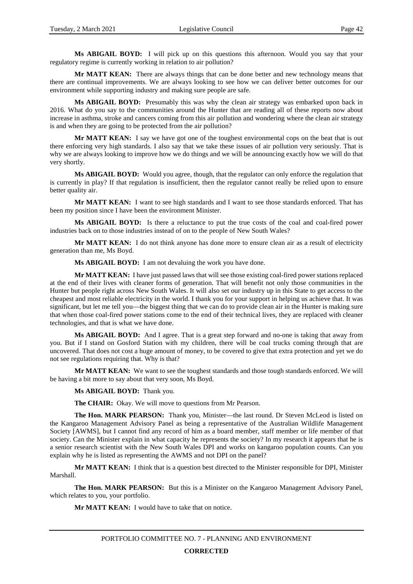**Ms ABIGAIL BOYD:** I will pick up on this questions this afternoon. Would you say that your regulatory regime is currently working in relation to air pollution?

**Mr MATT KEAN:** There are always things that can be done better and new technology means that there are continual improvements. We are always looking to see how we can deliver better outcomes for our environment while supporting industry and making sure people are safe.

**Ms ABIGAIL BOYD:** Presumably this was why the clean air strategy was embarked upon back in 2016. What do you say to the communities around the Hunter that are reading all of these reports now about increase in asthma, stroke and cancers coming from this air pollution and wondering where the clean air strategy is and when they are going to be protected from the air pollution?

**Mr MATT KEAN:** I say we have got one of the toughest environmental cops on the beat that is out there enforcing very high standards. I also say that we take these issues of air pollution very seriously. That is why we are always looking to improve how we do things and we will be announcing exactly how we will do that very shortly.

**Ms ABIGAIL BOYD:** Would you agree, though, that the regulator can only enforce the regulation that is currently in play? If that regulation is insufficient, then the regulator cannot really be relied upon to ensure better quality air.

**Mr MATT KEAN:** I want to see high standards and I want to see those standards enforced. That has been my position since I have been the environment Minister.

**Ms ABIGAIL BOYD:** Is there a reluctance to put the true costs of the coal and coal-fired power industries back on to those industries instead of on to the people of New South Wales?

**Mr MATT KEAN:** I do not think anyone has done more to ensure clean air as a result of electricity generation than me, Ms Boyd.

**Ms ABIGAIL BOYD:** I am not devaluing the work you have done.

**Mr MATT KEAN:** I have just passed laws that will see those existing coal-fired power stations replaced at the end of their lives with cleaner forms of generation. That will benefit not only those communities in the Hunter but people right across New South Wales. It will also set our industry up in this State to get access to the cheapest and most reliable electricity in the world. I thank you for your support in helping us achieve that. It was significant, but let me tell you—the biggest thing that we can do to provide clean air in the Hunter is making sure that when those coal-fired power stations come to the end of their technical lives, they are replaced with cleaner technologies, and that is what we have done.

**Ms ABIGAIL BOYD:** And I agree. That is a great step forward and no-one is taking that away from you. But if I stand on Gosford Station with my children, there will be coal trucks coming through that are uncovered. That does not cost a huge amount of money, to be covered to give that extra protection and yet we do not see regulations requiring that. Why is that?

**Mr MATT KEAN:** We want to see the toughest standards and those tough standards enforced. We will be having a bit more to say about that very soon, Ms Boyd.

**Ms ABIGAIL BOYD:** Thank you.

**The CHAIR:** Okay. We will move to questions from Mr Pearson.

**The Hon. MARK PEARSON:** Thank you, Minister—the last round. Dr Steven McLeod is listed on the Kangaroo Management Advisory Panel as being a representative of the Australian Wildlife Management Society [AWMS], but I cannot find any record of him as a board member, staff member or life member of that society. Can the Minister explain in what capacity he represents the society? In my research it appears that he is a senior research scientist with the New South Wales DPI and works on kangaroo population counts. Can you explain why he is listed as representing the AWMS and not DPI on the panel?

**Mr MATT KEAN:** I think that is a question best directed to the Minister responsible for DPI, Minister Marshall.

**The Hon. MARK PEARSON:** But this is a Minister on the Kangaroo Management Advisory Panel, which relates to you, your portfolio.

**Mr MATT KEAN:** I would have to take that on notice.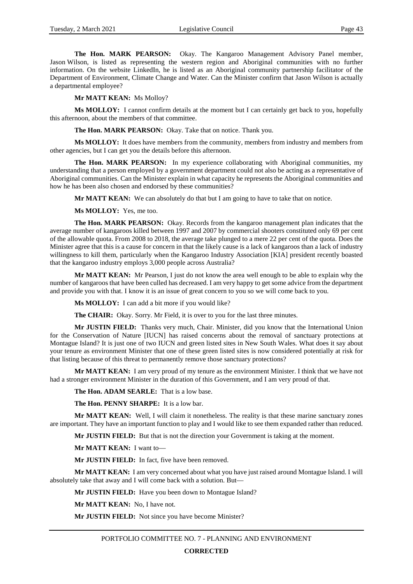**The Hon. MARK PEARSON:** Okay. The Kangaroo Management Advisory Panel member, Jason Wilson, is listed as representing the western region and Aboriginal communities with no further information. On the website LinkedIn, he is listed as an Aboriginal community partnership facilitator of the Department of Environment, Climate Change and Water. Can the Minister confirm that Jason Wilson is actually a departmental employee?

**Mr MATT KEAN:** Ms Molloy?

**Ms MOLLOY:** I cannot confirm details at the moment but I can certainly get back to you, hopefully this afternoon, about the members of that committee.

**The Hon. MARK PEARSON:** Okay. Take that on notice. Thank you.

**Ms MOLLOY:** It does have members from the community, members from industry and members from other agencies, but I can get you the details before this afternoon.

**The Hon. MARK PEARSON:** In my experience collaborating with Aboriginal communities, my understanding that a person employed by a government department could not also be acting as a representative of Aboriginal communities. Can the Minister explain in what capacity he represents the Aboriginal communities and how he has been also chosen and endorsed by these communities?

**Mr MATT KEAN:** We can absolutely do that but I am going to have to take that on notice.

**Ms MOLLOY:** Yes, me too.

**The Hon. MARK PEARSON:** Okay. Records from the kangaroo management plan indicates that the average number of kangaroos killed between 1997 and 2007 by commercial shooters constituted only 69 per cent of the allowable quota. From 2008 to 2018, the average take plunged to a mere 22 per cent of the quota. Does the Minister agree that this is a cause for concern in that the likely cause is a lack of kangaroos than a lack of industry willingness to kill them, particularly when the Kangaroo Industry Association [KIA] president recently boasted that the kangaroo industry employs 3,000 people across Australia?

**Mr MATT KEAN:** Mr Pearson, I just do not know the area well enough to be able to explain why the number of kangaroos that have been culled has decreased. I am very happy to get some advice from the department and provide you with that. I know it is an issue of great concern to you so we will come back to you.

**Ms MOLLOY:** I can add a bit more if you would like?

**The CHAIR:** Okay. Sorry. Mr Field, it is over to you for the last three minutes.

**Mr JUSTIN FIELD:** Thanks very much, Chair. Minister, did you know that the International Union for the Conservation of Nature [IUCN] has raised concerns about the removal of sanctuary protections at Montague Island? It is just one of two IUCN and green listed sites in New South Wales. What does it say about your tenure as environment Minister that one of these green listed sites is now considered potentially at risk for that listing because of this threat to permanently remove those sanctuary protections?

**Mr MATT KEAN:** I am very proud of my tenure as the environment Minister. I think that we have not had a stronger environment Minister in the duration of this Government, and I am very proud of that.

**The Hon. ADAM SEARLE:** That is a low base.

**The Hon. PENNY SHARPE:** It is a low bar.

**Mr MATT KEAN:** Well, I will claim it nonetheless. The reality is that these marine sanctuary zones are important. They have an important function to play and I would like to see them expanded rather than reduced.

**Mr JUSTIN FIELD:** But that is not the direction your Government is taking at the moment.

**Mr MATT KEAN:** I want to—

**Mr JUSTIN FIELD:** In fact, five have been removed.

**Mr MATT KEAN:** I am very concerned about what you have just raised around Montague Island. I will absolutely take that away and I will come back with a solution. But—

**Mr JUSTIN FIELD:** Have you been down to Montague Island?

**Mr MATT KEAN:** No, I have not.

**Mr JUSTIN FIELD:** Not since you have become Minister?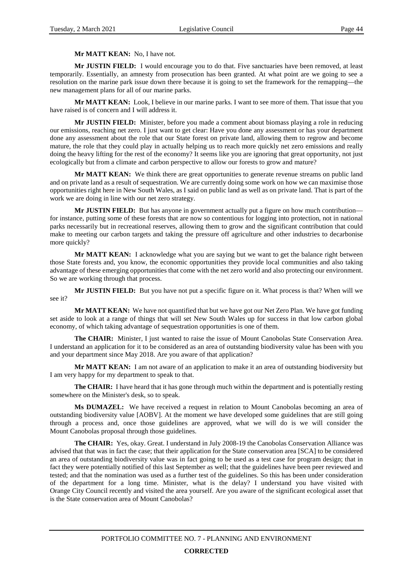#### **Mr MATT KEAN:** No, I have not.

**Mr JUSTIN FIELD:** I would encourage you to do that. Five sanctuaries have been removed, at least temporarily. Essentially, an amnesty from prosecution has been granted. At what point are we going to see a resolution on the marine park issue down there because it is going to set the framework for the remapping—the new management plans for all of our marine parks.

**Mr MATT KEAN:** Look, I believe in our marine parks. I want to see more of them. That issue that you have raised is of concern and I will address it.

**Mr JUSTIN FIELD:** Minister, before you made a comment about biomass playing a role in reducing our emissions, reaching net zero. I just want to get clear: Have you done any assessment or has your department done any assessment about the role that our State forest on private land, allowing them to regrow and become mature, the role that they could play in actually helping us to reach more quickly net zero emissions and really doing the heavy lifting for the rest of the economy? It seems like you are ignoring that great opportunity, not just ecologically but from a climate and carbon perspective to allow our forests to grow and mature?

**Mr MATT KEAN:** We think there are great opportunities to generate revenue streams on public land and on private land as a result of sequestration. We are currently doing some work on how we can maximise those opportunities right here in New South Wales, as I said on public land as well as on private land. That is part of the work we are doing in line with our net zero strategy.

**Mr JUSTIN FIELD:** But has anyone in government actually put a figure on how much contribution for instance, putting some of these forests that are now so contentious for logging into protection, not in national parks necessarily but in recreational reserves, allowing them to grow and the significant contribution that could make to meeting our carbon targets and taking the pressure off agriculture and other industries to decarbonise more quickly?

**Mr MATT KEAN:** I acknowledge what you are saying but we want to get the balance right between those State forests and, you know, the economic opportunities they provide local communities and also taking advantage of these emerging opportunities that come with the net zero world and also protecting our environment. So we are working through that process.

**Mr JUSTIN FIELD:** But you have not put a specific figure on it. What process is that? When will we see it?

**Mr MATT KEAN:** We have not quantified that but we have got our Net Zero Plan. We have got funding set aside to look at a range of things that will set New South Wales up for success in that low carbon global economy, of which taking advantage of sequestration opportunities is one of them.

**The CHAIR:** Minister, I just wanted to raise the issue of Mount Canobolas State Conservation Area. I understand an application for it to be considered as an area of outstanding biodiversity value has been with you and your department since May 2018. Are you aware of that application?

**Mr MATT KEAN:** I am not aware of an application to make it an area of outstanding biodiversity but I am very happy for my department to speak to that.

**The CHAIR:** I have heard that it has gone through much within the department and is potentially resting somewhere on the Minister's desk, so to speak.

**Ms DUMAZEL:** We have received a request in relation to Mount Canobolas becoming an area of outstanding biodiversity value [AOBV]. At the moment we have developed some guidelines that are still going through a process and, once those guidelines are approved, what we will do is we will consider the Mount Canobolas proposal through those guidelines.

**The CHAIR:** Yes, okay. Great. I understand in July 2008-19 the Canobolas Conservation Alliance was advised that that was in fact the case; that their application for the State conservation area [SCA] to be considered an area of outstanding biodiversity value was in fact going to be used as a test case for program design; that in fact they were potentially notified of this last September as well; that the guidelines have been peer reviewed and tested; and that the nomination was used as a further test of the guidelines. So this has been under consideration of the department for a long time. Minister, what is the delay? I understand you have visited with Orange City Council recently and visited the area yourself. Are you aware of the significant ecological asset that is the State conservation area of Mount Canobolas?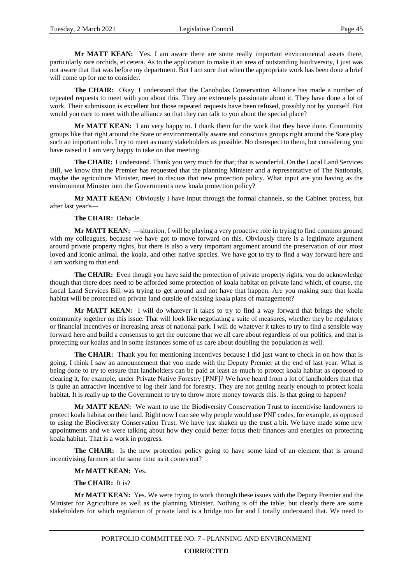**Mr MATT KEAN:** Yes. I am aware there are some really important environmental assets there, particularly rare orchids, et cetera. As to the application to make it an area of outstanding biodiversity, I just was not aware that that was before my department. But I am sure that when the appropriate work has been done a brief will come up for me to consider.

**The CHAIR:** Okay. I understand that the Canobolas Conservation Alliance has made a number of repeated requests to meet with you about this. They are extremely passionate about it. They have done a lot of work. Their submission is excellent but those repeated requests have been refused, possibly not by yourself. But would you care to meet with the alliance so that they can talk to you about the special place?

**Mr MATT KEAN:** I am very happy to. I thank them for the work that they have done. Community groups like that right around the State or environmentally aware and conscious groups right around the State play such an important role. I try to meet as many stakeholders as possible. No disrespect to them, but considering you have raised it I am very happy to take on that meeting.

**The CHAIR:** I understand. Thank you very much for that; that is wonderful. On the Local Land Services Bill, we know that the Premier has requested that the planning Minister and a representative of The Nationals, maybe the agriculture Minister, meet to discuss that new protection policy. What input are you having as the environment Minister into the Government's new koala protection policy?

**Mr MATT KEAN:** Obviously I have input through the formal channels, so the Cabinet process, but after last year's—

#### **The CHAIR:** Debacle.

**Mr MATT KEAN:** —situation, I will be playing a very proactive role in trying to find common ground with my colleagues, because we have got to move forward on this. Obviously there is a legitimate argument around private property rights, but there is also a very important argument around the preservation of our most loved and iconic animal, the koala, and other native species. We have got to try to find a way forward here and I am working to that end.

**The CHAIR:** Even though you have said the protection of private property rights, you do acknowledge though that there does need to be afforded some protection of koala habitat on private land which, of course, the Local Land Services Bill was trying to get around and not have that happen. Are you making sure that koala habitat will be protected on private land outside of existing koala plans of management?

Mr MATT KEAN: I will do whatever it takes to try to find a way forward that brings the whole community together on this issue. That will look like negotiating a suite of measures, whether they be regulatory or financial incentives or increasing areas of national park. I will do whatever it takes to try to find a sensible way forward here and build a consensus to get the outcome that we all care about regardless of our politics, and that is protecting our koalas and in some instances some of us care about doubling the population as well.

**The CHAIR:** Thank you for mentioning incentives because I did just want to check in on how that is going. I think I saw an announcement that you made with the Deputy Premier at the end of last year. What is being done to try to ensure that landholders can be paid at least as much to protect koala habitat as opposed to clearing it, for example, under Private Native Forestry [PNF]? We have heard from a lot of landholders that that is quite an attractive incentive to log their land for forestry. They are not getting nearly enough to protect koala habitat. It is really up to the Government to try to throw more money towards this. Is that going to happen?

**Mr MATT KEAN:** We want to use the Biodiversity Conservation Trust to incentivise landowners to protect koala habitat on their land. Right now I can see why people would use PNF codes, for example, as opposed to using the Biodiversity Conservation Trust. We have just shaken up the trust a bit. We have made some new appointments and we were talking about how they could better focus their finances and energies on protecting koala habitat. That is a work in progress.

The CHAIR: Is the new protection policy going to have some kind of an element that is around incentivising farmers at the same time as it comes out?

### **Mr MATT KEAN:** Yes.

# **The CHAIR:** It is?

**Mr MATT KEAN:** Yes. We were trying to work through these issues with the Deputy Premier and the Minister for Agriculture as well as the planning Minister. Nothing is off the table, but clearly there are some stakeholders for which regulation of private land is a bridge too far and I totally understand that. We need to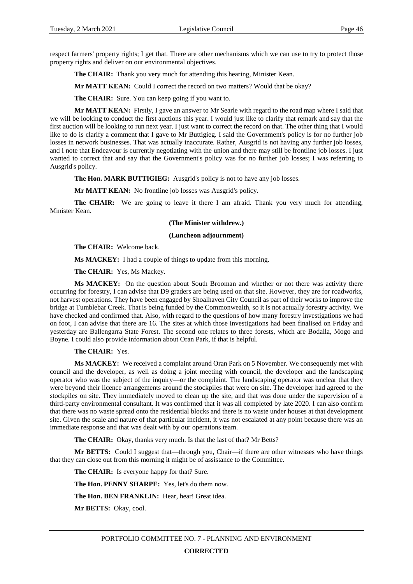respect farmers' property rights; I get that. There are other mechanisms which we can use to try to protect those property rights and deliver on our environmental objectives.

**The CHAIR:** Thank you very much for attending this hearing, Minister Kean.

**Mr MATT KEAN:** Could I correct the record on two matters? Would that be okay?

**The CHAIR:** Sure. You can keep going if you want to.

**Mr MATT KEAN:** Firstly, I gave an answer to Mr Searle with regard to the road map where I said that we will be looking to conduct the first auctions this year. I would just like to clarify that remark and say that the first auction will be looking to run next year. I just want to correct the record on that. The other thing that I would like to do is clarify a comment that I gave to Mr Buttigieg. I said the Government's policy is for no further job losses in network businesses. That was actually inaccurate. Rather, Ausgrid is not having any further job losses, and I note that Endeavour is currently negotiating with the union and there may still be frontline job losses. I just wanted to correct that and say that the Government's policy was for no further job losses; I was referring to Ausgrid's policy.

**The Hon. MARK BUTTIGIEG:** Ausgrid's policy is not to have any job losses.

**Mr MATT KEAN:** No frontline job losses was Ausgrid's policy.

**The CHAIR:** We are going to leave it there I am afraid. Thank you very much for attending, Minister Kean.

#### **(The Minister withdrew.)**

#### **(Luncheon adjournment)**

**The CHAIR:** Welcome back.

**Ms MACKEY:** I had a couple of things to update from this morning.

**The CHAIR:** Yes, Ms Mackey.

**Ms MACKEY:** On the question about South Brooman and whether or not there was activity there occurring for forestry, I can advise that D9 graders are being used on that site. However, they are for roadworks, not harvest operations. They have been engaged by Shoalhaven City Council as part of their works to improve the bridge at Tumblebar Creek. That is being funded by the Commonwealth, so it is not actually forestry activity. We have checked and confirmed that. Also, with regard to the questions of how many forestry investigations we had on foot, I can advise that there are 16. The sites at which those investigations had been finalised on Friday and yesterday are Ballengarra State Forest. The second one relates to three forests, which are Bodalla, Mogo and Boyne. I could also provide information about Oran Park, if that is helpful.

**The CHAIR:** Yes.

**Ms MACKEY:** We received a complaint around Oran Park on 5 November. We consequently met with council and the developer, as well as doing a joint meeting with council, the developer and the landscaping operator who was the subject of the inquiry—or the complaint. The landscaping operator was unclear that they were beyond their licence arrangements around the stockpiles that were on site. The developer had agreed to the stockpiles on site. They immediately moved to clean up the site, and that was done under the supervision of a third-party environmental consultant. It was confirmed that it was all completed by late 2020. I can also confirm that there was no waste spread onto the residential blocks and there is no waste under houses at that development site. Given the scale and nature of that particular incident, it was not escalated at any point because there was an immediate response and that was dealt with by our operations team.

**The CHAIR:** Okay, thanks very much. Is that the last of that? Mr Betts?

**Mr BETTS:** Could I suggest that—through you, Chair—if there are other witnesses who have things that they can close out from this morning it might be of assistance to the Committee.

**The CHAIR:** Is everyone happy for that? Sure.

**The Hon. PENNY SHARPE:** Yes, let's do them now.

**The Hon. BEN FRANKLIN:** Hear, hear! Great idea.

**Mr BETTS:** Okay, cool.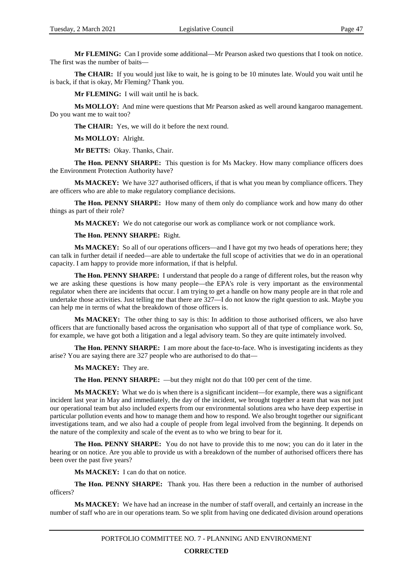**Mr FLEMING:** Can I provide some additional—Mr Pearson asked two questions that I took on notice. The first was the number of baits—

**The CHAIR:** If you would just like to wait, he is going to be 10 minutes late. Would you wait until he is back, if that is okay, Mr Fleming? Thank you.

**Mr FLEMING:** I will wait until he is back.

**Ms MOLLOY:** And mine were questions that Mr Pearson asked as well around kangaroo management. Do you want me to wait too?

**The CHAIR:** Yes, we will do it before the next round.

**Ms MOLLOY:** Alright.

**Mr BETTS:** Okay. Thanks, Chair.

**The Hon. PENNY SHARPE:** This question is for Ms Mackey. How many compliance officers does the Environment Protection Authority have?

**Ms MACKEY:** We have 327 authorised officers, if that is what you mean by compliance officers. They are officers who are able to make regulatory compliance decisions.

**The Hon. PENNY SHARPE:** How many of them only do compliance work and how many do other things as part of their role?

**Ms MACKEY:** We do not categorise our work as compliance work or not compliance work.

**The Hon. PENNY SHARPE:** Right.

**Ms MACKEY:** So all of our operations officers—and I have got my two heads of operations here; they can talk in further detail if needed—are able to undertake the full scope of activities that we do in an operational capacity. I am happy to provide more information, if that is helpful.

**The Hon. PENNY SHARPE:** I understand that people do a range of different roles, but the reason why we are asking these questions is how many people—the EPA's role is very important as the environmental regulator when there are incidents that occur. I am trying to get a handle on how many people are in that role and undertake those activities. Just telling me that there are 327—I do not know the right question to ask. Maybe you can help me in terms of what the breakdown of those officers is.

**Ms MACKEY:** The other thing to say is this: In addition to those authorised officers, we also have officers that are functionally based across the organisation who support all of that type of compliance work. So, for example, we have got both a litigation and a legal advisory team. So they are quite intimately involved.

**The Hon. PENNY SHARPE:** I am more about the face-to-face. Who is investigating incidents as they arise? You are saying there are 327 people who are authorised to do that—

**Ms MACKEY:** They are.

**The Hon. PENNY SHARPE:** —but they might not do that 100 per cent of the time.

**Ms MACKEY:** What we do is when there is a significant incident—for example, there was a significant incident last year in May and immediately, the day of the incident, we brought together a team that was not just our operational team but also included experts from our environmental solutions area who have deep expertise in particular pollution events and how to manage them and how to respond. We also brought together our significant investigations team, and we also had a couple of people from legal involved from the beginning. It depends on the nature of the complexity and scale of the event as to who we bring to bear for it.

**The Hon. PENNY SHARPE:** You do not have to provide this to me now; you can do it later in the hearing or on notice. Are you able to provide us with a breakdown of the number of authorised officers there has been over the past five years?

**Ms MACKEY:** I can do that on notice.

**The Hon. PENNY SHARPE:** Thank you. Has there been a reduction in the number of authorised officers?

**Ms MACKEY:** We have had an increase in the number of staff overall, and certainly an increase in the number of staff who are in our operations team. So we split from having one dedicated division around operations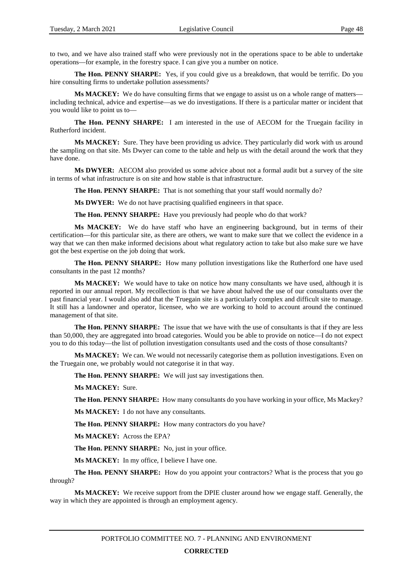to two, and we have also trained staff who were previously not in the operations space to be able to undertake operations—for example, in the forestry space. I can give you a number on notice.

**The Hon. PENNY SHARPE:** Yes, if you could give us a breakdown, that would be terrific. Do you hire consulting firms to undertake pollution assessments?

**Ms MACKEY:** We do have consulting firms that we engage to assist us on a whole range of matters including technical, advice and expertise—as we do investigations. If there is a particular matter or incident that you would like to point us to—

**The Hon. PENNY SHARPE:** I am interested in the use of AECOM for the Truegain facility in Rutherford incident.

**Ms MACKEY:** Sure. They have been providing us advice. They particularly did work with us around the sampling on that site. Ms Dwyer can come to the table and help us with the detail around the work that they have done.

**Ms DWYER:** AECOM also provided us some advice about not a formal audit but a survey of the site in terms of what infrastructure is on site and how stable is that infrastructure.

**The Hon. PENNY SHARPE:** That is not something that your staff would normally do?

**Ms DWYER:** We do not have practising qualified engineers in that space.

**The Hon. PENNY SHARPE:** Have you previously had people who do that work?

**Ms MACKEY:** We do have staff who have an engineering background, but in terms of their certification—for this particular site, as there are others, we want to make sure that we collect the evidence in a way that we can then make informed decisions about what regulatory action to take but also make sure we have got the best expertise on the job doing that work.

**The Hon. PENNY SHARPE:** How many pollution investigations like the Rutherford one have used consultants in the past 12 months?

**Ms MACKEY:** We would have to take on notice how many consultants we have used, although it is reported in our annual report. My recollection is that we have about halved the use of our consultants over the past financial year. I would also add that the Truegain site is a particularly complex and difficult site to manage. It still has a landowner and operator, licensee, who we are working to hold to account around the continued management of that site.

**The Hon. PENNY SHARPE:** The issue that we have with the use of consultants is that if they are less than 50,000, they are aggregated into broad categories. Would you be able to provide on notice—I do not expect you to do this today—the list of pollution investigation consultants used and the costs of those consultants?

**Ms MACKEY:** We can. We would not necessarily categorise them as pollution investigations. Even on the Truegain one, we probably would not categorise it in that way.

**The Hon. PENNY SHARPE:** We will just say investigations then.

**Ms MACKEY:** Sure.

**The Hon. PENNY SHARPE:** How many consultants do you have working in your office, Ms Mackey?

**Ms MACKEY:** I do not have any consultants.

**The Hon. PENNY SHARPE:** How many contractors do you have?

**Ms MACKEY:** Across the EPA?

**The Hon. PENNY SHARPE:** No, just in your office.

**Ms MACKEY:** In my office, I believe I have one.

**The Hon. PENNY SHARPE:** How do you appoint your contractors? What is the process that you go through?

**Ms MACKEY:** We receive support from the DPIE cluster around how we engage staff. Generally, the way in which they are appointed is through an employment agency.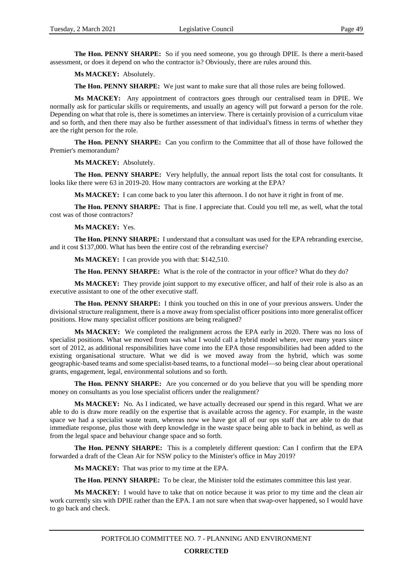**The Hon. PENNY SHARPE:** So if you need someone, you go through DPIE. Is there a merit-based assessment, or does it depend on who the contractor is? Obviously, there are rules around this.

**Ms MACKEY:** Absolutely.

**The Hon. PENNY SHARPE:** We just want to make sure that all those rules are being followed.

**Ms MACKEY:** Any appointment of contractors goes through our centralised team in DPIE. We normally ask for particular skills or requirements, and usually an agency will put forward a person for the role. Depending on what that role is, there is sometimes an interview. There is certainly provision of a curriculum vitae and so forth, and then there may also be further assessment of that individual's fitness in terms of whether they are the right person for the role.

**The Hon. PENNY SHARPE:** Can you confirm to the Committee that all of those have followed the Premier's memorandum?

**Ms MACKEY:** Absolutely.

**The Hon. PENNY SHARPE:** Very helpfully, the annual report lists the total cost for consultants. It looks like there were 63 in 2019-20. How many contractors are working at the EPA?

**Ms MACKEY:** I can come back to you later this afternoon. I do not have it right in front of me.

**The Hon. PENNY SHARPE:** That is fine. I appreciate that. Could you tell me, as well, what the total cost was of those contractors?

**Ms MACKEY:** Yes.

**The Hon. PENNY SHARPE:** I understand that a consultant was used for the EPA rebranding exercise, and it cost \$137,000. What has been the entire cost of the rebranding exercise?

**Ms MACKEY:** I can provide you with that: \$142,510.

**The Hon. PENNY SHARPE:** What is the role of the contractor in your office? What do they do?

**Ms MACKEY:** They provide joint support to my executive officer, and half of their role is also as an executive assistant to one of the other executive staff.

**The Hon. PENNY SHARPE:** I think you touched on this in one of your previous answers. Under the divisional structure realignment, there is a move away from specialist officer positions into more generalist officer positions. How many specialist officer positions are being realigned?

**Ms MACKEY:** We completed the realignment across the EPA early in 2020. There was no loss of specialist positions. What we moved from was what I would call a hybrid model where, over many years since sort of 2012, as additional responsibilities have come into the EPA those responsibilities had been added to the existing organisational structure. What we did is we moved away from the hybrid, which was some geographic-based teams and some specialist-based teams, to a functional model—so being clear about operational grants, engagement, legal, environmental solutions and so forth.

**The Hon. PENNY SHARPE:** Are you concerned or do you believe that you will be spending more money on consultants as you lose specialist officers under the realignment?

**Ms MACKEY:** No. As I indicated, we have actually decreased our spend in this regard. What we are able to do is draw more readily on the expertise that is available across the agency. For example, in the waste space we had a specialist waste team, whereas now we have got all of our ops staff that are able to do that immediate response, plus those with deep knowledge in the waste space being able to back in behind, as well as from the legal space and behaviour change space and so forth.

**The Hon. PENNY SHARPE:** This is a completely different question: Can I confirm that the EPA forwarded a draft of the Clean Air for NSW policy to the Minister's office in May 2019?

**Ms MACKEY:** That was prior to my time at the EPA.

**The Hon. PENNY SHARPE:** To be clear, the Minister told the estimates committee this last year.

**Ms MACKEY:** I would have to take that on notice because it was prior to my time and the clean air work currently sits with DPIE rather than the EPA. I am not sure when that swap-over happened, so I would have to go back and check.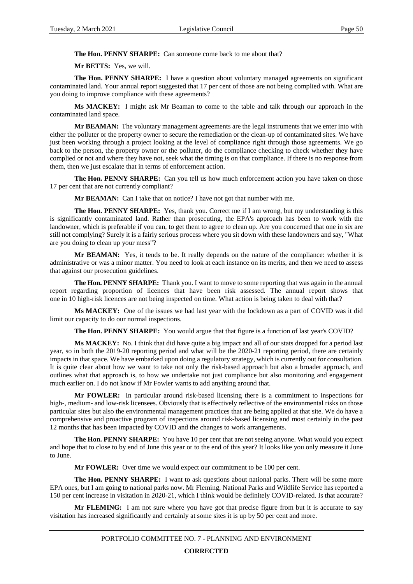**The Hon. PENNY SHARPE:** Can someone come back to me about that?

**Mr BETTS:** Yes, we will.

**The Hon. PENNY SHARPE:** I have a question about voluntary managed agreements on significant contaminated land. Your annual report suggested that 17 per cent of those are not being complied with. What are you doing to improve compliance with these agreements?

**Ms MACKEY:** I might ask Mr Beaman to come to the table and talk through our approach in the contaminated land space.

**Mr BEAMAN:** The voluntary management agreements are the legal instruments that we enter into with either the polluter or the property owner to secure the remediation or the clean-up of contaminated sites. We have just been working through a project looking at the level of compliance right through those agreements. We go back to the person, the property owner or the polluter, do the compliance checking to check whether they have complied or not and where they have not, seek what the timing is on that compliance. If there is no response from them, then we just escalate that in terms of enforcement action.

**The Hon. PENNY SHARPE:** Can you tell us how much enforcement action you have taken on those 17 per cent that are not currently compliant?

**Mr BEAMAN:** Can I take that on notice? I have not got that number with me.

**The Hon. PENNY SHARPE:** Yes, thank you. Correct me if I am wrong, but my understanding is this is significantly contaminated land. Rather than prosecuting, the EPA's approach has been to work with the landowner, which is preferable if you can, to get them to agree to clean up. Are you concerned that one in six are still not complying? Surely it is a fairly serious process where you sit down with these landowners and say, "What are you doing to clean up your mess"?

**Mr BEAMAN:** Yes, it tends to be. It really depends on the nature of the compliance: whether it is administrative or was a minor matter. You need to look at each instance on its merits, and then we need to assess that against our prosecution guidelines.

**The Hon. PENNY SHARPE:** Thank you. I want to move to some reporting that was again in the annual report regarding proportion of licences that have been risk assessed. The annual report shows that one in 10 high-risk licences are not being inspected on time. What action is being taken to deal with that?

**Ms MACKEY:** One of the issues we had last year with the lockdown as a part of COVID was it did limit our capacity to do our normal inspections.

**The Hon. PENNY SHARPE:** You would argue that that figure is a function of last year's COVID?

**Ms MACKEY:** No. I think that did have quite a big impact and all of our stats dropped for a period last year, so in both the 2019-20 reporting period and what will be the 2020-21 reporting period, there are certainly impacts in that space. We have embarked upon doing a regulatory strategy, which is currently out for consultation. It is quite clear about how we want to take not only the risk-based approach but also a broader approach, and outlines what that approach is, to how we undertake not just compliance but also monitoring and engagement much earlier on. I do not know if Mr Fowler wants to add anything around that.

**Mr FOWLER:** In particular around risk-based licensing there is a commitment to inspections for high-, medium- and low-risk licensees. Obviously that is effectively reflective of the environmental risks on those particular sites but also the environmental management practices that are being applied at that site. We do have a comprehensive and proactive program of inspections around risk-based licensing and most certainly in the past 12 months that has been impacted by COVID and the changes to work arrangements.

**The Hon. PENNY SHARPE:** You have 10 per cent that are not seeing anyone. What would you expect and hope that to close to by end of June this year or to the end of this year? It looks like you only measure it June to June.

**Mr FOWLER:** Over time we would expect our commitment to be 100 per cent.

**The Hon. PENNY SHARPE:** I want to ask questions about national parks. There will be some more EPA ones, but I am going to national parks now. Mr Fleming, National Parks and Wildlife Service has reported a 150 per cent increase in visitation in 2020-21, which I think would be definitely COVID-related. Is that accurate?

**Mr FLEMING:** I am not sure where you have got that precise figure from but it is accurate to say visitation has increased significantly and certainly at some sites it is up by 50 per cent and more.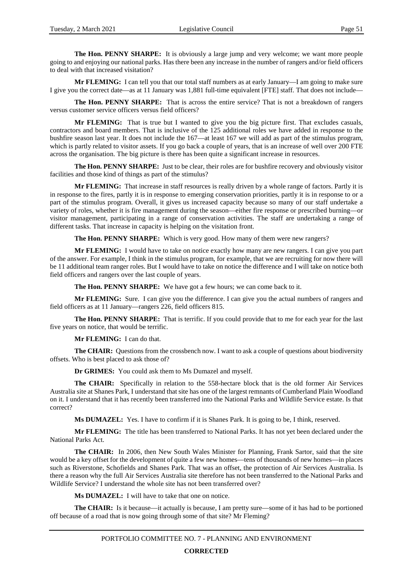**The Hon. PENNY SHARPE:** It is obviously a large jump and very welcome; we want more people going to and enjoying our national parks. Has there been any increase in the number of rangers and/or field officers to deal with that increased visitation?

**Mr FLEMING:** I can tell you that our total staff numbers as at early January—I am going to make sure I give you the correct date—as at 11 January was 1,881 full-time equivalent [FTE] staff. That does not include—

**The Hon. PENNY SHARPE:** That is across the entire service? That is not a breakdown of rangers versus customer service officers versus field officers?

**Mr FLEMING:** That is true but I wanted to give you the big picture first. That excludes casuals, contractors and board members. That is inclusive of the 125 additional roles we have added in response to the bushfire season last year. It does not include the 167—at least 167 we will add as part of the stimulus program, which is partly related to visitor assets. If you go back a couple of years, that is an increase of well over 200 FTE across the organisation. The big picture is there has been quite a significant increase in resources.

**The Hon. PENNY SHARPE:** Just to be clear, their roles are for bushfire recovery and obviously visitor facilities and those kind of things as part of the stimulus?

**Mr FLEMING:** That increase in staff resources is really driven by a whole range of factors. Partly it is in response to the fires, partly it is in response to emerging conservation priorities, partly it is in response to or a part of the stimulus program. Overall, it gives us increased capacity because so many of our staff undertake a variety of roles, whether it is fire management during the season—either fire response or prescribed burning—or visitor management, participating in a range of conservation activities. The staff are undertaking a range of different tasks. That increase in capacity is helping on the visitation front.

**The Hon. PENNY SHARPE:** Which is very good. How many of them were new rangers?

**Mr FLEMING:** I would have to take on notice exactly how many are new rangers. I can give you part of the answer. For example, I think in the stimulus program, for example, that we are recruiting for now there will be 11 additional team ranger roles. But I would have to take on notice the difference and I will take on notice both field officers and rangers over the last couple of years.

**The Hon. PENNY SHARPE:** We have got a few hours; we can come back to it.

**Mr FLEMING:** Sure. I can give you the difference. I can give you the actual numbers of rangers and field officers as at 11 January—rangers 226, field officers 815.

**The Hon. PENNY SHARPE:** That is terrific. If you could provide that to me for each year for the last five years on notice, that would be terrific.

**Mr FLEMING:** I can do that.

**The CHAIR:** Questions from the crossbench now. I want to ask a couple of questions about biodiversity offsets. Who is best placed to ask those of?

**Dr GRIMES:** You could ask them to Ms Dumazel and myself.

**The CHAIR:** Specifically in relation to the 558-hectare block that is the old former Air Services Australia site at Shanes Park, I understand that site has one of the largest remnants of Cumberland Plain Woodland on it. I understand that it has recently been transferred into the National Parks and Wildlife Service estate. Is that correct?

**Ms DUMAZEL:** Yes. I have to confirm if it is Shanes Park. It is going to be, I think, reserved.

**Mr FLEMING:** The title has been transferred to National Parks. It has not yet been declared under the National Parks Act.

**The CHAIR:** In 2006, then New South Wales Minister for Planning, Frank Sartor, said that the site would be a key offset for the development of quite a few new homes—tens of thousands of new homes—in places such as Riverstone, Schofields and Shanes Park. That was an offset, the protection of Air Services Australia. Is there a reason why the full Air Services Australia site therefore has not been transferred to the National Parks and Wildlife Service? I understand the whole site has not been transferred over?

**Ms DUMAZEL:** I will have to take that one on notice.

**The CHAIR:** Is it because—it actually is because, I am pretty sure—some of it has had to be portioned off because of a road that is now going through some of that site? Mr Fleming?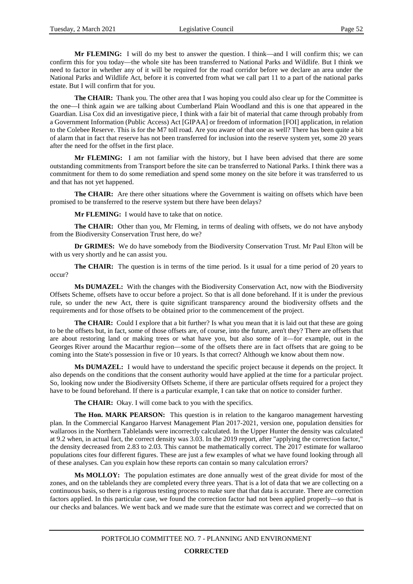**Mr FLEMING:** I will do my best to answer the question. I think—and I will confirm this; we can confirm this for you today—the whole site has been transferred to National Parks and Wildlife. But I think we need to factor in whether any of it will be required for the road corridor before we declare an area under the National Parks and Wildlife Act, before it is converted from what we call part 11 to a part of the national parks estate. But I will confirm that for you.

**The CHAIR:** Thank you. The other area that I was hoping you could also clear up for the Committee is the one—I think again we are talking about Cumberland Plain Woodland and this is one that appeared in the Guardian. Lisa Cox did an investigative piece, I think with a fair bit of material that came through probably from a Government Information (Public Access) Act [GIPAA] or freedom of information [FOI] application, in relation to the Colebee Reserve. This is for the M7 toll road. Are you aware of that one as well? There has been quite a bit of alarm that in fact that reserve has not been transferred for inclusion into the reserve system yet, some 20 years after the need for the offset in the first place.

**Mr FLEMING:** I am not familiar with the history, but I have been advised that there are some outstanding commitments from Transport before the site can be transferred to National Parks. I think there was a commitment for them to do some remediation and spend some money on the site before it was transferred to us and that has not yet happened.

**The CHAIR:** Are there other situations where the Government is waiting on offsets which have been promised to be transferred to the reserve system but there have been delays?

**Mr FLEMING:** I would have to take that on notice.

**The CHAIR:** Other than you, Mr Fleming, in terms of dealing with offsets, we do not have anybody from the Biodiversity Conservation Trust here, do we?

**Dr GRIMES:** We do have somebody from the Biodiversity Conservation Trust. Mr Paul Elton will be with us very shortly and he can assist you.

**The CHAIR:** The question is in terms of the time period. Is it usual for a time period of 20 years to occur?

**Ms DUMAZEL:** With the changes with the Biodiversity Conservation Act, now with the Biodiversity Offsets Scheme, offsets have to occur before a project. So that is all done beforehand. If it is under the previous rule, so under the new Act, there is quite significant transparency around the biodiversity offsets and the requirements and for those offsets to be obtained prior to the commencement of the project.

**The CHAIR:** Could I explore that a bit further? Is what you mean that it is laid out that these are going to be the offsets but, in fact, some of those offsets are, of course, into the future, aren't they? There are offsets that are about restoring land or making trees or what have you, but also some of it—for example, out in the Georges River around the Macarthur region—some of the offsets there are in fact offsets that are going to be coming into the State's possession in five or 10 years. Is that correct? Although we know about them now.

**Ms DUMAZEL:** I would have to understand the specific project because it depends on the project. It also depends on the conditions that the consent authority would have applied at the time for a particular project. So, looking now under the Biodiversity Offsets Scheme, if there are particular offsets required for a project they have to be found beforehand. If there is a particular example, I can take that on notice to consider further.

**The CHAIR:** Okay. I will come back to you with the specifics.

**The Hon. MARK PEARSON:** This question is in relation to the kangaroo management harvesting plan. In the Commercial Kangaroo Harvest Management Plan 2017-2021, version one, population densities for wallaroos in the Northern Tablelands were incorrectly calculated. In the Upper Hunter the density was calculated at 9.2 when, in actual fact, the correct density was 3.03. In the 2019 report, after "applying the correction factor," the density decreased from 2.83 to 2.03. This cannot be mathematically correct. The 2017 estimate for wallaroo populations cites four different figures. These are just a few examples of what we have found looking through all of these analyses. Can you explain how these reports can contain so many calculation errors?

**Ms MOLLOY:** The population estimates are done annually west of the great divide for most of the zones, and on the tablelands they are completed every three years. That is a lot of data that we are collecting on a continuous basis, so there is a rigorous testing process to make sure that that data is accurate. There are correction factors applied. In this particular case, we found the correction factor had not been applied properly—so that is our checks and balances. We went back and we made sure that the estimate was correct and we corrected that on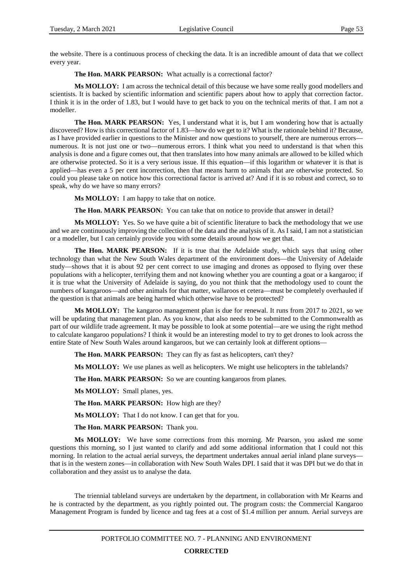the website. There is a continuous process of checking the data. It is an incredible amount of data that we collect every year.

**The Hon. MARK PEARSON:** What actually is a correctional factor?

**Ms MOLLOY:** I am across the technical detail of this because we have some really good modellers and scientists. It is backed by scientific information and scientific papers about how to apply that correction factor. I think it is in the order of 1.83, but I would have to get back to you on the technical merits of that. I am not a modeller.

**The Hon. MARK PEARSON:** Yes, I understand what it is, but I am wondering how that is actually discovered? How is this correctional factor of 1.83—how do we get to it? What is the rationale behind it? Because, as I have provided earlier in questions to the Minister and now questions to yourself, there are numerous errors numerous. It is not just one or two—numerous errors. I think what you need to understand is that when this analysis is done and a figure comes out, that then translates into how many animals are allowed to be killed which are otherwise protected. So it is a very serious issue. If this equation—if this logarithm or whatever it is that is applied—has even a 5 per cent incorrection, then that means harm to animals that are otherwise protected. So could you please take on notice how this correctional factor is arrived at? And if it is so robust and correct, so to speak, why do we have so many errors?

**Ms MOLLOY:** I am happy to take that on notice.

**The Hon. MARK PEARSON:** You can take that on notice to provide that answer in detail?

**Ms MOLLOY:** Yes. So we have quite a bit of scientific literature to back the methodology that we use and we are continuously improving the collection of the data and the analysis of it. As I said, I am not a statistician or a modeller, but I can certainly provide you with some details around how we get that.

**The Hon. MARK PEARSON:** If it is true that the Adelaide study, which says that using other technology than what the New South Wales department of the environment does—the University of Adelaide study—shows that it is about 92 per cent correct to use imaging and drones as opposed to flying over these populations with a helicopter, terrifying them and not knowing whether you are counting a goat or a kangaroo; if it is true what the University of Adelaide is saying, do you not think that the methodology used to count the numbers of kangaroos—and other animals for that matter, wallaroos et cetera—must be completely overhauled if the question is that animals are being harmed which otherwise have to be protected?

**Ms MOLLOY:** The kangaroo management plan is due for renewal. It runs from 2017 to 2021, so we will be updating that management plan. As you know, that also needs to be submitted to the Commonwealth as part of our wildlife trade agreement. It may be possible to look at some potential—are we using the right method to calculate kangaroo populations? I think it would be an interesting model to try to get drones to look across the entire State of New South Wales around kangaroos, but we can certainly look at different options—

**The Hon. MARK PEARSON:** They can fly as fast as helicopters, can't they?

**Ms MOLLOY:** We use planes as well as helicopters. We might use helicopters in the tablelands?

**The Hon. MARK PEARSON:** So we are counting kangaroos from planes.

**Ms MOLLOY:** Small planes, yes.

**The Hon. MARK PEARSON:** How high are they?

**Ms MOLLOY:** That I do not know. I can get that for you.

**The Hon. MARK PEARSON:** Thank you.

**Ms MOLLOY:** We have some corrections from this morning. Mr Pearson, you asked me some questions this morning, so I just wanted to clarify and add some additional information that I could not this morning. In relation to the actual aerial surveys, the department undertakes annual aerial inland plane surveys that is in the western zones—in collaboration with New South Wales DPI. I said that it was DPI but we do that in collaboration and they assist us to analyse the data.

The triennial tableland surveys are undertaken by the department, in collaboration with Mr Kearns and he is contracted by the department, as you rightly pointed out. The program costs: the Commercial Kangaroo Management Program is funded by licence and tag fees at a cost of \$1.4 million per annum. Aerial surveys are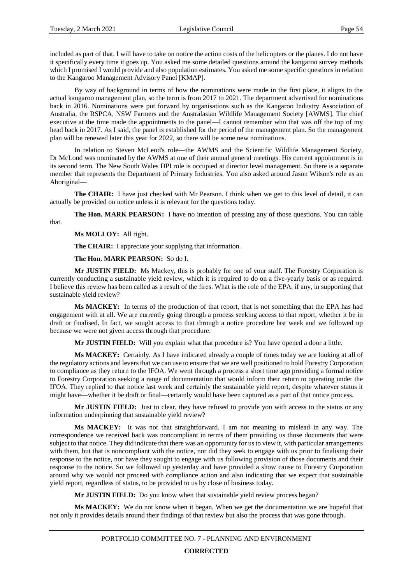included as part of that. I will have to take on notice the action costs of the helicopters or the planes. I do not have it specifically every time it goes up. You asked me some detailed questions around the kangaroo survey methods which I promised I would provide and also population estimates. You asked me some specific questions in relation to the Kangaroo Management Advisory Panel [KMAP].

By way of background in terms of how the nominations were made in the first place, it aligns to the actual kangaroo management plan, so the term is from 2017 to 2021. The department advertised for nominations back in 2016. Nominations were put forward by organisations such as the Kangaroo Industry Association of Australia, the RSPCA, NSW Farmers and the Australasian Wildlife Management Society [AWMS]. The chief executive at the time made the appointments to the panel—I cannot remember who that was off the top of my head back in 2017. As I said, the panel is established for the period of the management plan. So the management plan will be renewed later this year for 2022, so there will be some new nominations.

In relation to Steven McLeod's role—the AWMS and the Scientific Wildlife Management Society, Dr McLoud was nominated by the AWMS at one of their annual general meetings. His current appointment is in its second term. The New South Wales DPI role is occupied at director level management. So there is a separate member that represents the Department of Primary Industries. You also asked around Jason Wilson's role as an Aboriginal—

**The CHAIR:** I have just checked with Mr Pearson. I think when we get to this level of detail, it can actually be provided on notice unless it is relevant for the questions today.

**The Hon. MARK PEARSON:** I have no intention of pressing any of those questions. You can table that.

**Ms MOLLOY:** All right.

**The CHAIR:** I appreciate your supplying that information.

**The Hon. MARK PEARSON:** So do I.

**Mr JUSTIN FIELD:** Ms Mackey, this is probably for one of your staff. The Forestry Corporation is currently conducting a sustainable yield review, which it is required to do on a five-yearly basis or as required. I believe this review has been called as a result of the fires. What is the role of the EPA, if any, in supporting that sustainable yield review?

**Ms MACKEY:** In terms of the production of that report, that is not something that the EPA has had engagement with at all. We are currently going through a process seeking access to that report, whether it be in draft or finalised. In fact, we sought access to that through a notice procedure last week and we followed up because we were not given access through that procedure.

**Mr JUSTIN FIELD:** Will you explain what that procedure is? You have opened a door a little.

**Ms MACKEY:** Certainly. As I have indicated already a couple of times today we are looking at all of the regulatory actions and levers that we can use to ensure that we are well positioned to hold Forestry Corporation to compliance as they return to the IFOA. We went through a process a short time ago providing a formal notice to Forestry Corporation seeking a range of documentation that would inform their return to operating under the IFOA. They replied to that notice last week and certainly the sustainable yield report, despite whatever status it might have—whether it be draft or final—certainly would have been captured as a part of that notice process.

**Mr JUSTIN FIELD:** Just to clear, they have refused to provide you with access to the status or any information underpinning that sustainable yield review?

**Ms MACKEY:** It was not that straightforward. I am not meaning to mislead in any way. The correspondence we received back was noncompliant in terms of them providing us those documents that were subject to that notice. They did indicate that there was an opportunity for us to view it, with particular arrangements with them, but that is noncompliant with the notice, nor did they seek to engage with us prior to finalising their response to the notice, nor have they sought to engage with us following provision of those documents and their response to the notice. So we followed up yesterday and have provided a show cause to Forestry Corporation around why we would not proceed with compliance action and also indicating that we expect that sustainable yield report, regardless of status, to be provided to us by close of business today.

**Mr JUSTIN FIELD:** Do you know when that sustainable yield review process began?

**Ms MACKEY:** We do not know when it began. When we get the documentation we are hopeful that not only it provides details around their findings of that review but also the process that was gone through.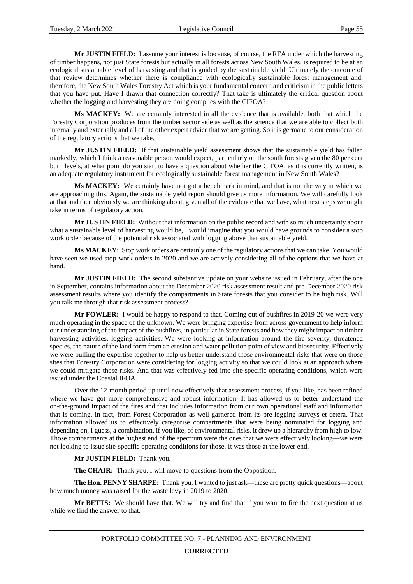**Mr JUSTIN FIELD:** I assume your interest is because, of course, the RFA under which the harvesting of timber happens, not just State forests but actually in all forests across New South Wales, is required to be at an ecological sustainable level of harvesting and that is guided by the sustainable yield. Ultimately the outcome of that review determines whether there is compliance with ecologically sustainable forest management and, therefore, the New South Wales Forestry Act which is your fundamental concern and criticism in the public letters that you have put. Have I drawn that connection correctly? That take is ultimately the critical question about whether the logging and harvesting they are doing complies with the CIFOA?

**Ms MACKEY:** We are certainly interested in all the evidence that is available, both that which the Forestry Corporation produces from the timber sector side as well as the science that we are able to collect both internally and externally and all of the other expert advice that we are getting. So it is germane to our consideration of the regulatory actions that we take.

**Mr JUSTIN FIELD:** If that sustainable yield assessment shows that the sustainable yield has fallen markedly, which I think a reasonable person would expect, particularly on the south forests given the 80 per cent burn levels, at what point do you start to have a question about whether the CIFOA, as it is currently written, is an adequate regulatory instrument for ecologically sustainable forest management in New South Wales?

**Ms MACKEY:** We certainly have not got a benchmark in mind, and that is not the way in which we are approaching this. Again, the sustainable yield report should give us more information. We will carefully look at that and then obviously we are thinking about, given all of the evidence that we have, what next steps we might take in terms of regulatory action.

**Mr JUSTIN FIELD:** Without that information on the public record and with so much uncertainty about what a sustainable level of harvesting would be, I would imagine that you would have grounds to consider a stop work order because of the potential risk associated with logging above that sustainable yield.

**Ms MACKEY:** Stop work orders are certainly one of the regulatory actions that we can take. You would have seen we used stop work orders in 2020 and we are actively considering all of the options that we have at hand.

**Mr JUSTIN FIELD:** The second substantive update on your website issued in February, after the one in September, contains information about the December 2020 risk assessment result and pre-December 2020 risk assessment results where you identify the compartments in State forests that you consider to be high risk. Will you talk me through that risk assessment process?

**Mr FOWLER:** I would be happy to respond to that. Coming out of bushfires in 2019-20 we were very much operating in the space of the unknown. We were bringing expertise from across government to help inform our understanding of the impact of the bushfires, in particular in State forests and how they might impact on timber harvesting activities, logging activities. We were looking at information around the fire severity, threatened species, the nature of the land form from an erosion and water pollution point of view and biosecurity. Effectively we were pulling the expertise together to help us better understand those environmental risks that were on those sites that Forestry Corporation were considering for logging activity so that we could look at an approach where we could mitigate those risks. And that was effectively fed into site-specific operating conditions, which were issued under the Coastal IFOA.

Over the 12-month period up until now effectively that assessment process, if you like, has been refined where we have got more comprehensive and robust information. It has allowed us to better understand the on-the-ground impact of the fires and that includes information from our own operational staff and information that is coming, in fact, from Forest Corporation as well garnered from its pre-logging surveys et cetera. That information allowed us to effectively categorise compartments that were being nominated for logging and depending on, I guess, a combination, if you like, of environmental risks, it drew up a hierarchy from high to low. Those compartments at the highest end of the spectrum were the ones that we were effectively looking—we were not looking to issue site-specific operating conditions for those. It was those at the lower end.

**Mr JUSTIN FIELD:** Thank you.

**The CHAIR:** Thank you. I will move to questions from the Opposition.

**The Hon. PENNY SHARPE:** Thank you. I wanted to just ask—these are pretty quick questions—about how much money was raised for the waste levy in 2019 to 2020.

**Mr BETTS:** We should have that. We will try and find that if you want to fire the next question at us while we find the answer to that.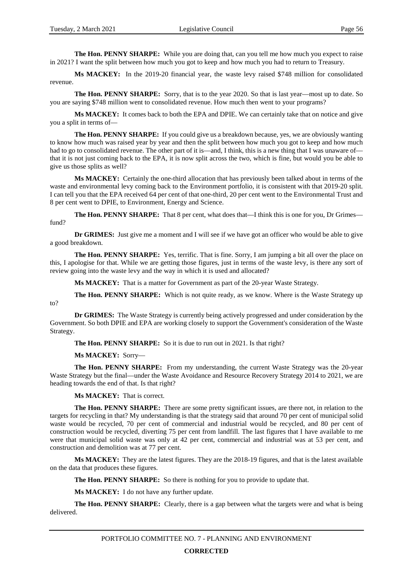**The Hon. PENNY SHARPE:** While you are doing that, can you tell me how much you expect to raise in 2021? I want the split between how much you got to keep and how much you had to return to Treasury.

**Ms MACKEY:** In the 2019-20 financial year, the waste levy raised \$748 million for consolidated revenue.

**The Hon. PENNY SHARPE:** Sorry, that is to the year 2020. So that is last year—most up to date. So you are saying \$748 million went to consolidated revenue. How much then went to your programs?

**Ms MACKEY:** It comes back to both the EPA and DPIE. We can certainly take that on notice and give you a split in terms of—

**The Hon. PENNY SHARPE:** If you could give us a breakdown because, yes, we are obviously wanting to know how much was raised year by year and then the split between how much you got to keep and how much had to go to consolidated revenue. The other part of it is—and, I think, this is a new thing that I was unaware of that it is not just coming back to the EPA, it is now split across the two, which is fine, but would you be able to give us those splits as well?

**Ms MACKEY:** Certainly the one-third allocation that has previously been talked about in terms of the waste and environmental levy coming back to the Environment portfolio, it is consistent with that 2019-20 split. I can tell you that the EPA received 64 per cent of that one-third, 20 per cent went to the Environmental Trust and 8 per cent went to DPIE, to Environment, Energy and Science.

**The Hon. PENNY SHARPE:** That 8 per cent, what does that—I think this is one for you, Dr Grimes fund?

**Dr GRIMES:** Just give me a moment and I will see if we have got an officer who would be able to give a good breakdown.

**The Hon. PENNY SHARPE:** Yes, terrific. That is fine. Sorry, I am jumping a bit all over the place on this, I apologise for that. While we are getting those figures, just in terms of the waste levy, is there any sort of review going into the waste levy and the way in which it is used and allocated?

**Ms MACKEY:** That is a matter for Government as part of the 20-year Waste Strategy.

**The Hon. PENNY SHARPE:** Which is not quite ready, as we know. Where is the Waste Strategy up to?

**Dr GRIMES:** The Waste Strategy is currently being actively progressed and under consideration by the Government. So both DPIE and EPA are working closely to support the Government's consideration of the Waste Strategy.

**The Hon. PENNY SHARPE:** So it is due to run out in 2021. Is that right?

**Ms MACKEY:** Sorry—

**The Hon. PENNY SHARPE:** From my understanding, the current Waste Strategy was the 20-year Waste Strategy but the final—under the Waste Avoidance and Resource Recovery Strategy 2014 to 2021, we are heading towards the end of that. Is that right?

**Ms MACKEY:** That is correct.

**The Hon. PENNY SHARPE:** There are some pretty significant issues, are there not, in relation to the targets for recycling in that? My understanding is that the strategy said that around 70 per cent of municipal solid waste would be recycled, 70 per cent of commercial and industrial would be recycled, and 80 per cent of construction would be recycled, diverting 75 per cent from landfill. The last figures that I have available to me were that municipal solid waste was only at 42 per cent, commercial and industrial was at 53 per cent, and construction and demolition was at 77 per cent.

**Ms MACKEY:** They are the latest figures. They are the 2018-19 figures, and that is the latest available on the data that produces these figures.

**The Hon. PENNY SHARPE:** So there is nothing for you to provide to update that.

**Ms MACKEY:** I do not have any further update.

**The Hon. PENNY SHARPE:** Clearly, there is a gap between what the targets were and what is being delivered.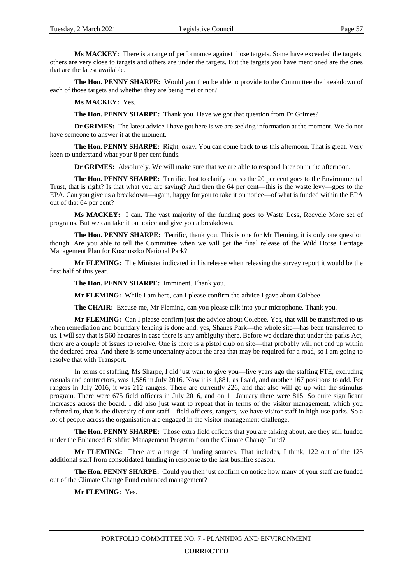**Ms MACKEY:** There is a range of performance against those targets. Some have exceeded the targets, others are very close to targets and others are under the targets. But the targets you have mentioned are the ones that are the latest available.

**The Hon. PENNY SHARPE:** Would you then be able to provide to the Committee the breakdown of each of those targets and whether they are being met or not?

### **Ms MACKEY:** Yes.

**The Hon. PENNY SHARPE:** Thank you. Have we got that question from Dr Grimes?

**Dr GRIMES:** The latest advice I have got here is we are seeking information at the moment. We do not have someone to answer it at the moment.

**The Hon. PENNY SHARPE:** Right, okay. You can come back to us this afternoon. That is great. Very keen to understand what your 8 per cent funds.

**Dr GRIMES:** Absolutely. We will make sure that we are able to respond later on in the afternoon.

**The Hon. PENNY SHARPE:** Terrific. Just to clarify too, so the 20 per cent goes to the Environmental Trust, that is right? Is that what you are saying? And then the 64 per cent—this is the waste levy—goes to the EPA. Can you give us a breakdown—again, happy for you to take it on notice—of what is funded within the EPA out of that 64 per cent?

**Ms MACKEY:** I can. The vast majority of the funding goes to Waste Less, Recycle More set of programs. But we can take it on notice and give you a breakdown.

**The Hon. PENNY SHARPE:** Terrific, thank you. This is one for Mr Fleming, it is only one question though. Are you able to tell the Committee when we will get the final release of the Wild Horse Heritage Management Plan for Kosciuszko National Park?

**Mr FLEMING:** The Minister indicated in his release when releasing the survey report it would be the first half of this year.

**The Hon. PENNY SHARPE:** Imminent. Thank you.

**Mr FLEMING:** While I am here, can I please confirm the advice I gave about Colebee—

**The CHAIR:** Excuse me, Mr Fleming, can you please talk into your microphone. Thank you.

**Mr FLEMING:** Can I please confirm just the advice about Colebee. Yes, that will be transferred to us when remediation and boundary fencing is done and, yes, Shanes Park—the whole site—has been transferred to us. I will say that is 560 hectares in case there is any ambiguity there. Before we declare that under the parks Act, there are a couple of issues to resolve. One is there is a pistol club on site—that probably will not end up within the declared area. And there is some uncertainty about the area that may be required for a road, so I am going to resolve that with Transport.

In terms of staffing, Ms Sharpe, I did just want to give you—five years ago the staffing FTE, excluding casuals and contractors, was 1,586 in July 2016. Now it is 1,881, as I said, and another 167 positions to add. For rangers in July 2016, it was 212 rangers. There are currently 226, and that also will go up with the stimulus program. There were 675 field officers in July 2016, and on 11 January there were 815. So quite significant increases across the board. I did also just want to repeat that in terms of the visitor management, which you referred to, that is the diversity of our staff—field officers, rangers, we have visitor staff in high-use parks. So a lot of people across the organisation are engaged in the visitor management challenge.

The Hon. PENNY SHARPE: Those extra field officers that you are talking about, are they still funded under the Enhanced Bushfire Management Program from the Climate Change Fund?

**Mr FLEMING:** There are a range of funding sources. That includes, I think, 122 out of the 125 additional staff from consolidated funding in response to the last bushfire season.

**The Hon. PENNY SHARPE:** Could you then just confirm on notice how many of your staff are funded out of the Climate Change Fund enhanced management?

**Mr FLEMING:** Yes.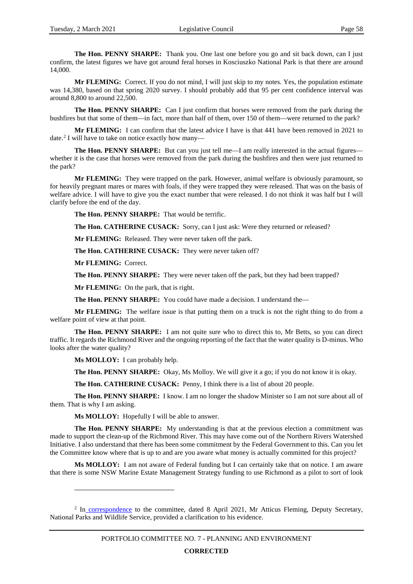**The Hon. PENNY SHARPE:** Thank you. One last one before you go and sit back down, can I just confirm, the latest figures we have got around feral horses in Kosciuszko National Park is that there are around 14,000.

**Mr FLEMING:** Correct. If you do not mind, I will just skip to my notes. Yes, the population estimate was 14,380, based on that spring 2020 survey. I should probably add that 95 per cent confidence interval was around 8,800 to around 22,500.

**The Hon. PENNY SHARPE:** Can I just confirm that horses were removed from the park during the bushfires but that some of them—in fact, more than half of them, over 150 of them—were returned to the park?

**Mr FLEMING:** I can confirm that the latest advice I have is that 441 have been removed in 2021 to date.[2](#page-60-0) I will have to take on notice exactly how many—

The Hon. PENNY SHARPE: But can you just tell me—I am really interested in the actual figures whether it is the case that horses were removed from the park during the bushfires and then were just returned to the park?

**Mr FLEMING:** They were trapped on the park. However, animal welfare is obviously paramount, so for heavily pregnant mares or mares with foals, if they were trapped they were released. That was on the basis of welfare advice. I will have to give you the exact number that were released. I do not think it was half but I will clarify before the end of the day.

**The Hon. PENNY SHARPE:** That would be terrific.

**The Hon. CATHERINE CUSACK:** Sorry, can I just ask: Were they returned or released?

**Mr FLEMING:** Released. They were never taken off the park.

**The Hon. CATHERINE CUSACK:** They were never taken off?

**Mr FLEMING:** Correct.

**The Hon. PENNY SHARPE:** They were never taken off the park, but they had been trapped?

**Mr FLEMING:** On the park, that is right.

**The Hon. PENNY SHARPE:** You could have made a decision. I understand the—

**Mr FLEMING:** The welfare issue is that putting them on a truck is not the right thing to do from a welfare point of view at that point.

**The Hon. PENNY SHARPE:** I am not quite sure who to direct this to, Mr Betts, so you can direct traffic. It regards the Richmond River and the ongoing reporting of the fact that the water quality is D-minus. Who looks after the water quality?

**Ms MOLLOY:** I can probably help.

 $\overline{a}$ 

**The Hon. PENNY SHARPE:** Okay, Ms Molloy. We will give it a go; if you do not know it is okay.

**The Hon. CATHERINE CUSACK:** Penny, I think there is a list of about 20 people.

**The Hon. PENNY SHARPE:** I know. I am no longer the shadow Minister so I am not sure about all of them. That is why I am asking.

**Ms MOLLOY:** Hopefully I will be able to answer.

**The Hon. PENNY SHARPE:** My understanding is that at the previous election a commitment was made to support the clean-up of the Richmond River. This may have come out of the Northern Rivers Watershed Initiative. I also understand that there has been some commitment by the Federal Government to this. Can you let the Committee know where that is up to and are you aware what money is actually committed for this project?

**Ms MOLLOY:** I am not aware of Federal funding but I can certainly take that on notice. I am aware that there is some NSW Marine Estate Management Strategy funding to use Richmond as a pilot to sort of look

<span id="page-60-0"></span><sup>&</sup>lt;sup>2</sup> In [correspondence](https://www.parliament.nsw.gov.au/lcdocs/other/15510/From%20Mr%20Atticus%20Fleming,%20Deputy%20Secretary,%20National%20Parks%20and%20Wildlife%20Service,%20provided%20a%20clarification%20to%20his%20evidence.pdf) to the committee, dated 8 April 2021, Mr Atticus Fleming, Deputy Secretary, National Parks and Wildlife Service, provided a clarification to his evidence.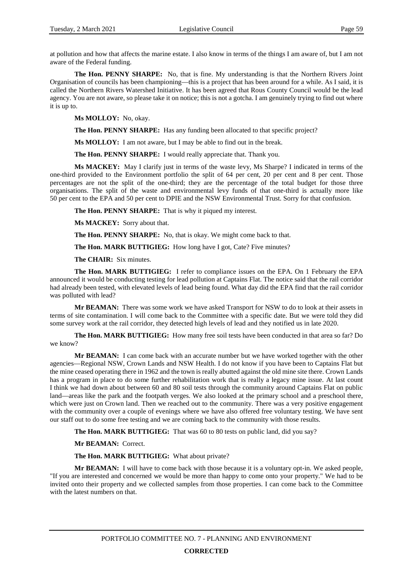at pollution and how that affects the marine estate. I also know in terms of the things I am aware of, but I am not aware of the Federal funding.

**The Hon. PENNY SHARPE:** No, that is fine. My understanding is that the Northern Rivers Joint Organisation of councils has been championing—this is a project that has been around for a while. As I said, it is called the Northern Rivers Watershed Initiative. It has been agreed that Rous County Council would be the lead agency. You are not aware, so please take it on notice; this is not a gotcha. I am genuinely trying to find out where it is up to.

**Ms MOLLOY:** No, okay.

**The Hon. PENNY SHARPE:** Has any funding been allocated to that specific project?

**Ms MOLLOY:** I am not aware, but I may be able to find out in the break.

**The Hon. PENNY SHARPE:** I would really appreciate that. Thank you.

**Ms MACKEY:** May I clarify just in terms of the waste levy, Ms Sharpe? I indicated in terms of the one-third provided to the Environment portfolio the split of 64 per cent, 20 per cent and 8 per cent. Those percentages are not the split of the one-third; they are the percentage of the total budget for those three organisations. The split of the waste and environmental levy funds of that one-third is actually more like 50 per cent to the EPA and 50 per cent to DPIE and the NSW Environmental Trust. Sorry for that confusion.

**The Hon. PENNY SHARPE:** That is why it piqued my interest.

**Ms MACKEY:** Sorry about that.

**The Hon. PENNY SHARPE:** No, that is okay. We might come back to that.

**The Hon. MARK BUTTIGIEG:** How long have I got, Cate? Five minutes?

**The CHAIR:** Six minutes.

**The Hon. MARK BUTTIGIEG:** I refer to compliance issues on the EPA. On 1 February the EPA announced it would be conducting testing for lead pollution at Captains Flat. The notice said that the rail corridor had already been tested, with elevated levels of lead being found. What day did the EPA find that the rail corridor was polluted with lead?

**Mr BEAMAN:** There was some work we have asked Transport for NSW to do to look at their assets in terms of site contamination. I will come back to the Committee with a specific date. But we were told they did some survey work at the rail corridor, they detected high levels of lead and they notified us in late 2020.

**The Hon. MARK BUTTIGIEG:** How many free soil tests have been conducted in that area so far? Do we know?

**Mr BEAMAN:** I can come back with an accurate number but we have worked together with the other agencies—Regional NSW, Crown Lands and NSW Health. I do not know if you have been to Captains Flat but the mine ceased operating there in 1962 and the town is really abutted against the old mine site there. Crown Lands has a program in place to do some further rehabilitation work that is really a legacy mine issue. At last count I think we had down about between 60 and 80 soil tests through the community around Captains Flat on public land—areas like the park and the footpath verges. We also looked at the primary school and a preschool there, which were just on Crown land. Then we reached out to the community. There was a very positive engagement with the community over a couple of evenings where we have also offered free voluntary testing. We have sent our staff out to do some free testing and we are coming back to the community with those results.

**The Hon. MARK BUTTIGIEG:** That was 60 to 80 tests on public land, did you say?

**Mr BEAMAN:** Correct.

**The Hon. MARK BUTTIGIEG:** What about private?

**Mr BEAMAN:** I will have to come back with those because it is a voluntary opt-in. We asked people, "If you are interested and concerned we would be more than happy to come onto your property." We had to be invited onto their property and we collected samples from those properties. I can come back to the Committee with the latest numbers on that.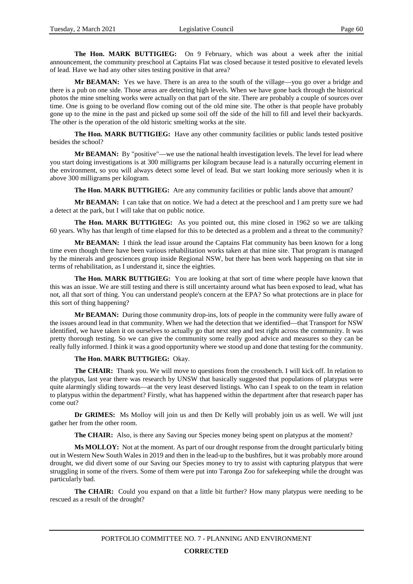**The Hon. MARK BUTTIGIEG:** On 9 February, which was about a week after the initial announcement, the community preschool at Captains Flat was closed because it tested positive to elevated levels of lead. Have we had any other sites testing positive in that area?

**Mr BEAMAN:** Yes we have. There is an area to the south of the village—you go over a bridge and there is a pub on one side. Those areas are detecting high levels. When we have gone back through the historical photos the mine smelting works were actually on that part of the site. There are probably a couple of sources over time. One is going to be overland flow coming out of the old mine site. The other is that people have probably gone up to the mine in the past and picked up some soil off the side of the hill to fill and level their backyards. The other is the operation of the old historic smelting works at the site.

**The Hon. MARK BUTTIGIEG:** Have any other community facilities or public lands tested positive besides the school?

**Mr BEAMAN:** By "positive"—we use the national health investigation levels. The level for lead where you start doing investigations is at 300 milligrams per kilogram because lead is a naturally occurring element in the environment, so you will always detect some level of lead. But we start looking more seriously when it is above 300 milligrams per kilogram.

**The Hon. MARK BUTTIGIEG:** Are any community facilities or public lands above that amount?

**Mr BEAMAN:** I can take that on notice. We had a detect at the preschool and I am pretty sure we had a detect at the park, but I will take that on public notice.

**The Hon. MARK BUTTIGIEG:** As you pointed out, this mine closed in 1962 so we are talking 60 years. Why has that length of time elapsed for this to be detected as a problem and a threat to the community?

**Mr BEAMAN:** I think the lead issue around the Captains Flat community has been known for a long time even though there have been various rehabilitation works taken at that mine site. That program is managed by the minerals and geosciences group inside Regional NSW, but there has been work happening on that site in terms of rehabilitation, as I understand it, since the eighties.

**The Hon. MARK BUTTIGIEG:** You are looking at that sort of time where people have known that this was an issue. We are still testing and there is still uncertainty around what has been exposed to lead, what has not, all that sort of thing. You can understand people's concern at the EPA? So what protections are in place for this sort of thing happening?

**Mr BEAMAN:** During those community drop-ins, lots of people in the community were fully aware of the issues around lead in that community. When we had the detection that we identified—that Transport for NSW identified, we have taken it on ourselves to actually go that next step and test right across the community. It was pretty thorough testing. So we can give the community some really good advice and measures so they can be really fully informed. I think it was a good opportunity where we stood up and done that testing for the community.

### **The Hon. MARK BUTTIGIEG:** Okay.

**The CHAIR:** Thank you. We will move to questions from the crossbench. I will kick off. In relation to the platypus, last year there was research by UNSW that basically suggested that populations of platypus were quite alarmingly sliding towards—at the very least deserved listings. Who can I speak to on the team in relation to platypus within the department? Firstly, what has happened within the department after that research paper has come out?

**Dr GRIMES:** Ms Molloy will join us and then Dr Kelly will probably join us as well. We will just gather her from the other room.

**The CHAIR:** Also, is there any Saving our Species money being spent on platypus at the moment?

**Ms MOLLOY:** Not at the moment. As part of our drought response from the drought particularly biting out in Western New South Wales in 2019 and then in the lead-up to the bushfires, but it was probably more around drought, we did divert some of our Saving our Species money to try to assist with capturing platypus that were struggling in some of the rivers. Some of them were put into Taronga Zoo for safekeeping while the drought was particularly bad.

**The CHAIR:** Could you expand on that a little bit further? How many platypus were needing to be rescued as a result of the drought?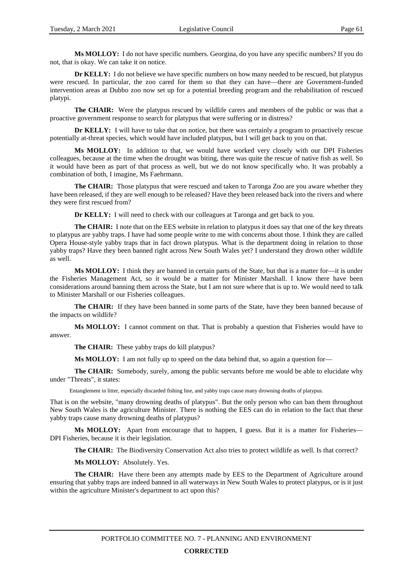**Ms MOLLOY:** I do not have specific numbers. Georgina, do you have any specific numbers? If you do not, that is okay. We can take it on notice.

**Dr KELLY:** I do not believe we have specific numbers on how many needed to be rescued, but platypus were rescued. In particular, the zoo cared for them so that they can have—there are Government-funded intervention areas at Dubbo zoo now set up for a potential breeding program and the rehabilitation of rescued platypi.

**The CHAIR:** Were the platypus rescued by wildlife carers and members of the public or was that a proactive government response to search for platypus that were suffering or in distress?

**Dr KELLY:** I will have to take that on notice, but there was certainly a program to proactively rescue potentially at-threat species, which would have included platypus, but I will get back to you on that.

**Ms MOLLOY:** In addition to that, we would have worked very closely with our DPI Fisheries colleagues, because at the time when the drought was biting, there was quite the rescue of native fish as well. So it would have been as part of that process as well, but we do not know specifically who. It was probably a combination of both, I imagine, Ms Faehrmann.

**The CHAIR:** Those platypus that were rescued and taken to Taronga Zoo are you aware whether they have been released, if they are well enough to be released? Have they been released back into the rivers and where they were first rescued from?

**Dr KELLY:** I will need to check with our colleagues at Taronga and get back to you.

**The CHAIR:** I note that on the EES website in relation to platypus it does say that one of the key threats to platypus are yabby traps. I have had some people write to me with concerns about those. I think they are called Opera House-style yabby traps that in fact drown platypus. What is the department doing in relation to those yabby traps? Have they been banned right across New South Wales yet? I understand they drown other wildlife as well.

**Ms MOLLOY:** I think they are banned in certain parts of the State, but that is a matter for—it is under the Fisheries Management Act, so it would be a matter for Minister Marshall. I know there have been considerations around banning them across the State, but I am not sure where that is up to. We would need to talk to Minister Marshall or our Fisheries colleagues.

**The CHAIR:** If they have been banned in some parts of the State, have they been banned because of the impacts on wildlife?

**Ms MOLLOY:** I cannot comment on that. That is probably a question that Fisheries would have to answer.

**The CHAIR:** These yabby traps do kill platypus?

**Ms MOLLOY:** I am not fully up to speed on the data behind that, so again a question for—

**The CHAIR:** Somebody, surely, among the public servants before me would be able to elucidate why under "Threats", it states:

Entanglement in litter, especially discarded fishing line, and yabby traps cause many drowning deaths of platypus.

That is on the website, "many drowning deaths of platypus". But the only person who can ban them throughout New South Wales is the agriculture Minister. There is nothing the EES can do in relation to the fact that these yabby traps cause many drowning deaths of platypus?

**Ms MOLLOY:** Apart from encourage that to happen, I guess. But it is a matter for Fisheries— DPI Fisheries, because it is their legislation.

**The CHAIR:** The Biodiversity Conservation Act also tries to protect wildlife as well. Is that correct?

**Ms MOLLOY:** Absolutely. Yes.

**The CHAIR:** Have there been any attempts made by EES to the Department of Agriculture around ensuring that yabby traps are indeed banned in all waterways in New South Wales to protect platypus, or is it just within the agriculture Minister's department to act upon this?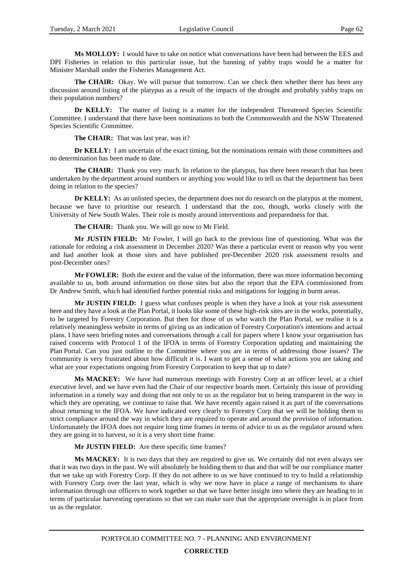**Ms MOLLOY:** I would have to take on notice what conversations have been had between the EES and DPI Fisheries in relation to this particular issue, but the banning of yabby traps would be a matter for Minister Marshall under the Fisheries Management Act.

**The CHAIR:** Okay. We will pursue that tomorrow. Can we check then whether there has been any discussion around listing of the platypus as a result of the impacts of the drought and probably yabby traps on their population numbers?

**Dr KELLY:** The matter of listing is a matter for the independent Threatened Species Scientific Committee. I understand that there have been nominations to both the Commonwealth and the NSW Threatened Species Scientific Committee.

**The CHAIR:** That was last year, was it?

**Dr KELLY:** I am uncertain of the exact timing, but the nominations remain with those committees and no determination has been made to date.

**The CHAIR:** Thank you very much. In relation to the platypus, has there been research that has been undertaken by the department around numbers or anything you would like to tell us that the department has been doing in relation to the species?

**Dr KELLY:** As an unlisted species, the department does not do research on the platypus at the moment, because we have to prioritise our research. I understand that the zoo, though, works closely with the University of New South Wales. Their role is mostly around interventions and preparedness for that.

**The CHAIR:** Thank you. We will go now to Mr Field.

**Mr JUSTIN FIELD:** Mr Fowler, I will go back to the previous line of questioning. What was the rationale for redoing a risk assessment in December 2020? Was there a particular event or reason why you went and had another look at those sites and have published pre-December 2020 risk assessment results and post-December ones?

**Mr FOWLER:** Both the extent and the value of the information, there was more information becoming available to us, both around information on those sites but also the report that the EPA commissioned from Dr Andrew Smith, which had identified further potential risks and mitigations for logging in burnt areas.

**Mr JUSTIN FIELD:** I guess what confuses people is when they have a look at your risk assessment here and they have a look at the Plan Portal, it looks like some of these high-risk sites are in the works, potentially, to be targeted by Forestry Corporation. But then for those of us who watch the Plan Portal, we realise it is a relatively meaningless website in terms of giving us an indication of Forestry Corporation's intentions and actual plans. I have seen briefing notes and conversations through a call for papers where I know your organisation has raised concerns with Protocol 1 of the IFOA in terms of Forestry Corporation updating and maintaining the Plan Portal. Can you just outline to the Committee where you are in terms of addressing those issues? The community is very frustrated about how difficult it is. I want to get a sense of what actions you are taking and what are your expectations ongoing from Forestry Corporation to keep that up to date?

**Ms MACKEY:** We have had numerous meetings with Forestry Corp at an officer level, at a chief executive level, and we have even had the Chair of our respective boards meet. Certainly this issue of providing information in a timely way and doing that not only to us as the regulator but to being transparent in the way in which they are operating, we continue to raise that. We have recently again raised it as part of the conversations about returning to the IFOA. We have indicated very clearly to Forestry Corp that we will be holding them to strict compliance around the way in which they are required to operate and around the provision of information. Unfortunately the IFOA does not require long time frames in terms of advice to us as the regulator around when they are going in to harvest, so it is a very short time frame.

### **Mr JUSTIN FIELD:** Are there specific time frames?

**Ms MACKEY:** It is two days that they are required to give us. We certainly did not even always see that it was two days in the past. We will absolutely be holding them to that and that will be our compliance matter that we take up with Forestry Corp. If they do not adhere to us we have continued to try to build a relationship with Forestry Corp over the last year, which is why we now have in place a range of mechanisms to share information through our officers to work together so that we have better insight into where they are heading to in terms of particular harvesting operations so that we can make sure that the appropriate oversight is in place from us as the regulator.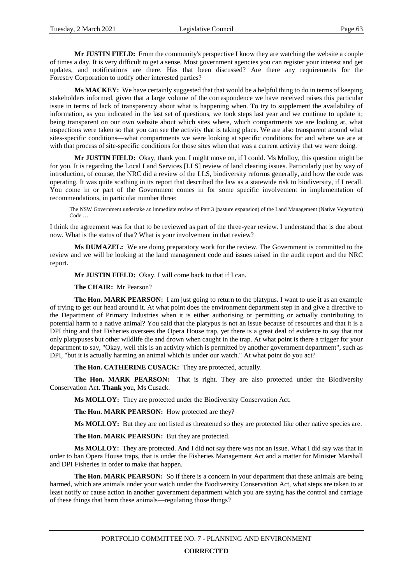**Mr JUSTIN FIELD:** From the community's perspective I know they are watching the website a couple of times a day. It is very difficult to get a sense. Most government agencies you can register your interest and get updates, and notifications are there. Has that been discussed? Are there any requirements for the Forestry Corporation to notify other interested parties?

**Ms MACKEY:** We have certainly suggested that that would be a helpful thing to do in terms of keeping stakeholders informed, given that a large volume of the correspondence we have received raises this particular issue in terms of lack of transparency about what is happening when. To try to supplement the availability of information, as you indicated in the last set of questions, we took steps last year and we continue to update it; being transparent on our own website about which sites where, which compartments we are looking at, what inspections were taken so that you can see the activity that is taking place. We are also transparent around what sites-specific conditions—what compartments we were looking at specific conditions for and where we are at with that process of site-specific conditions for those sites when that was a current activity that we were doing.

**Mr JUSTIN FIELD:** Okay, thank you. I might move on, if I could. Ms Molloy, this question might be for you. It is regarding the Local Land Services [LLS] review of land clearing issues. Particularly just by way of introduction, of course, the NRC did a review of the LLS, biodiversity reforms generally, and how the code was operating. It was quite scathing in its report that described the law as a statewide risk to biodiversity, if I recall. You come in or part of the Government comes in for some specific involvement in implementation of recommendations, in particular number three:

The NSW Government undertake an immediate review of Part 3 (pasture expansion) of the Land Management (Native Vegetation) Code …

I think the agreement was for that to be reviewed as part of the three-year review. I understand that is due about now. What is the status of that? What is your involvement in that review?

**Ms DUMAZEL:** We are doing preparatory work for the review. The Government is committed to the review and we will be looking at the land management code and issues raised in the audit report and the NRC report.

**Mr JUSTIN FIELD:** Okay. I will come back to that if I can.

**The CHAIR:** Mr Pearson?

**The Hon. MARK PEARSON:** I am just going to return to the platypus. I want to use it as an example of trying to get our head around it. At what point does the environment department step in and give a directive to the Department of Primary Industries when it is either authorising or permitting or actually contributing to potential harm to a native animal? You said that the platypus is not an issue because of resources and that it is a DPI thing and that Fisheries oversees the Opera House trap, yet there is a great deal of evidence to say that not only platypuses but other wildlife die and drown when caught in the trap. At what point is there a trigger for your department to say, "Okay, well this is an activity which is permitted by another government department", such as DPI, "but it is actually harming an animal which is under our watch." At what point do you act?

**The Hon. CATHERINE CUSACK:** They are protected, actually.

**The Hon. MARK PEARSON:** That is right. They are also protected under the Biodiversity Conservation Act. **Thank yo**u, Ms Cusack.

**Ms MOLLOY:** They are protected under the Biodiversity Conservation Act.

**The Hon. MARK PEARSON:** How protected are they?

**Ms MOLLOY:** But they are not listed as threatened so they are protected like other native species are.

**The Hon. MARK PEARSON:** But they are protected.

**Ms MOLLOY:** They are protected. And I did not say there was not an issue. What I did say was that in order to ban Opera House traps, that is under the Fisheries Management Act and a matter for Minister Marshall and DPI Fisheries in order to make that happen.

**The Hon. MARK PEARSON:** So if there is a concern in your department that these animals are being harmed, which are animals under your watch under the Biodiversity Conservation Act, what steps are taken to at least notify or cause action in another government department which you are saying has the control and carriage of these things that harm these animals—regulating those things?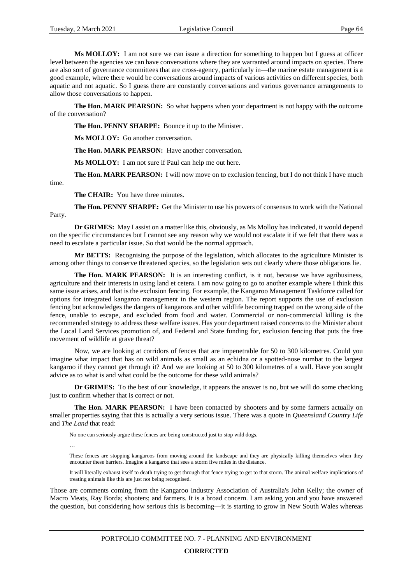**Ms MOLLOY:** I am not sure we can issue a direction for something to happen but I guess at officer level between the agencies we can have conversations where they are warranted around impacts on species. There are also sort of governance committees that are cross-agency, particularly in—the marine estate management is a good example, where there would be conversations around impacts of various activities on different species, both aquatic and not aquatic. So I guess there are constantly conversations and various governance arrangements to allow those conversations to happen.

**The Hon. MARK PEARSON:** So what happens when your department is not happy with the outcome of the conversation?

**The Hon. PENNY SHARPE:** Bounce it up to the Minister.

**Ms MOLLOY:** Go another conversation.

**The Hon. MARK PEARSON:** Have another conversation.

**Ms MOLLOY:** I am not sure if Paul can help me out here.

**The Hon. MARK PEARSON:** I will now move on to exclusion fencing, but I do not think I have much time.

**The CHAIR:** You have three minutes.

**The Hon. PENNY SHARPE:** Get the Minister to use his powers of consensus to work with the National Party.

**Dr GRIMES:** May I assist on a matter like this, obviously, as Ms Molloy has indicated, it would depend on the specific circumstances but I cannot see any reason why we would not escalate it if we felt that there was a need to escalate a particular issue. So that would be the normal approach.

**Mr BETTS:** Recognising the purpose of the legislation, which allocates to the agriculture Minister is among other things to conserve threatened species, so the legislation sets out clearly where those obligations lie.

**The Hon. MARK PEARSON:** It is an interesting conflict, is it not, because we have agribusiness, agriculture and their interests in using land et cetera. I am now going to go to another example where I think this same issue arises, and that is the exclusion fencing. For example, the Kangaroo Management Taskforce called for options for integrated kangaroo management in the western region. The report supports the use of exclusion fencing but acknowledges the dangers of kangaroos and other wildlife becoming trapped on the wrong side of the fence, unable to escape, and excluded from food and water. Commercial or non-commercial killing is the recommended strategy to address these welfare issues. Has your department raised concerns to the Minister about the Local Land Services promotion of, and Federal and State funding for, exclusion fencing that puts the free movement of wildlife at grave threat?

Now, we are looking at corridors of fences that are impenetrable for 50 to 300 kilometres. Could you imagine what impact that has on wild animals as small as an echidna or a spotted-nose numbat to the largest kangaroo if they cannot get through it? And we are looking at 50 to 300 kilometres of a wall. Have you sought advice as to what is and what could be the outcome for these wild animals?

**Dr GRIMES:** To the best of our knowledge, it appears the answer is no, but we will do some checking just to confirm whether that is correct or not.

**The Hon. MARK PEARSON:** I have been contacted by shooters and by some farmers actually on smaller properties saying that this is actually a very serious issue. There was a quote in *Queensland Country Life*  and *The Land* that read:

No one can seriously argue these fences are being constructed just to stop wild dogs.

…

These fences are stopping kangaroos from moving around the landscape and they are physically killing themselves when they encounter these barriers. Imagine a kangaroo that sees a storm five miles in the distance.

It will literally exhaust itself to death trying to get through that fence trying to get to that storm. The animal welfare implications of treating animals like this are just not being recognised.

Those are comments coming from the Kangaroo Industry Association of Australia's John Kelly; the owner of Macro Meats, Ray Borda; shooters; and farmers. It is a broad concern. I am asking you and you have answered the question, but considering how serious this is becoming—it is starting to grow in New South Wales whereas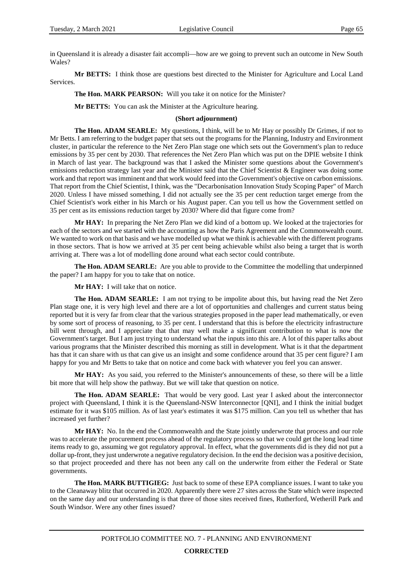in Queensland it is already a disaster fait accompli—how are we going to prevent such an outcome in New South Wales?

**Mr BETTS:** I think those are questions best directed to the Minister for Agriculture and Local Land Services.

**The Hon. MARK PEARSON:** Will you take it on notice for the Minister?

**Mr BETTS:** You can ask the Minister at the Agriculture hearing.

#### **(Short adjournment)**

**The Hon. ADAM SEARLE:** My questions, I think, will be to Mr Hay or possibly Dr Grimes, if not to Mr Betts. I am referring to the budget paper that sets out the programs for the Planning, Industry and Environment cluster, in particular the reference to the Net Zero Plan stage one which sets out the Government's plan to reduce emissions by 35 per cent by 2030. That references the Net Zero Plan which was put on the DPIE website I think in March of last year. The background was that I asked the Minister some questions about the Government's emissions reduction strategy last year and the Minister said that the Chief Scientist & Engineer was doing some work and that report was imminent and that work would feed into the Government's objective on carbon emissions. That report from the Chief Scientist, I think, was the "Decarbonisation Innovation Study Scoping Paper" of March 2020. Unless I have missed something, I did not actually see the 35 per cent reduction target emerge from the Chief Scientist's work either in his March or his August paper. Can you tell us how the Government settled on 35 per cent as its emissions reduction target by 2030? Where did that figure come from?

**Mr HAY:** In preparing the Net Zero Plan we did kind of a bottom up. We looked at the trajectories for each of the sectors and we started with the accounting as how the Paris Agreement and the Commonwealth count. We wanted to work on that basis and we have modelled up what we think is achievable with the different programs in those sectors. That is how we arrived at 35 per cent being achievable whilst also being a target that is worth arriving at. There was a lot of modelling done around what each sector could contribute.

**The Hon. ADAM SEARLE:** Are you able to provide to the Committee the modelling that underpinned the paper? I am happy for you to take that on notice.

**Mr HAY:** I will take that on notice.

**The Hon. ADAM SEARLE:** I am not trying to be impolite about this, but having read the Net Zero Plan stage one, it is very high level and there are a lot of opportunities and challenges and current status being reported but it is very far from clear that the various strategies proposed in the paper lead mathematically, or even by some sort of process of reasoning, to 35 per cent. I understand that this is before the electricity infrastructure bill went through, and I appreciate that that may well make a significant contribution to what is now the Government's target. But I am just trying to understand what the inputs into this are. A lot of this paper talks about various programs that the Minister described this morning as still in development. What is it that the department has that it can share with us that can give us an insight and some confidence around that 35 per cent figure? I am happy for you and Mr Betts to take that on notice and come back with whatever you feel you can answer.

**Mr HAY:** As you said, you referred to the Minister's announcements of these, so there will be a little bit more that will help show the pathway. But we will take that question on notice.

**The Hon. ADAM SEARLE:** That would be very good. Last year I asked about the interconnector project with Queensland, I think it is the Queensland-NSW Interconnector [QNI], and I think the initial budget estimate for it was \$105 million. As of last year's estimates it was \$175 million. Can you tell us whether that has increased yet further?

**Mr HAY:** No. In the end the Commonwealth and the State jointly underwrote that process and our role was to accelerate the procurement process ahead of the regulatory process so that we could get the long lead time items ready to go, assuming we got regulatory approval. In effect, what the governments did is they did not put a dollar up-front, they just underwrote a negative regulatory decision. In the end the decision was a positive decision, so that project proceeded and there has not been any call on the underwrite from either the Federal or State governments.

**The Hon. MARK BUTTIGIEG:** Just back to some of these EPA compliance issues. I want to take you to the Cleanaway blitz that occurred in 2020. Apparently there were 27 sites across the State which were inspected on the same day and our understanding is that three of those sites received fines, Rutherford, Wetherill Park and South Windsor. Were any other fines issued?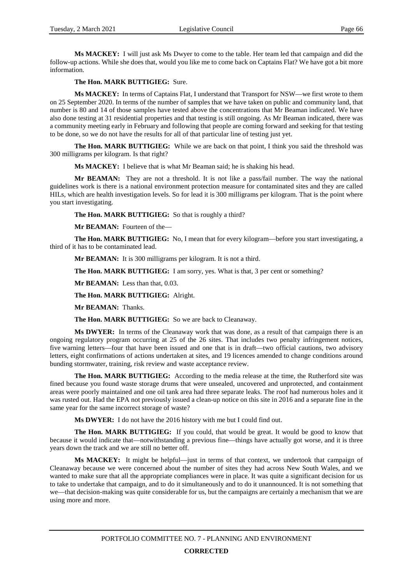**Ms MACKEY:** I will just ask Ms Dwyer to come to the table. Her team led that campaign and did the follow-up actions. While she does that, would you like me to come back on Captains Flat? We have got a bit more information.

**The Hon. MARK BUTTIGIEG:** Sure.

**Ms MACKEY:** In terms of Captains Flat, I understand that Transport for NSW—we first wrote to them on 25 September 2020. In terms of the number of samples that we have taken on public and community land, that number is 80 and 14 of those samples have tested above the concentrations that Mr Beaman indicated. We have also done testing at 31 residential properties and that testing is still ongoing. As Mr Beaman indicated, there was a community meeting early in February and following that people are coming forward and seeking for that testing to be done, so we do not have the results for all of that particular line of testing just yet.

**The Hon. MARK BUTTIGIEG:** While we are back on that point, I think you said the threshold was 300 milligrams per kilogram. Is that right?

**Ms MACKEY:** I believe that is what Mr Beaman said; he is shaking his head.

**Mr BEAMAN:** They are not a threshold. It is not like a pass/fail number. The way the national guidelines work is there is a national environment protection measure for contaminated sites and they are called HILs, which are health investigation levels. So for lead it is 300 milligrams per kilogram. That is the point where you start investigating.

**The Hon. MARK BUTTIGIEG:** So that is roughly a third?

**Mr BEAMAN:** Fourteen of the—

**The Hon. MARK BUTTIGIEG:** No, I mean that for every kilogram—before you start investigating, a third of it has to be contaminated lead.

**Mr BEAMAN:** It is 300 milligrams per kilogram. It is not a third.

**The Hon. MARK BUTTIGIEG:** I am sorry, yes. What is that, 3 per cent or something?

**Mr BEAMAN:** Less than that, 0.03.

**The Hon. MARK BUTTIGIEG:** Alright.

**Mr BEAMAN:** Thanks.

**The Hon. MARK BUTTIGIEG:** So we are back to Cleanaway.

**Ms DWYER:** In terms of the Cleanaway work that was done, as a result of that campaign there is an ongoing regulatory program occurring at 25 of the 26 sites. That includes two penalty infringement notices, five warning letters—four that have been issued and one that is in draft—two official cautions, two advisory letters, eight confirmations of actions undertaken at sites, and 19 licences amended to change conditions around bunding stormwater, training, risk review and waste acceptance review.

**The Hon. MARK BUTTIGIEG:** According to the media release at the time, the Rutherford site was fined because you found waste storage drums that were unsealed, uncovered and unprotected, and containment areas were poorly maintained and one oil tank area had three separate leaks. The roof had numerous holes and it was rusted out. Had the EPA not previously issued a clean-up notice on this site in 2016 and a separate fine in the same year for the same incorrect storage of waste?

**Ms DWYER:** I do not have the 2016 history with me but I could find out.

**The Hon. MARK BUTTIGIEG:** If you could, that would be great. It would be good to know that because it would indicate that—notwithstanding a previous fine—things have actually got worse, and it is three years down the track and we are still no better off.

**Ms MACKEY:** It might be helpful—just in terms of that context, we undertook that campaign of Cleanaway because we were concerned about the number of sites they had across New South Wales, and we wanted to make sure that all the appropriate compliances were in place. It was quite a significant decision for us to take to undertake that campaign, and to do it simultaneously and to do it unannounced. It is not something that we—that decision-making was quite considerable for us, but the campaigns are certainly a mechanism that we are using more and more.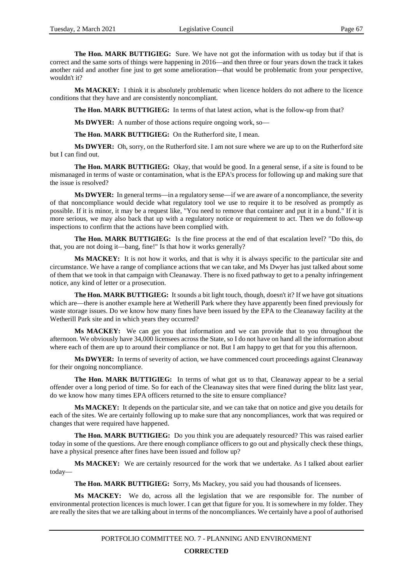**The Hon. MARK BUTTIGIEG:** Sure. We have not got the information with us today but if that is correct and the same sorts of things were happening in 2016—and then three or four years down the track it takes another raid and another fine just to get some amelioration—that would be problematic from your perspective, wouldn't it?

**Ms MACKEY:** I think it is absolutely problematic when licence holders do not adhere to the licence conditions that they have and are consistently noncompliant.

**The Hon. MARK BUTTIGIEG:** In terms of that latest action, what is the follow-up from that?

**Ms DWYER:** A number of those actions require ongoing work, so—

**The Hon. MARK BUTTIGIEG:** On the Rutherford site, I mean.

**Ms DWYER:** Oh, sorry, on the Rutherford site. I am not sure where we are up to on the Rutherford site but I can find out.

**The Hon. MARK BUTTIGIEG:** Okay, that would be good. In a general sense, if a site is found to be mismanaged in terms of waste or contamination, what is the EPA's process for following up and making sure that the issue is resolved?

**Ms DWYER:** In general terms—in a regulatory sense—if we are aware of a noncompliance, the severity of that noncompliance would decide what regulatory tool we use to require it to be resolved as promptly as possible. If it is minor, it may be a request like, "You need to remove that container and put it in a bund." If it is more serious, we may also back that up with a regulatory notice or requirement to act. Then we do follow-up inspections to confirm that the actions have been complied with.

**The Hon. MARK BUTTIGIEG:** Is the fine process at the end of that escalation level? "Do this, do that, you are not doing it—bang, fine!" Is that how it works generally?

**Ms MACKEY:** It is not how it works, and that is why it is always specific to the particular site and circumstance. We have a range of compliance actions that we can take, and Ms Dwyer has just talked about some of them that we took in that campaign with Cleanaway. There is no fixed pathway to get to a penalty infringement notice, any kind of letter or a prosecution.

**The Hon. MARK BUTTIGIEG:** It sounds a bit light touch, though, doesn't it? If we have got situations which are—there is another example here at Wetherill Park where they have apparently been fined previously for waste storage issues. Do we know how many fines have been issued by the EPA to the Cleanaway facility at the Wetherill Park site and in which years they occurred?

**Ms MACKEY:** We can get you that information and we can provide that to you throughout the afternoon. We obviously have 34,000 licensees across the State, so I do not have on hand all the information about where each of them are up to around their compliance or not. But I am happy to get that for you this afternoon.

**Ms DWYER:** In terms of severity of action, we have commenced court proceedings against Cleanaway for their ongoing noncompliance.

**The Hon. MARK BUTTIGIEG:** In terms of what got us to that, Cleanaway appear to be a serial offender over a long period of time. So for each of the Cleanaway sites that were fined during the blitz last year, do we know how many times EPA officers returned to the site to ensure compliance?

**Ms MACKEY:** It depends on the particular site, and we can take that on notice and give you details for each of the sites. We are certainly following up to make sure that any noncompliances, work that was required or changes that were required have happened.

**The Hon. MARK BUTTIGIEG:** Do you think you are adequately resourced? This was raised earlier today in some of the questions. Are there enough compliance officers to go out and physically check these things, have a physical presence after fines have been issued and follow up?

**Ms MACKEY:** We are certainly resourced for the work that we undertake. As I talked about earlier today—

**The Hon. MARK BUTTIGIEG:** Sorry, Ms Mackey, you said you had thousands of licensees.

**Ms MACKEY:** We do, across all the legislation that we are responsible for. The number of environmental protection licences is much lower. I can get that figure for you. It is somewhere in my folder. They are really the sites that we are talking about in terms of the noncompliances. We certainly have a pool of authorised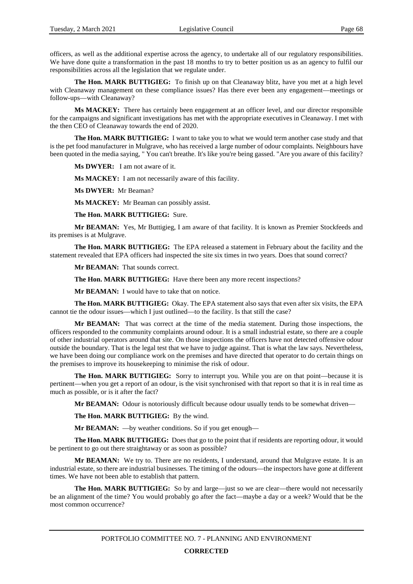officers, as well as the additional expertise across the agency, to undertake all of our regulatory responsibilities. We have done quite a transformation in the past 18 months to try to better position us as an agency to fulfil our responsibilities across all the legislation that we regulate under.

**The Hon. MARK BUTTIGIEG:** To finish up on that Cleanaway blitz, have you met at a high level with Cleanaway management on these compliance issues? Has there ever been any engagement—meetings or follow-ups—with Cleanaway?

**Ms MACKEY:** There has certainly been engagement at an officer level, and our director responsible for the campaigns and significant investigations has met with the appropriate executives in Cleanaway. I met with the then CEO of Cleanaway towards the end of 2020.

**The Hon. MARK BUTTIGIEG:** I want to take you to what we would term another case study and that is the pet food manufacturer in Mulgrave, who has received a large number of odour complaints. Neighbours have been quoted in the media saying, " You can't breathe. It's like you're being gassed. "Are you aware of this facility?

**Ms DWYER:** I am not aware of it.

**Ms MACKEY:** I am not necessarily aware of this facility.

**Ms DWYER:** Mr Beaman?

**Ms MACKEY:** Mr Beaman can possibly assist.

**The Hon. MARK BUTTIGIEG:** Sure.

**Mr BEAMAN:** Yes, Mr Buttigieg, I am aware of that facility. It is known as Premier Stockfeeds and its premises is at Mulgrave.

**The Hon. MARK BUTTIGIEG:** The EPA released a statement in February about the facility and the statement revealed that EPA officers had inspected the site six times in two years. Does that sound correct?

**Mr BEAMAN:** That sounds correct.

**The Hon. MARK BUTTIGIEG:** Have there been any more recent inspections?

**Mr BEAMAN:** I would have to take that on notice.

**The Hon. MARK BUTTIGIEG:** Okay. The EPA statement also says that even after six visits, the EPA cannot tie the odour issues—which I just outlined—to the facility. Is that still the case?

**Mr BEAMAN:** That was correct at the time of the media statement. During those inspections, the officers responded to the community complaints around odour. It is a small industrial estate, so there are a couple of other industrial operators around that site. On those inspections the officers have not detected offensive odour outside the boundary. That is the legal test that we have to judge against. That is what the law says. Nevertheless, we have been doing our compliance work on the premises and have directed that operator to do certain things on the premises to improve its housekeeping to minimise the risk of odour.

**The Hon. MARK BUTTIGIEG:** Sorry to interrupt you. While you are on that point—because it is pertinent—when you get a report of an odour, is the visit synchronised with that report so that it is in real time as much as possible, or is it after the fact?

**Mr BEAMAN:** Odour is notoriously difficult because odour usually tends to be somewhat driven—

**The Hon. MARK BUTTIGIEG:** By the wind.

**Mr BEAMAN:** —by weather conditions. So if you get enough—

**The Hon. MARK BUTTIGIEG:** Does that go to the point that if residents are reporting odour, it would be pertinent to go out there straightaway or as soon as possible?

**Mr BEAMAN:** We try to. There are no residents, I understand, around that Mulgrave estate. It is an industrial estate, so there are industrial businesses. The timing of the odours—the inspectors have gone at different times. We have not been able to establish that pattern.

**The Hon. MARK BUTTIGIEG:** So by and large—just so we are clear—there would not necessarily be an alignment of the time? You would probably go after the fact—maybe a day or a week? Would that be the most common occurrence?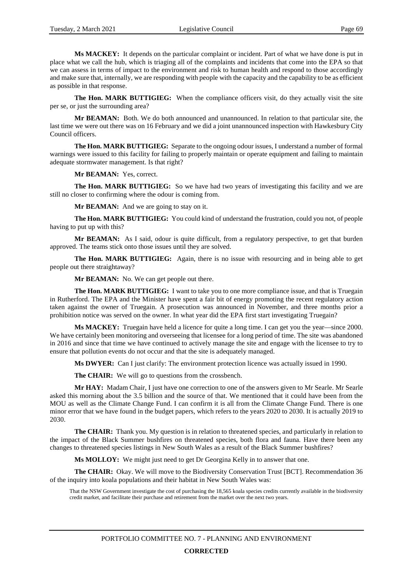**Ms MACKEY:** It depends on the particular complaint or incident. Part of what we have done is put in place what we call the hub, which is triaging all of the complaints and incidents that come into the EPA so that we can assess in terms of impact to the environment and risk to human health and respond to those accordingly and make sure that, internally, we are responding with people with the capacity and the capability to be as efficient as possible in that response.

**The Hon. MARK BUTTIGIEG:** When the compliance officers visit, do they actually visit the site per se, or just the surrounding area?

**Mr BEAMAN:** Both. We do both announced and unannounced. In relation to that particular site, the last time we were out there was on 16 February and we did a joint unannounced inspection with Hawkesbury City Council officers.

**The Hon. MARK BUTTIGIEG:** Separate to the ongoing odour issues, I understand a number of formal warnings were issued to this facility for failing to properly maintain or operate equipment and failing to maintain adequate stormwater management. Is that right?

**Mr BEAMAN:** Yes, correct.

**The Hon. MARK BUTTIGIEG:** So we have had two years of investigating this facility and we are still no closer to confirming where the odour is coming from.

**Mr BEAMAN:** And we are going to stay on it.

**The Hon. MARK BUTTIGIEG:** You could kind of understand the frustration, could you not, of people having to put up with this?

**Mr BEAMAN:** As I said, odour is quite difficult, from a regulatory perspective, to get that burden approved. The teams stick onto those issues until they are solved.

**The Hon. MARK BUTTIGIEG:** Again, there is no issue with resourcing and in being able to get people out there straightaway?

**Mr BEAMAN:** No. We can get people out there.

**The Hon. MARK BUTTIGIEG:** I want to take you to one more compliance issue, and that is Truegain in Rutherford. The EPA and the Minister have spent a fair bit of energy promoting the recent regulatory action taken against the owner of Truegain. A prosecution was announced in November, and three months prior a prohibition notice was served on the owner. In what year did the EPA first start investigating Truegain?

**Ms MACKEY:** Truegain have held a licence for quite a long time. I can get you the year—since 2000. We have certainly been monitoring and overseeing that licensee for a long period of time. The site was abandoned in 2016 and since that time we have continued to actively manage the site and engage with the licensee to try to ensure that pollution events do not occur and that the site is adequately managed.

**Ms DWYER:** Can I just clarify: The environment protection licence was actually issued in 1990.

**The CHAIR:** We will go to questions from the crossbench.

**Mr HAY:** Madam Chair, I just have one correction to one of the answers given to Mr Searle. Mr Searle asked this morning about the 3.5 billion and the source of that. We mentioned that it could have been from the MOU as well as the Climate Change Fund. I can confirm it is all from the Climate Change Fund. There is one minor error that we have found in the budget papers, which refers to the years 2020 to 2030. It is actually 2019 to 2030.

**The CHAIR:** Thank you. My question is in relation to threatened species, and particularly in relation to the impact of the Black Summer bushfires on threatened species, both flora and fauna. Have there been any changes to threatened species listings in New South Wales as a result of the Black Summer bushfires?

**Ms MOLLOY:** We might just need to get Dr Georgina Kelly in to answer that one.

**The CHAIR:** Okay. We will move to the Biodiversity Conservation Trust [BCT]. Recommendation 36 of the inquiry into koala populations and their habitat in New South Wales was:

That the NSW Government investigate the cost of purchasing the 18,565 koala species credits currently available in the biodiversity credit market, and facilitate their purchase and retirement from the market over the next two years.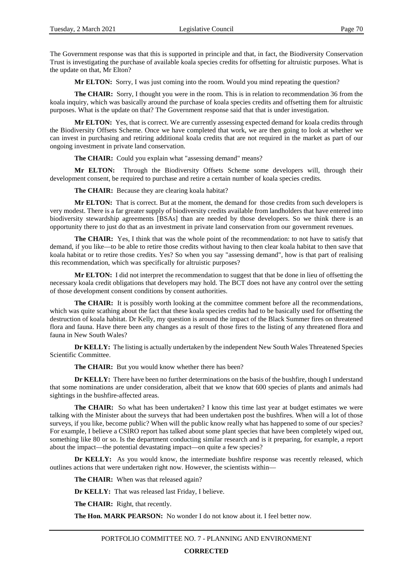The Government response was that this is supported in principle and that, in fact, the Biodiversity Conservation Trust is investigating the purchase of available koala species credits for offsetting for altruistic purposes. What is the update on that, Mr Elton?

**Mr ELTON:** Sorry, I was just coming into the room. Would you mind repeating the question?

**The CHAIR:** Sorry, I thought you were in the room. This is in relation to recommendation 36 from the koala inquiry, which was basically around the purchase of koala species credits and offsetting them for altruistic purposes. What is the update on that? The Government response said that that is under investigation.

**Mr ELTON:** Yes, that is correct. We are currently assessing expected demand for koala credits through the Biodiversity Offsets Scheme. Once we have completed that work, we are then going to look at whether we can invest in purchasing and retiring additional koala credits that are not required in the market as part of our ongoing investment in private land conservation.

**The CHAIR:** Could you explain what "assessing demand" means?

**Mr ELTON:** Through the Biodiversity Offsets Scheme some developers will, through their development consent, be required to purchase and retire a certain number of koala species credits.

**The CHAIR:** Because they are clearing koala habitat?

**Mr ELTON:** That is correct. But at the moment, the demand for those credits from such developers is very modest. There is a far greater supply of biodiversity credits available from landholders that have entered into biodiversity stewardship agreements [BSAs] than are needed by those developers. So we think there is an opportunity there to just do that as an investment in private land conservation from our government revenues.

**The CHAIR:** Yes, I think that was the whole point of the recommendation: to not have to satisfy that demand, if you like—to be able to retire those credits without having to then clear koala habitat to then save that koala habitat or to retire those credits. Yes? So when you say "assessing demand", how is that part of realising this recommendation, which was specifically for altruistic purposes?

**Mr ELTON:** I did not interpret the recommendation to suggest that that be done in lieu of offsetting the necessary koala credit obligations that developers may hold. The BCT does not have any control over the setting of those development consent conditions by consent authorities.

**The CHAIR:** It is possibly worth looking at the committee comment before all the recommendations, which was quite scathing about the fact that these koala species credits had to be basically used for offsetting the destruction of koala habitat. Dr Kelly, my question is around the impact of the Black Summer fires on threatened flora and fauna. Have there been any changes as a result of those fires to the listing of any threatened flora and fauna in New South Wales?

**Dr KELLY:** The listing is actually undertaken by the independent New South Wales Threatened Species Scientific Committee.

**The CHAIR:** But you would know whether there has been?

**Dr KELLY:** There have been no further determinations on the basis of the bushfire, though I understand that some nominations are under consideration, albeit that we know that 600 species of plants and animals had sightings in the bushfire-affected areas.

**The CHAIR:** So what has been undertaken? I know this time last year at budget estimates we were talking with the Minister about the surveys that had been undertaken post the bushfires. When will a lot of those surveys, if you like, become public? When will the public know really what has happened to some of our species? For example, I believe a CSIRO report has talked about some plant species that have been completely wiped out, something like 80 or so. Is the department conducting similar research and is it preparing, for example, a report about the impact—the potential devastating impact—on quite a few species?

**Dr KELLY:** As you would know, the intermediate bushfire response was recently released, which outlines actions that were undertaken right now. However, the scientists within—

**The CHAIR:** When was that released again?

**Dr KELLY:** That was released last Friday, I believe.

**The CHAIR:** Right, that recently.

**The Hon. MARK PEARSON:** No wonder I do not know about it. I feel better now.

PORTFOLIO COMMITTEE NO. 7 - PLANNING AND ENVIRONMENT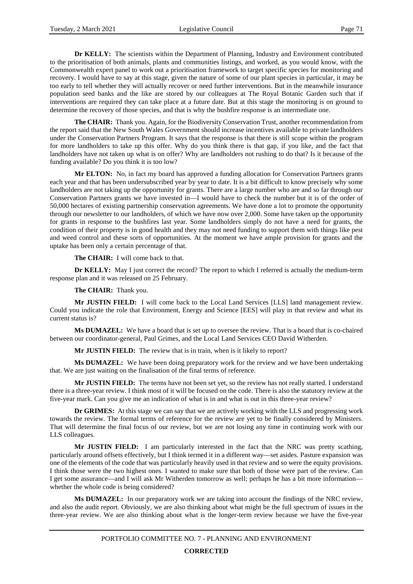**Dr KELLY:** The scientists within the Department of Planning, Industry and Environment contributed to the prioritisation of both animals, plants and communities listings, and worked, as you would know, with the Commonwealth expert panel to work out a prioritisation framework to target specific species for monitoring and recovery. I would have to say at this stage, given the nature of some of our plant species in particular, it may be too early to tell whether they will actually recover or need further interventions. But in the meanwhile insurance population seed banks and the like are stored by our colleagues at The Royal Botanic Garden such that if interventions are required they can take place at a future date. But at this stage the monitoring is on ground to determine the recovery of those species, and that is why the bushfire response is an intermediate one.

**The CHAIR:** Thank you. Again, for the Biodiversity Conservation Trust, another recommendation from the report said that the New South Wales Government should increase incentives available to private landholders under the Conservation Partners Program. It says that the response is that there is still scope within the program for more landholders to take up this offer. Why do you think there is that gap, if you like, and the fact that landholders have not taken up what is on offer? Why are landholders not rushing to do that? Is it because of the funding available? Do you think it is too low?

**Mr ELTON:** No, in fact my board has approved a funding allocation for Conservation Partners grants each year and that has been undersubscribed year by year to date. It is a bit difficult to know precisely why some landholders are not taking up the opportunity for grants. There are a large number who are and so far through our Conservation Partners grants we have invested in—I would have to check the number but it is of the order of 50,000 hectares of existing partnership conservation agreements. We have done a lot to promote the opportunity through our newsletter to our landholders, of which we have now over 2,000. Some have taken up the opportunity for grants in response to the bushfires last year. Some landholders simply do not have a need for grants, the condition of their property is in good health and they may not need funding to support them with things like pest and weed control and these sorts of opportunities. At the moment we have ample provision for grants and the uptake has been only a certain percentage of that.

**The CHAIR:** I will come back to that.

**Dr KELLY:** May I just correct the record? The report to which I referred is actually the medium-term response plan and it was released on 25 February.

**The CHAIR:** Thank you.

**Mr JUSTIN FIELD:** I will come back to the Local Land Services [LLS] land management review. Could you indicate the role that Environment, Energy and Science [EES] will play in that review and what its current status is?

**Ms DUMAZEL:** We have a board that is set up to oversee the review. That is a board that is co-chaired between our coordinator-general, Paul Grimes, and the Local Land Services CEO David Witherden.

**Mr JUSTIN FIELD:** The review that is in train, when is it likely to report?

**Ms DUMAZEL:** We have been doing preparatory work for the review and we have been undertaking that. We are just waiting on the finalisation of the final terms of reference.

**Mr JUSTIN FIELD:** The terms have not been set yet, so the review has not really started. I understand there is a three-year review. I think most of it will be focused on the code. There is also the statutory review at the five-year mark. Can you give me an indication of what is in and what is out in this three-year review?

**Dr GRIMES:** At this stage we can say that we are actively working with the LLS and progressing work towards the review. The formal terms of reference for the review are yet to be finally considered by Ministers. That will determine the final focus of our review, but we are not losing any time in continuing work with our LLS colleagues.

**Mr JUSTIN FIELD:** I am particularly interested in the fact that the NRC was pretty scathing, particularly around offsets effectively, but I think termed it in a different way—set asides. Pasture expansion was one of the elements of the code that was particularly heavily used in that review and so were the equity provisions. I think those were the two highest ones. I wanted to make sure that both of those were part of the review. Can I get some assurance—and I will ask Mr Witherden tomorrow as well; perhaps he has a bit more information whether the whole code is being considered?

**Ms DUMAZEL:** In our preparatory work we are taking into account the findings of the NRC review, and also the audit report. Obviously, we are also thinking about what might be the full spectrum of issues in the three-year review. We are also thinking about what is the longer-term review because we have the five-year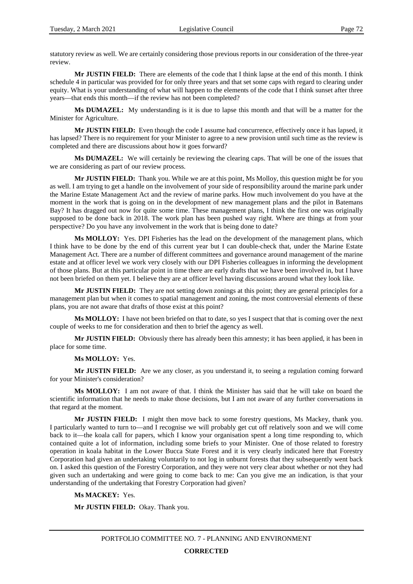statutory review as well. We are certainly considering those previous reports in our consideration of the three-year review.

**Mr JUSTIN FIELD:** There are elements of the code that I think lapse at the end of this month. I think schedule 4 in particular was provided for for only three years and that set some caps with regard to clearing under equity. What is your understanding of what will happen to the elements of the code that I think sunset after three years—that ends this month—if the review has not been completed?

**Ms DUMAZEL:** My understanding is it is due to lapse this month and that will be a matter for the Minister for Agriculture.

**Mr JUSTIN FIELD:** Even though the code I assume had concurrence, effectively once it has lapsed, it has lapsed? There is no requirement for your Minister to agree to a new provision until such time as the review is completed and there are discussions about how it goes forward?

**Ms DUMAZEL:** We will certainly be reviewing the clearing caps. That will be one of the issues that we are considering as part of our review process.

**Mr JUSTIN FIELD:** Thank you. While we are at this point, Ms Molloy, this question might be for you as well. I am trying to get a handle on the involvement of your side of responsibility around the marine park under the Marine Estate Management Act and the review of marine parks. How much involvement do you have at the moment in the work that is going on in the development of new management plans and the pilot in Batemans Bay? It has dragged out now for quite some time. These management plans, I think the first one was originally supposed to be done back in 2018. The work plan has been pushed way right. Where are things at from your perspective? Do you have any involvement in the work that is being done to date?

**Ms MOLLOY:** Yes. DPI Fisheries has the lead on the development of the management plans, which I think have to be done by the end of this current year but I can double-check that, under the Marine Estate Management Act. There are a number of different committees and governance around management of the marine estate and at officer level we work very closely with our DPI Fisheries colleagues in informing the development of those plans. But at this particular point in time there are early drafts that we have been involved in, but I have not been briefed on them yet. I believe they are at officer level having discussions around what they look like.

**Mr JUSTIN FIELD:** They are not setting down zonings at this point; they are general principles for a management plan but when it comes to spatial management and zoning, the most controversial elements of these plans, you are not aware that drafts of those exist at this point?

**Ms MOLLOY:** I have not been briefed on that to date, so yes I suspect that that is coming over the next couple of weeks to me for consideration and then to brief the agency as well.

**Mr JUSTIN FIELD:** Obviously there has already been this amnesty; it has been applied, it has been in place for some time.

**Ms MOLLOY:** Yes.

**Mr JUSTIN FIELD:** Are we any closer, as you understand it, to seeing a regulation coming forward for your Minister's consideration?

**Ms MOLLOY:** I am not aware of that. I think the Minister has said that he will take on board the scientific information that he needs to make those decisions, but I am not aware of any further conversations in that regard at the moment.

**Mr JUSTIN FIELD:** I might then move back to some forestry questions, Ms Mackey, thank you. I particularly wanted to turn to—and I recognise we will probably get cut off relatively soon and we will come back to it—the koala call for papers, which I know your organisation spent a long time responding to, which contained quite a lot of information, including some briefs to your Minister. One of those related to forestry operation in koala habitat in the Lower Bucca State Forest and it is very clearly indicated here that Forestry Corporation had given an undertaking voluntarily to not log in unburnt forests that they subsequently went back on. I asked this question of the Forestry Corporation, and they were not very clear about whether or not they had given such an undertaking and were going to come back to me: Can you give me an indication, is that your understanding of the undertaking that Forestry Corporation had given?

#### **Ms MACKEY:** Yes.

**Mr JUSTIN FIELD:** Okay. Thank you.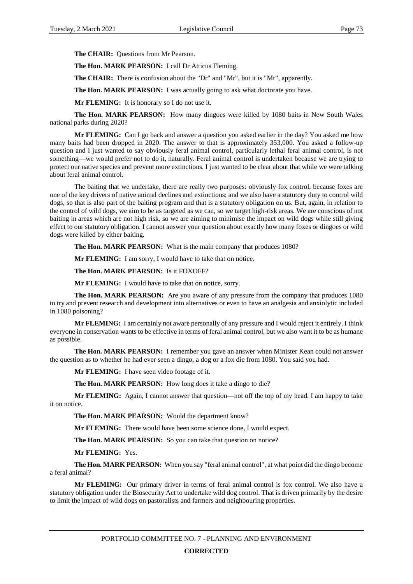**The CHAIR:** Questions from Mr Pearson.

**The Hon. MARK PEARSON:** I call Dr Atticus Fleming.

**The CHAIR:** There is confusion about the "Dr" and "Mr", but it is "Mr", apparently.

**The Hon. MARK PEARSON:** I was actually going to ask what doctorate you have.

**Mr FLEMING:** It is honorary so I do not use it.

**The Hon. MARK PEARSON:** How many dingoes were killed by 1080 baits in New South Wales national parks during 2020?

**Mr FLEMING:** Can I go back and answer a question you asked earlier in the day? You asked me how many baits had been dropped in 2020. The answer to that is approximately 353,000. You asked a follow-up question and I just wanted to say obviously feral animal control, particularly lethal feral animal control, is not something—we would prefer not to do it, naturally. Feral animal control is undertaken because we are trying to protect our native species and prevent more extinctions. I just wanted to be clear about that while we were talking about feral animal control.

The baiting that we undertake, there are really two purposes: obviously fox control, because foxes are one of the key drivers of native animal declines and extinctions; and we also have a statutory duty to control wild dogs, so that is also part of the baiting program and that is a statutory obligation on us. But, again, in relation to the control of wild dogs, we aim to be as targeted as we can, so we target high-risk areas. We are conscious of not baiting in areas which are not high risk, so we are aiming to minimise the impact on wild dogs while still giving effect to our statutory obligation. I cannot answer your question about exactly how many foxes or dingoes or wild dogs were killed by either baiting.

**The Hon. MARK PEARSON:** What is the main company that produces 1080?

**Mr FLEMING:** I am sorry, I would have to take that on notice.

**The Hon. MARK PEARSON:** Is it FOXOFF?

**Mr FLEMING:** I would have to take that on notice, sorry.

**The Hon. MARK PEARSON:** Are you aware of any pressure from the company that produces 1080 to try and prevent research and development into alternatives or even to have an analgesia and anxiolytic included in 1080 poisoning?

**Mr FLEMING:** I am certainly not aware personally of any pressure and I would reject it entirely. I think everyone in conservation wants to be effective in terms of feral animal control, but we also want it to be as humane as possible.

**The Hon. MARK PEARSON:** I remember you gave an answer when Minister Kean could not answer the question as to whether he had ever seen a dingo, a dog or a fox die from 1080. You said you had.

**Mr FLEMING:** I have seen video footage of it.

**The Hon. MARK PEARSON:** How long does it take a dingo to die?

**Mr FLEMING:** Again, I cannot answer that question—not off the top of my head. I am happy to take it on notice.

**The Hon. MARK PEARSON:** Would the department know?

**Mr FLEMING:** There would have been some science done, I would expect.

The Hon. MARK PEARSON: So you can take that question on notice?

**Mr FLEMING:** Yes.

**The Hon. MARK PEARSON:** When you say "feral animal control", at what point did the dingo become a feral animal?

**Mr FLEMING:** Our primary driver in terms of feral animal control is fox control. We also have a statutory obligation under the Biosecurity Act to undertake wild dog control. That is driven primarily by the desire to limit the impact of wild dogs on pastoralists and farmers and neighbouring properties.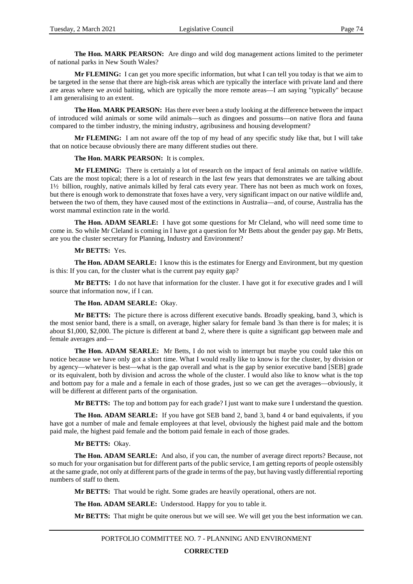**The Hon. MARK PEARSON:** Are dingo and wild dog management actions limited to the perimeter of national parks in New South Wales?

**Mr FLEMING:** I can get you more specific information, but what I can tell you today is that we aim to be targeted in the sense that there are high-risk areas which are typically the interface with private land and there are areas where we avoid baiting, which are typically the more remote areas—I am saying "typically" because I am generalising to an extent.

**The Hon. MARK PEARSON:** Has there ever been a study looking at the difference between the impact of introduced wild animals or some wild animals—such as dingoes and possums—on native flora and fauna compared to the timber industry, the mining industry, agribusiness and housing development?

**Mr FLEMING:** I am not aware off the top of my head of any specific study like that, but I will take that on notice because obviously there are many different studies out there.

**The Hon. MARK PEARSON:** It is complex.

**Mr FLEMING:** There is certainly a lot of research on the impact of feral animals on native wildlife. Cats are the most topical; there is a lot of research in the last few years that demonstrates we are talking about 1½ billion, roughly, native animals killed by feral cats every year. There has not been as much work on foxes, but there is enough work to demonstrate that foxes have a very, very significant impact on our native wildlife and, between the two of them, they have caused most of the extinctions in Australia—and, of course, Australia has the worst mammal extinction rate in the world.

**The Hon. ADAM SEARLE:** I have got some questions for Mr Cleland, who will need some time to come in. So while Mr Cleland is coming in I have got a question for Mr Betts about the gender pay gap. Mr Betts, are you the cluster secretary for Planning, Industry and Environment?

#### **Mr BETTS:** Yes.

**The Hon. ADAM SEARLE:** I know this is the estimates for Energy and Environment, but my question is this: If you can, for the cluster what is the current pay equity gap?

**Mr BETTS:** I do not have that information for the cluster. I have got it for executive grades and I will source that information now, if I can.

### **The Hon. ADAM SEARLE:** Okay.

**Mr BETTS:** The picture there is across different executive bands. Broadly speaking, band 3, which is the most senior band, there is a small, on average, higher salary for female band 3s than there is for males; it is about \$1,000, \$2,000. The picture is different at band 2, where there is quite a significant gap between male and female averages and—

**The Hon. ADAM SEARLE:** Mr Betts, I do not wish to interrupt but maybe you could take this on notice because we have only got a short time. What I would really like to know is for the cluster, by division or by agency—whatever is best—what is the gap overall and what is the gap by senior executive band [SEB] grade or its equivalent, both by division and across the whole of the cluster. I would also like to know what is the top and bottom pay for a male and a female in each of those grades, just so we can get the averages—obviously, it will be different at different parts of the organisation.

**Mr BETTS:** The top and bottom pay for each grade? I just want to make sure I understand the question.

**The Hon. ADAM SEARLE:** If you have got SEB band 2, band 3, band 4 or band equivalents, if you have got a number of male and female employees at that level, obviously the highest paid male and the bottom paid male, the highest paid female and the bottom paid female in each of those grades.

#### **Mr BETTS:** Okay.

**The Hon. ADAM SEARLE:** And also, if you can, the number of average direct reports? Because, not so much for your organisation but for different parts of the public service, I am getting reports of people ostensibly at the same grade, not only at different parts of the grade in terms of the pay, but having vastly differential reporting numbers of staff to them.

**Mr BETTS:** That would be right. Some grades are heavily operational, others are not.

**The Hon. ADAM SEARLE:** Understood. Happy for you to table it.

**Mr BETTS:** That might be quite onerous but we will see. We will get you the best information we can.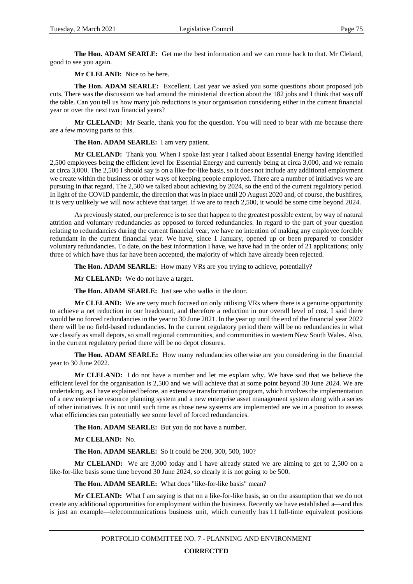**The Hon. ADAM SEARLE:** Get me the best information and we can come back to that. Mr Cleland, good to see you again.

**Mr CLELAND:** Nice to be here.

**The Hon. ADAM SEARLE:** Excellent. Last year we asked you some questions about proposed job cuts. There was the discussion we had around the ministerial direction about the 182 jobs and I think that was off the table. Can you tell us how many job reductions is your organisation considering either in the current financial year or over the next two financial years?

**Mr CLELAND:** Mr Searle, thank you for the question. You will need to bear with me because there are a few moving parts to this.

**The Hon. ADAM SEARLE:** I am very patient.

**Mr CLELAND:** Thank you. When I spoke last year I talked about Essential Energy having identified 2,500 employees being the efficient level for Essential Energy and currently being at circa 3,000, and we remain at circa 3,000. The 2,500 I should say is on a like-for-like basis, so it does not include any additional employment we create within the business or other ways of keeping people employed. There are a number of initiatives we are pursuing in that regard. The 2,500 we talked about achieving by 2024, so the end of the current regulatory period. In light of the COVID pandemic, the direction that was in place until 20 August 2020 and, of course, the bushfires, it is very unlikely we will now achieve that target. If we are to reach 2,500, it would be some time beyond 2024.

As previously stated, our preference is to see that happen to the greatest possible extent, by way of natural attrition and voluntary redundancies as opposed to forced redundancies. In regard to the part of your question relating to redundancies during the current financial year, we have no intention of making any employee forcibly redundant in the current financial year. We have, since 1 January, opened up or been prepared to consider voluntary redundancies. To date, on the best information I have, we have had in the order of 21 applications; only three of which have thus far have been accepted, the majority of which have already been rejected.

**The Hon. ADAM SEARLE:** How many VRs are you trying to achieve, potentially?

**Mr CLELAND:** We do not have a target.

**The Hon. ADAM SEARLE:** Just see who walks in the door.

**Mr CLELAND:** We are very much focused on only utilising VRs where there is a genuine opportunity to achieve a net reduction in our headcount, and therefore a reduction in our overall level of cost. I said there would be no forced redundancies in the year to 30 June 2021. In the year up until the end of the financial year 2022 there will be no field-based redundancies. In the current regulatory period there will be no redundancies in what we classify as small depots, so small regional communities, and communities in western New South Wales. Also, in the current regulatory period there will be no depot closures.

**The Hon. ADAM SEARLE:** How many redundancies otherwise are you considering in the financial year to 30 June 2022.

**Mr CLELAND:** I do not have a number and let me explain why. We have said that we believe the efficient level for the organisation is 2,500 and we will achieve that at some point beyond 30 June 2024. We are undertaking, as I have explained before, an extensive transformation program, which involves the implementation of a new enterprise resource planning system and a new enterprise asset management system along with a series of other initiatives. It is not until such time as those new systems are implemented are we in a position to assess what efficiencies can potentially see some level of forced redundancies.

**The Hon. ADAM SEARLE:** But you do not have a number.

**Mr CLELAND:** No.

**The Hon. ADAM SEARLE:** So it could be 200, 300, 500, 100?

**Mr CLELAND:** We are 3,000 today and I have already stated we are aiming to get to 2,500 on a like-for-like basis some time beyond 30 June 2024, so clearly it is not going to be 500.

**The Hon. ADAM SEARLE:** What does "like-for-like basis" mean?

**Mr CLELAND:** What I am saying is that on a like-for-like basis, so on the assumption that we do not create any additional opportunities for employment within the business. Recently we have established a—and this is just an example—telecommunications business unit, which currently has 11 full-time equivalent positions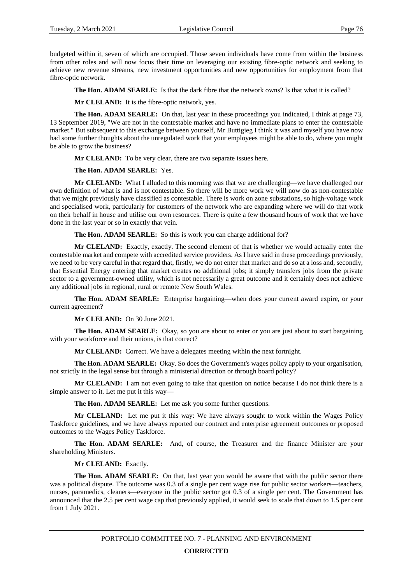budgeted within it, seven of which are occupied. Those seven individuals have come from within the business from other roles and will now focus their time on leveraging our existing fibre-optic network and seeking to achieve new revenue streams, new investment opportunities and new opportunities for employment from that fibre-optic network.

**The Hon. ADAM SEARLE:** Is that the dark fibre that the network owns? Is that what it is called?

**Mr CLELAND:** It is the fibre-optic network, yes.

**The Hon. ADAM SEARLE:** On that, last year in these proceedings you indicated, I think at page 73, 13 September 2019, "We are not in the contestable market and have no immediate plans to enter the contestable market." But subsequent to this exchange between yourself, Mr Buttigieg I think it was and myself you have now had some further thoughts about the unregulated work that your employees might be able to do, where you might be able to grow the business?

**Mr CLELAND:** To be very clear, there are two separate issues here.

#### **The Hon. ADAM SEARLE:** Yes.

**Mr CLELAND:** What I alluded to this morning was that we are challenging—we have challenged our own definition of what is and is not contestable. So there will be more work we will now do as non-contestable that we might previously have classified as contestable. There is work on zone substations, so high-voltage work and specialised work, particularly for customers of the network who are expanding where we will do that work on their behalf in house and utilise our own resources. There is quite a few thousand hours of work that we have done in the last year or so in exactly that vein.

**The Hon. ADAM SEARLE:** So this is work you can charge additional for?

**Mr CLELAND:** Exactly, exactly. The second element of that is whether we would actually enter the contestable market and compete with accredited service providers. As I have said in these proceedings previously, we need to be very careful in that regard that, firstly, we do not enter that market and do so at a loss and, secondly, that Essential Energy entering that market creates no additional jobs; it simply transfers jobs from the private sector to a government-owned utility, which is not necessarily a great outcome and it certainly does not achieve any additional jobs in regional, rural or remote New South Wales.

**The Hon. ADAM SEARLE:** Enterprise bargaining—when does your current award expire, or your current agreement?

**Mr CLELAND:** On 30 June 2021.

**The Hon. ADAM SEARLE:** Okay, so you are about to enter or you are just about to start bargaining with your workforce and their unions, is that correct?

**Mr CLELAND:** Correct. We have a delegates meeting within the next fortnight.

**The Hon. ADAM SEARLE:** Okay. So does the Government's wages policy apply to your organisation, not strictly in the legal sense but through a ministerial direction or through board policy?

**Mr CLELAND:** I am not even going to take that question on notice because I do not think there is a simple answer to it. Let me put it this way—

**The Hon. ADAM SEARLE:** Let me ask you some further questions.

**Mr CLELAND:** Let me put it this way: We have always sought to work within the Wages Policy Taskforce guidelines, and we have always reported our contract and enterprise agreement outcomes or proposed outcomes to the Wages Policy Taskforce.

**The Hon. ADAM SEARLE:** And, of course, the Treasurer and the finance Minister are your shareholding Ministers.

**Mr CLELAND:** Exactly.

**The Hon. ADAM SEARLE:** On that, last year you would be aware that with the public sector there was a political dispute. The outcome was 0.3 of a single per cent wage rise for public sector workers—teachers, nurses, paramedics, cleaners—everyone in the public sector got 0.3 of a single per cent. The Government has announced that the 2.5 per cent wage cap that previously applied, it would seek to scale that down to 1.5 per cent from 1 July 2021.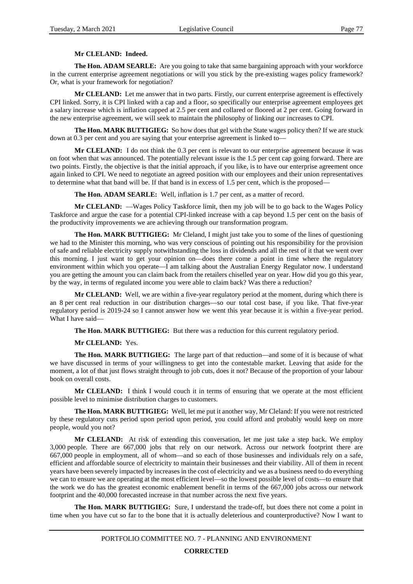# **Mr CLELAND: Indeed.**

**The Hon. ADAM SEARLE:** Are you going to take that same bargaining approach with your workforce in the current enterprise agreement negotiations or will you stick by the pre-existing wages policy framework? Or, what is your framework for negotiation?

**Mr CLELAND:** Let me answer that in two parts. Firstly, our current enterprise agreement is effectively CPI linked. Sorry, it is CPI linked with a cap and a floor, so specifically our enterprise agreement employees get a salary increase which is inflation capped at 2.5 per cent and collared or floored at 2 per cent. Going forward in the new enterprise agreement, we will seek to maintain the philosophy of linking our increases to CPI.

**The Hon. MARK BUTTIGIEG:** So how does that gel with the State wages policy then? If we are stuck down at 0.3 per cent and you are saying that your enterprise agreement is linked to—

**Mr CLELAND:** I do not think the 0.3 per cent is relevant to our enterprise agreement because it was on foot when that was announced. The potentially relevant issue is the 1.5 per cent cap going forward. There are two points. Firstly, the objective is that the initial approach, if you like, is to have our enterprise agreement once again linked to CPI. We need to negotiate an agreed position with our employees and their union representatives to determine what that band will be. If that band is in excess of 1.5 per cent, which is the proposed—

**The Hon. ADAM SEARLE:** Well, inflation is 1.7 per cent, as a matter of record.

**Mr CLELAND:** —Wages Policy Taskforce limit, then my job will be to go back to the Wages Policy Taskforce and argue the case for a potential CPI-linked increase with a cap beyond 1.5 per cent on the basis of the productivity improvements we are achieving through our transformation program.

**The Hon. MARK BUTTIGIEG:** Mr Cleland, I might just take you to some of the lines of questioning we had to the Minister this morning, who was very conscious of pointing out his responsibility for the provision of safe and reliable electricity supply notwithstanding the loss in dividends and all the rest of it that we went over this morning. I just want to get your opinion on—does there come a point in time where the regulatory environment within which you operate—I am talking about the Australian Energy Regulator now. I understand you are getting the amount you can claim back from the retailers chiselled year on year. How did you go this year, by the way, in terms of regulated income you were able to claim back? Was there a reduction?

**Mr CLELAND:** Well, we are within a five-year regulatory period at the moment, during which there is an 8 per cent real reduction in our distribution charges—so our total cost base, if you like. That five-year regulatory period is 2019-24 so I cannot answer how we went this year because it is within a five-year period. What I have said—

**The Hon. MARK BUTTIGIEG:** But there was a reduction for this current regulatory period.

#### **Mr CLELAND:** Yes.

**The Hon. MARK BUTTIGIEG:** The large part of that reduction—and some of it is because of what we have discussed in terms of your willingness to get into the contestable market. Leaving that aside for the moment, a lot of that just flows straight through to job cuts, does it not? Because of the proportion of your labour book on overall costs.

**Mr CLELAND:** I think I would couch it in terms of ensuring that we operate at the most efficient possible level to minimise distribution charges to customers.

**The Hon. MARK BUTTIGIEG:** Well, let me put it another way, Mr Cleland: If you were not restricted by these regulatory cuts period upon period upon period, you could afford and probably would keep on more people, would you not?

**Mr CLELAND:** At risk of extending this conversation, let me just take a step back. We employ 3,000 people. There are 667,000 jobs that rely on our network. Across our network footprint there are 667,000 people in employment, all of whom—and so each of those businesses and individuals rely on a safe, efficient and affordable source of electricity to maintain their businesses and their viability. All of them in recent years have been severely impacted by increases in the cost of electricity and we as a business need to do everything we can to ensure we are operating at the most efficient level—so the lowest possible level of costs—to ensure that the work we do has the greatest economic enablement benefit in terms of the 667,000 jobs across our network footprint and the 40,000 forecasted increase in that number across the next five years.

**The Hon. MARK BUTTIGIEG:** Sure, I understand the trade-off, but does there not come a point in time when you have cut so far to the bone that it is actually deleterious and counterproductive? Now I want to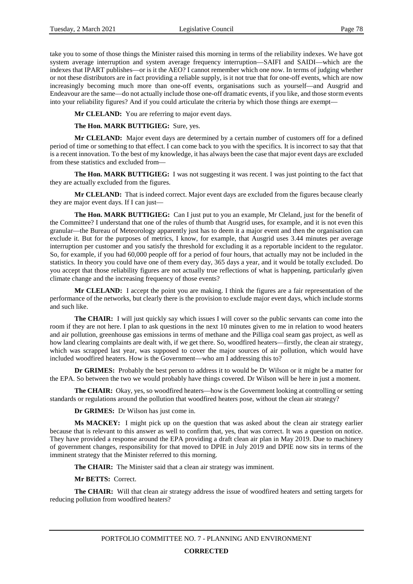take you to some of those things the Minister raised this morning in terms of the reliability indexes. We have got system average interruption and system average frequency interruption—SAIFI and SAIDI—which are the indexes that IPART publishes—or is it the AEO? I cannot remember which one now. In terms of judging whether or not these distributors are in fact providing a reliable supply, is it not true that for one-off events, which are now increasingly becoming much more than one-off events, organisations such as yourself—and Ausgrid and Endeavour are the same—do not actually include those one-off dramatic events, if you like, and those storm events into your reliability figures? And if you could articulate the criteria by which those things are exempt—

**Mr CLELAND:** You are referring to major event days.

**The Hon. MARK BUTTIGIEG:** Sure, yes.

**Mr CLELAND:** Major event days are determined by a certain number of customers off for a defined period of time or something to that effect. I can come back to you with the specifics. It is incorrect to say that that is a recent innovation. To the best of my knowledge, it has always been the case that major event days are excluded from these statistics and excluded from—

**The Hon. MARK BUTTIGIEG:** I was not suggesting it was recent. I was just pointing to the fact that they are actually excluded from the figures.

**Mr CLELAND:** That is indeed correct. Major event days are excluded from the figures because clearly they are major event days. If I can just—

**The Hon. MARK BUTTIGIEG:** Can I just put to you an example, Mr Cleland, just for the benefit of the Committee? I understand that one of the rules of thumb that Ausgrid uses, for example, and it is not even this granular—the Bureau of Meteorology apparently just has to deem it a major event and then the organisation can exclude it. But for the purposes of metrics, I know, for example, that Ausgrid uses 3.44 minutes per average interruption per customer and you satisfy the threshold for excluding it as a reportable incident to the regulator. So, for example, if you had 60,000 people off for a period of four hours, that actually may not be included in the statistics. In theory you could have one of them every day, 365 days a year, and it would be totally excluded. Do you accept that those reliability figures are not actually true reflections of what is happening, particularly given climate change and the increasing frequency of those events?

**Mr CLELAND:** I accept the point you are making. I think the figures are a fair representation of the performance of the networks, but clearly there is the provision to exclude major event days, which include storms and such like.

**The CHAIR:** I will just quickly say which issues I will cover so the public servants can come into the room if they are not here. I plan to ask questions in the next 10 minutes given to me in relation to wood heaters and air pollution, greenhouse gas emissions in terms of methane and the Pilliga coal seam gas project, as well as how land clearing complaints are dealt with, if we get there. So, woodfired heaters—firstly, the clean air strategy, which was scrapped last year, was supposed to cover the major sources of air pollution, which would have included woodfired heaters. How is the Government—who am I addressing this to?

**Dr GRIMES:** Probably the best person to address it to would be Dr Wilson or it might be a matter for the EPA. So between the two we would probably have things covered. Dr Wilson will be here in just a moment.

**The CHAIR:** Okay, yes, so woodfired heaters—how is the Government looking at controlling or setting standards or regulations around the pollution that woodfired heaters pose, without the clean air strategy?

**Dr GRIMES:** Dr Wilson has just come in.

**Ms MACKEY:** I might pick up on the question that was asked about the clean air strategy earlier because that is relevant to this answer as well to confirm that, yes, that was correct. It was a question on notice. They have provided a response around the EPA providing a draft clean air plan in May 2019. Due to machinery of government changes, responsibility for that moved to DPIE in July 2019 and DPIE now sits in terms of the imminent strategy that the Minister referred to this morning.

**The CHAIR:** The Minister said that a clean air strategy was imminent.

**Mr BETTS:** Correct.

**The CHAIR:** Will that clean air strategy address the issue of woodfired heaters and setting targets for reducing pollution from woodfired heaters?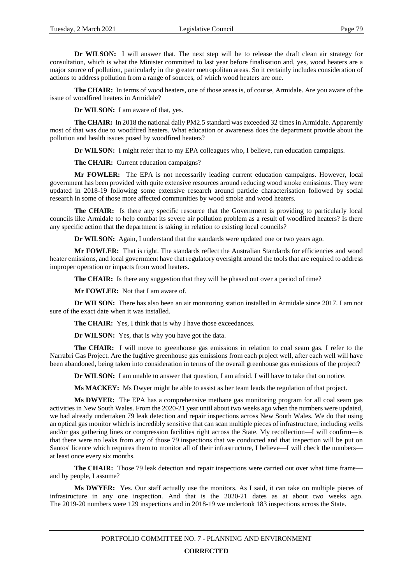**Dr WILSON:** I will answer that. The next step will be to release the draft clean air strategy for consultation, which is what the Minister committed to last year before finalisation and, yes, wood heaters are a major source of pollution, particularly in the greater metropolitan areas. So it certainly includes consideration of actions to address pollution from a range of sources, of which wood heaters are one.

**The CHAIR:** In terms of wood heaters, one of those areas is, of course, Armidale. Are you aware of the issue of woodfired heaters in Armidale?

**Dr WILSON:** I am aware of that, yes.

**The CHAIR:** In 2018 the national daily PM2.5 standard was exceeded 32 times in Armidale. Apparently most of that was due to woodfired heaters. What education or awareness does the department provide about the pollution and health issues posed by woodfired heaters?

**Dr WILSON:** I might refer that to my EPA colleagues who, I believe, run education campaigns.

**The CHAIR:** Current education campaigns?

**Mr FOWLER:** The EPA is not necessarily leading current education campaigns. However, local government has been provided with quite extensive resources around reducing wood smoke emissions. They were updated in 2018-19 following some extensive research around particle characterisation followed by social research in some of those more affected communities by wood smoke and wood heaters.

**The CHAIR:** Is there any specific resource that the Government is providing to particularly local councils like Armidale to help combat its severe air pollution problem as a result of woodfired heaters? Is there any specific action that the department is taking in relation to existing local councils?

**Dr WILSON:** Again, I understand that the standards were updated one or two years ago.

**Mr FOWLER:** That is right. The standards reflect the Australian Standards for efficiencies and wood heater emissions, and local government have that regulatory oversight around the tools that are required to address improper operation or impacts from wood heaters.

The CHAIR: Is there any suggestion that they will be phased out over a period of time?

**Mr FOWLER:** Not that I am aware of.

**Dr WILSON:** There has also been an air monitoring station installed in Armidale since 2017. I am not sure of the exact date when it was installed.

**The CHAIR:** Yes, I think that is why I have those exceedances.

**Dr WILSON:** Yes, that is why you have got the data.

**The CHAIR:** I will move to greenhouse gas emissions in relation to coal seam gas. I refer to the Narrabri Gas Project. Are the fugitive greenhouse gas emissions from each project well, after each well will have been abandoned, being taken into consideration in terms of the overall greenhouse gas emissions of the project?

**Dr WILSON:** I am unable to answer that question, I am afraid. I will have to take that on notice.

**Ms MACKEY:** Ms Dwyer might be able to assist as her team leads the regulation of that project.

**Ms DWYER:** The EPA has a comprehensive methane gas monitoring program for all coal seam gas activities in New South Wales. From the 2020-21 year until about two weeks ago when the numbers were updated, we had already undertaken 79 leak detection and repair inspections across New South Wales. We do that using an optical gas monitor which is incredibly sensitive that can scan multiple pieces of infrastructure, including wells and/or gas gathering lines or compression facilities right across the State. My recollection—I will confirm—is that there were no leaks from any of those 79 inspections that we conducted and that inspection will be put on Santos' licence which requires them to monitor all of their infrastructure, I believe—I will check the numbers at least once every six months.

**The CHAIR:** Those 79 leak detection and repair inspections were carried out over what time frame and by people, I assume?

**Ms DWYER:** Yes. Our staff actually use the monitors. As I said, it can take on multiple pieces of infrastructure in any one inspection. And that is the 2020-21 dates as at about two weeks ago. The 2019-20 numbers were 129 inspections and in 2018-19 we undertook 183 inspections across the State.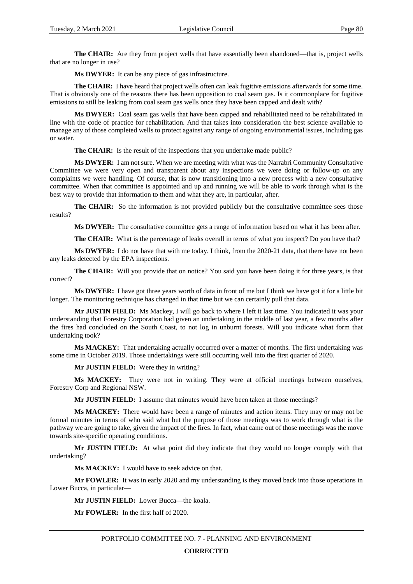**The CHAIR:** Are they from project wells that have essentially been abandoned—that is, project wells that are no longer in use?

**Ms DWYER:** It can be any piece of gas infrastructure.

**The CHAIR:** I have heard that project wells often can leak fugitive emissions afterwards for some time. That is obviously one of the reasons there has been opposition to coal seam gas. Is it commonplace for fugitive emissions to still be leaking from coal seam gas wells once they have been capped and dealt with?

**Ms DWYER:** Coal seam gas wells that have been capped and rehabilitated need to be rehabilitated in line with the code of practice for rehabilitation. And that takes into consideration the best science available to manage any of those completed wells to protect against any range of ongoing environmental issues, including gas or water.

**The CHAIR:** Is the result of the inspections that you undertake made public?

**Ms DWYER:** I am not sure. When we are meeting with what was the Narrabri Community Consultative Committee we were very open and transparent about any inspections we were doing or follow-up on any complaints we were handling. Of course, that is now transitioning into a new process with a new consultative committee. When that committee is appointed and up and running we will be able to work through what is the best way to provide that information to them and what they are, in particular, after.

**The CHAIR:** So the information is not provided publicly but the consultative committee sees those results?

**Ms DWYER:** The consultative committee gets a range of information based on what it has been after.

**The CHAIR:** What is the percentage of leaks overall in terms of what you inspect? Do you have that?

**Ms DWYER:** I do not have that with me today. I think, from the 2020-21 data, that there have not been any leaks detected by the EPA inspections.

**The CHAIR:** Will you provide that on notice? You said you have been doing it for three years, is that correct?

**Ms DWYER:** I have got three years worth of data in front of me but I think we have got it for a little bit longer. The monitoring technique has changed in that time but we can certainly pull that data.

**Mr JUSTIN FIELD:** Ms Mackey, I will go back to where I left it last time. You indicated it was your understanding that Forestry Corporation had given an undertaking in the middle of last year, a few months after the fires had concluded on the South Coast, to not log in unburnt forests. Will you indicate what form that undertaking took?

**Ms MACKEY:** That undertaking actually occurred over a matter of months. The first undertaking was some time in October 2019. Those undertakings were still occurring well into the first quarter of 2020.

**Mr JUSTIN FIELD:** Were they in writing?

**Ms MACKEY:** They were not in writing. They were at official meetings between ourselves, Forestry Corp and Regional NSW.

**Mr JUSTIN FIELD:** I assume that minutes would have been taken at those meetings?

**Ms MACKEY:** There would have been a range of minutes and action items. They may or may not be formal minutes in terms of who said what but the purpose of those meetings was to work through what is the pathway we are going to take, given the impact of the fires. In fact, what came out of those meetings was the move towards site-specific operating conditions.

**Mr JUSTIN FIELD:** At what point did they indicate that they would no longer comply with that undertaking?

**Ms MACKEY:** I would have to seek advice on that.

**Mr FOWLER:** It was in early 2020 and my understanding is they moved back into those operations in Lower Bucca, in particular—

**Mr JUSTIN FIELD:** Lower Bucca—the koala.

**Mr FOWLER:** In the first half of 2020.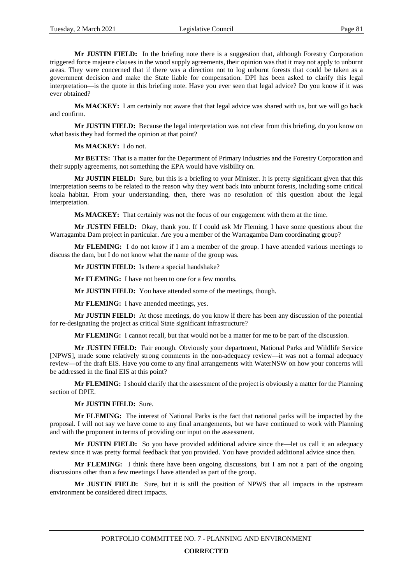**Mr JUSTIN FIELD:** In the briefing note there is a suggestion that, although Forestry Corporation triggered force majeure clauses in the wood supply agreements, their opinion was that it may not apply to unburnt areas. They were concerned that if there was a direction not to log unburnt forests that could be taken as a government decision and make the State liable for compensation. DPI has been asked to clarify this legal interpretation—is the quote in this briefing note. Have you ever seen that legal advice? Do you know if it was ever obtained?

**Ms MACKEY:** I am certainly not aware that that legal advice was shared with us, but we will go back and confirm.

**Mr JUSTIN FIELD:** Because the legal interpretation was not clear from this briefing, do you know on what basis they had formed the opinion at that point?

**Ms MACKEY:** I do not.

**Mr BETTS:** That is a matter for the Department of Primary Industries and the Forestry Corporation and their supply agreements, not something the EPA would have visibility on.

**Mr JUSTIN FIELD:** Sure, but this is a briefing to your Minister. It is pretty significant given that this interpretation seems to be related to the reason why they went back into unburnt forests, including some critical koala habitat. From your understanding, then, there was no resolution of this question about the legal interpretation.

**Ms MACKEY:** That certainly was not the focus of our engagement with them at the time.

**Mr JUSTIN FIELD:** Okay, thank you. If I could ask Mr Fleming, I have some questions about the Warragamba Dam project in particular. Are you a member of the Warragamba Dam coordinating group?

**Mr FLEMING:** I do not know if I am a member of the group. I have attended various meetings to discuss the dam, but I do not know what the name of the group was.

**Mr JUSTIN FIELD:** Is there a special handshake?

**Mr FLEMING:** I have not been to one for a few months.

**Mr JUSTIN FIELD:** You have attended some of the meetings, though.

**Mr FLEMING:** I have attended meetings, yes.

**Mr JUSTIN FIELD:** At those meetings, do you know if there has been any discussion of the potential for re-designating the project as critical State significant infrastructure?

**Mr FLEMING:** I cannot recall, but that would not be a matter for me to be part of the discussion.

**Mr JUSTIN FIELD:** Fair enough. Obviously your department, National Parks and Wildlife Service [NPWS], made some relatively strong comments in the non-adequacy review—it was not a formal adequacy review—of the draft EIS. Have you come to any final arrangements with WaterNSW on how your concerns will be addressed in the final EIS at this point?

**Mr FLEMING:** I should clarify that the assessment of the project is obviously a matter for the Planning section of DPIE.

**Mr JUSTIN FIELD:** Sure.

**Mr FLEMING:** The interest of National Parks is the fact that national parks will be impacted by the proposal. I will not say we have come to any final arrangements, but we have continued to work with Planning and with the proponent in terms of providing our input on the assessment.

**Mr JUSTIN FIELD:** So you have provided additional advice since the—let us call it an adequacy review since it was pretty formal feedback that you provided. You have provided additional advice since then.

**Mr FLEMING:** I think there have been ongoing discussions, but I am not a part of the ongoing discussions other than a few meetings I have attended as part of the group.

**Mr JUSTIN FIELD:** Sure, but it is still the position of NPWS that all impacts in the upstream environment be considered direct impacts.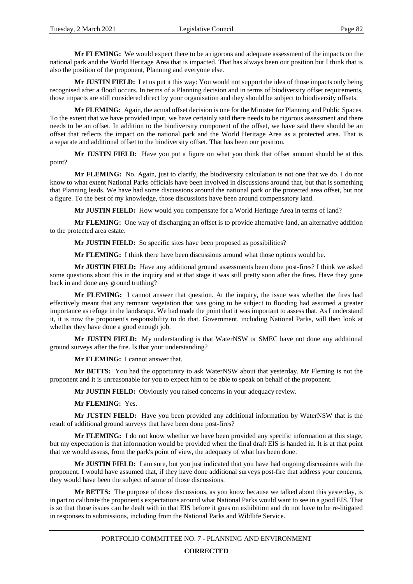**Mr FLEMING:** We would expect there to be a rigorous and adequate assessment of the impacts on the national park and the World Heritage Area that is impacted. That has always been our position but I think that is also the position of the proponent, Planning and everyone else.

**Mr JUSTIN FIELD:** Let us put it this way: You would not support the idea of those impacts only being recognised after a flood occurs. In terms of a Planning decision and in terms of biodiversity offset requirements, those impacts are still considered direct by your organisation and they should be subject to biodiversity offsets.

**Mr FLEMING:** Again, the actual offset decision is one for the Minister for Planning and Public Spaces. To the extent that we have provided input, we have certainly said there needs to be rigorous assessment and there needs to be an offset. In addition to the biodiversity component of the offset, we have said there should be an offset that reflects the impact on the national park and the World Heritage Area as a protected area. That is a separate and additional offset to the biodiversity offset. That has been our position.

**Mr JUSTIN FIELD:** Have you put a figure on what you think that offset amount should be at this point?

**Mr FLEMING:** No. Again, just to clarify, the biodiversity calculation is not one that we do. I do not know to what extent National Parks officials have been involved in discussions around that, but that is something that Planning leads. We have had some discussions around the national park or the protected area offset, but not a figure. To the best of my knowledge, those discussions have been around compensatory land.

**Mr JUSTIN FIELD:** How would you compensate for a World Heritage Area in terms of land?

**Mr FLEMING:** One way of discharging an offset is to provide alternative land, an alternative addition to the protected area estate.

**Mr JUSTIN FIELD:** So specific sites have been proposed as possibilities?

**Mr FLEMING:** I think there have been discussions around what those options would be.

**Mr JUSTIN FIELD:** Have any additional ground assessments been done post-fires? I think we asked some questions about this in the inquiry and at that stage it was still pretty soon after the fires. Have they gone back in and done any ground truthing?

**Mr FLEMING:** I cannot answer that question. At the inquiry, the issue was whether the fires had effectively meant that any remnant vegetation that was going to be subject to flooding had assumed a greater importance as refuge in the landscape. We had made the point that it was important to assess that. As I understand it, it is now the proponent's responsibility to do that. Government, including National Parks, will then look at whether they have done a good enough job.

**Mr JUSTIN FIELD:** My understanding is that WaterNSW or SMEC have not done any additional ground surveys after the fire. Is that your understanding?

**Mr FLEMING:** I cannot answer that.

**Mr BETTS:** You had the opportunity to ask WaterNSW about that yesterday. Mr Fleming is not the proponent and it is unreasonable for you to expect him to be able to speak on behalf of the proponent.

**Mr JUSTIN FIELD:** Obviously you raised concerns in your adequacy review.

**Mr FLEMING:** Yes.

**Mr JUSTIN FIELD:** Have you been provided any additional information by WaterNSW that is the result of additional ground surveys that have been done post-fires?

**Mr FLEMING:** I do not know whether we have been provided any specific information at this stage, but my expectation is that information would be provided when the final draft EIS is handed in. It is at that point that we would assess, from the park's point of view, the adequacy of what has been done.

**Mr JUSTIN FIELD:** I am sure, but you just indicated that you have had ongoing discussions with the proponent. I would have assumed that, if they have done additional surveys post-fire that address your concerns, they would have been the subject of some of those discussions.

**Mr BETTS:** The purpose of those discussions, as you know because we talked about this yesterday, is in part to calibrate the proponent's expectations around what National Parks would want to see in a good EIS. That is so that those issues can be dealt with in that EIS before it goes on exhibition and do not have to be re-litigated in responses to submissions, including from the National Parks and Wildlife Service.